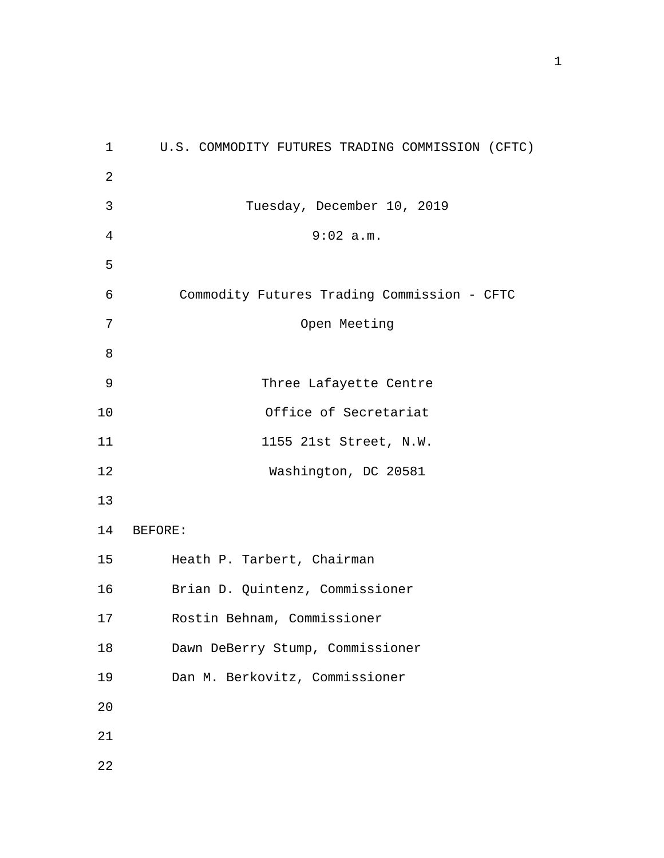1 U.S. COMMODITY FUTURES TRADING COMMISSION (CFTC) 2 Tuesday, December 10, 2019 9:02 a.m. 3 4 5 Commodity Futures Trading Commission - CFTC Open Meeting 6 7 8 Three Lafayette Centre Office of Secretariat 1155 21st Street, N.W. Washington, DC 20581 9 10 11 12 13 14 BEFORE: 15 Heath P. Tarbert, Chairman 16 Brian D. Quintenz, Commissioner 17 Rostin Behnam, Commissioner 18 Dawn DeBerry Stump, Commissioner 19 Dan M. Berkovitz, Commissioner 20 21 22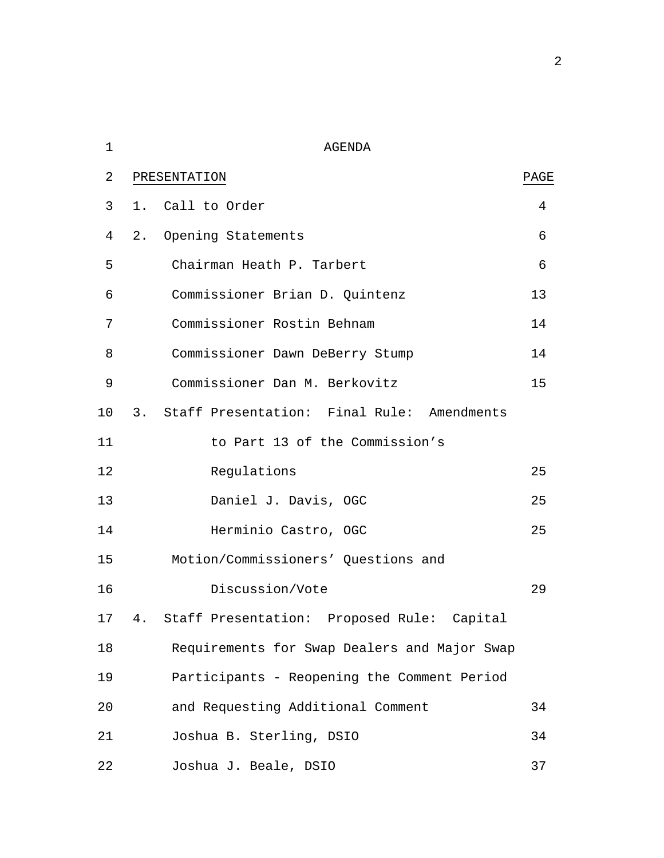| 1  |    | AGENDA                                        |      |
|----|----|-----------------------------------------------|------|
| 2  |    | PRESENTATION                                  | PAGE |
| 3  |    | 1. Call to Order                              | 4    |
| 4  | 2. | Opening Statements                            | 6    |
| 5  |    | Chairman Heath P. Tarbert                     | 6    |
| 6  |    | Commissioner Brian D. Quintenz                | 13   |
| 7  |    | Commissioner Rostin Behnam                    | 14   |
| 8  |    | Commissioner Dawn DeBerry Stump               | 14   |
| 9  |    | Commissioner Dan M. Berkovitz                 | 15   |
| 10 |    | 3. Staff Presentation: Final Rule: Amendments |      |
| 11 |    | to Part 13 of the Commission's                |      |
| 12 |    | Regulations                                   | 25   |
| 13 |    | Daniel J. Davis, OGC                          | 25   |
| 14 |    | Herminio Castro, OGC                          | 25   |
| 15 |    | Motion/Commissioners' Questions and           |      |
| 16 |    | Discussion/Vote                               | 29   |
| 17 |    | 4. Staff Presentation: Proposed Rule: Capital |      |
| 18 |    | Requirements for Swap Dealers and Major Swap  |      |
| 19 |    | Participants - Reopening the Comment Period   |      |
| 20 |    | and Requesting Additional Comment             | 34   |
| 21 |    | Joshua B. Sterling, DSIO                      | 34   |
| 22 |    | Joshua J. Beale, DSIO                         | 37   |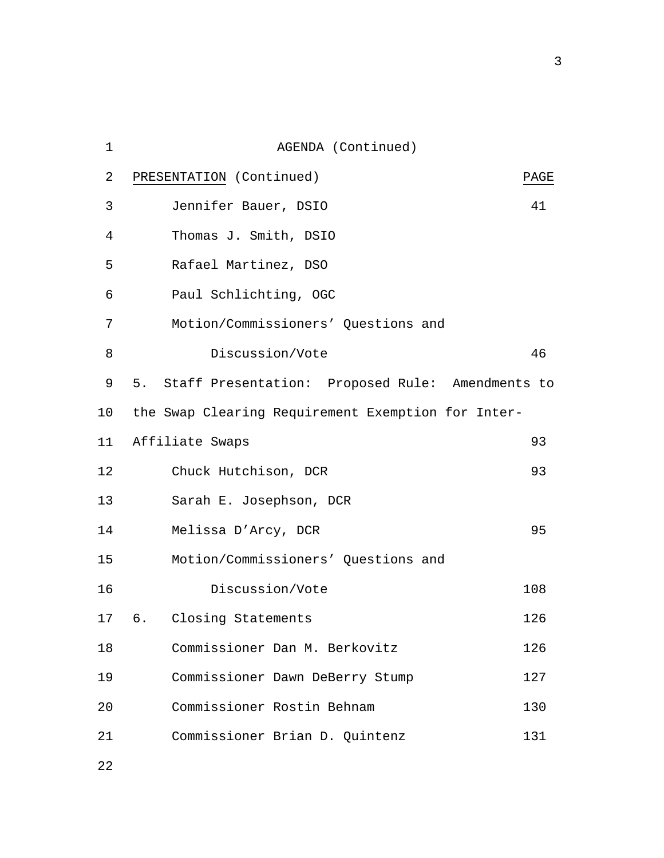| $\mathbf 1$ | AGENDA (Continued)                                  |      |
|-------------|-----------------------------------------------------|------|
| 2           | PRESENTATION (Continued)                            | PAGE |
| 3           | Jennifer Bauer, DSIO                                | 41   |
| 4           | Thomas J. Smith, DSIO                               |      |
| 5           | Rafael Martinez, DSO                                |      |
| 6           | Paul Schlichting, OGC                               |      |
| 7           | Motion/Commissioners' Questions and                 |      |
| 8           | Discussion/Vote                                     | 46   |
| 9           | 5. Staff Presentation: Proposed Rule: Amendments to |      |
| 10          | the Swap Clearing Requirement Exemption for Inter-  |      |
| 11          | Affiliate Swaps                                     | 93   |
| 12          | Chuck Hutchison, DCR                                | 93   |
| 13          | Sarah E. Josephson, DCR                             |      |
| 14          | Melissa D'Arcy, DCR                                 | 95   |
| 15          | Motion/Commissioners' Questions and                 |      |
| 16          | Discussion/Vote                                     | 108  |
| 17          | 6.<br>Closing Statements                            | 126  |
| 18          | Commissioner Dan M. Berkovitz                       | 126  |
| 19          | Commissioner Dawn DeBerry Stump                     | 127  |
| 20          | Commissioner Rostin Behnam                          | 130  |
| 21          | Commissioner Brian D. Quintenz                      | 131  |
| 22          |                                                     |      |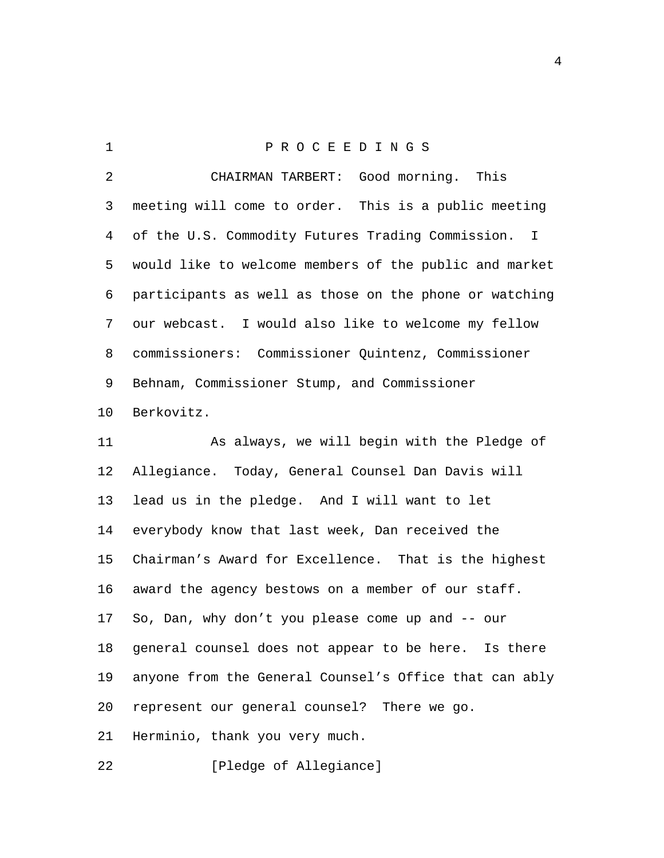| $\mathbf 1$    | PROCEEDINGS                                            |
|----------------|--------------------------------------------------------|
| $\overline{2}$ | CHAIRMAN TARBERT: Good morning. This                   |
| 3              | meeting will come to order. This is a public meeting   |
| 4              | of the U.S. Commodity Futures Trading Commission. I    |
| 5              | would like to welcome members of the public and market |
| 6              | participants as well as those on the phone or watching |
| 7              | our webcast. I would also like to welcome my fellow    |
| 8              | commissioners: Commissioner Quintenz, Commissioner     |
| 9              | Behnam, Commissioner Stump, and Commissioner           |
| 10             | Berkovitz.                                             |
| 11             | As always, we will begin with the Pledge of            |
| 12             | Allegiance. Today, General Counsel Dan Davis will      |
| 13             | lead us in the pledge. And I will want to let          |
| 14             | everybody know that last week, Dan received the        |
| 15             | Chairman's Award for Excellence. That is the highest   |
| 16             | award the agency bestows on a member of our staff.     |
| 17             | So, Dan, why don't you please come up and -- our       |
| 18             | general counsel does not appear to be here. Is there   |
| 19             | anyone from the General Counsel's Office that can ably |
| 20             | represent our general counsel? There we go.            |
| 21             | Herminio, thank you very much.                         |
|                |                                                        |

22 [Pledge of Allegiance]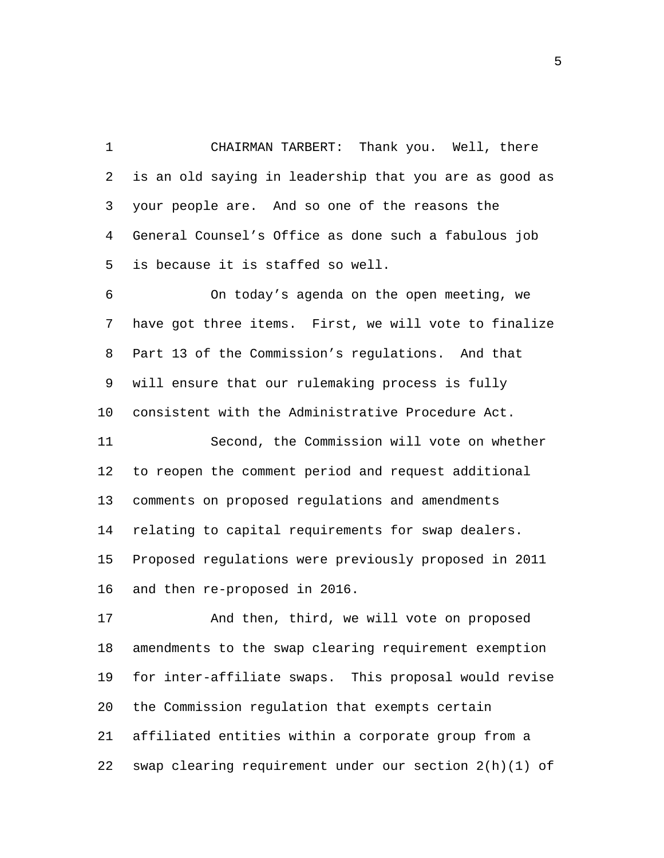CHAIRMAN TARBERT: Thank you. Well, there is an old saying in leadership that you are as good as your people are. And so one of the reasons the General Counsel's Office as done such a fabulous job is because it is staffed so well. 1 2 3 4 5

On today's agenda on the open meeting, we have got three items. First, we will vote to finalize Part 13 of the Commission's regulations. And that will ensure that our rulemaking process is fully consistent with the Administrative Procedure Act. 6 7 8 9 10 Second, the Commission will vote on whether to reopen the comment period and request additional comments on proposed regulations and amendments relating to capital requirements for swap dealers. Proposed regulations were previously proposed in 2011 and then re-proposed in 2016. 11 12 13 14 15 16

And then, third, we will vote on proposed amendments to the swap clearing requirement exemption for inter-affiliate swaps. This proposal would revise the Commission regulation that exempts certain affiliated entities within a corporate group from a swap clearing requirement under our section 2(h)(1) of 17 18 19 20 21 22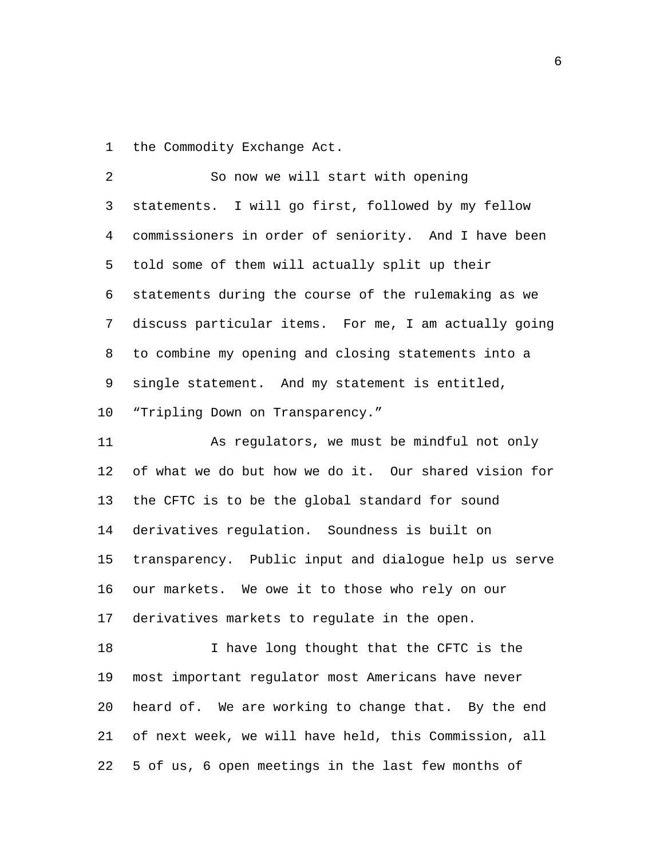1 the Commodity Exchange Act.

So now we will start with opening statements. I will go first, followed by my fellow commissioners in order of seniority. And I have been told some of them will actually split up their statements during the course of the rulemaking as we discuss particular items. For me, I am actually going to combine my opening and closing statements into a single statement. And my statement is entitled, "Tripling Down on Transparency." 2 3 4 5 6 7 8 9 10

As regulators, we must be mindful not only of what we do but how we do it. Our shared vision for the CFTC is to be the global standard for sound derivatives regulation. Soundness is built on transparency. Public input and dialogue help us serve our markets. We owe it to those who rely on our derivatives markets to regulate in the open. 11 12 13 14 15 16 17

I have long thought that the CFTC is the most important regulator most Americans have never heard of. We are working to change that. By the end of next week, we will have held, this Commission, all 5 of us, 6 open meetings in the last few months of 18 19 20 21 22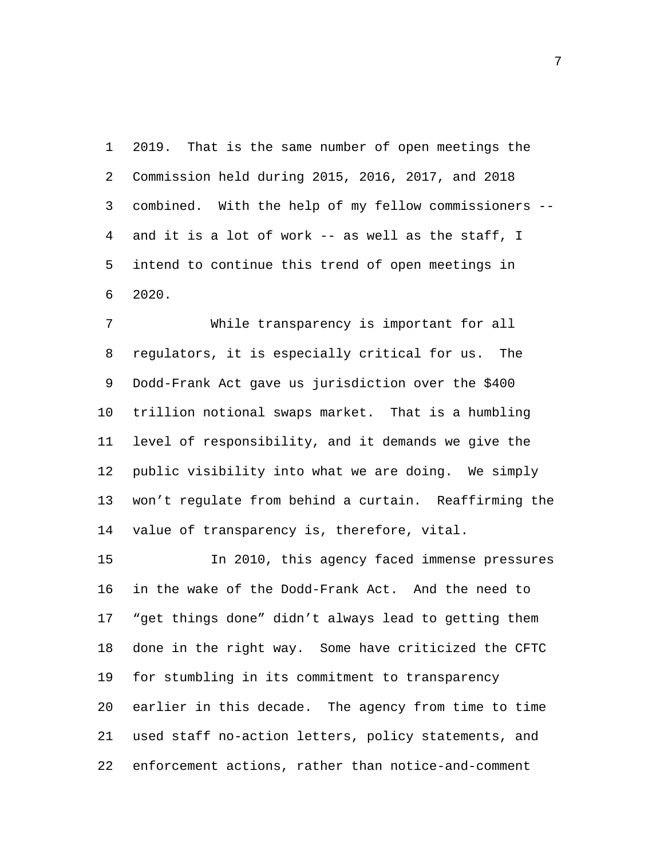2019. That is the same number of open meetings the Commission held during 2015, 2016, 2017, and 2018 combined. With the help of my fellow commissioners - and it is a lot of work -- as well as the staff, I intend to continue this trend of open meetings in 2020. 1 2 3 4 5 6

While transparency is important for all regulators, it is especially critical for us. The Dodd-Frank Act gave us jurisdiction over the \$400 trillion notional swaps market. That is a humbling level of responsibility, and it demands we give the public visibility into what we are doing. We simply won't regulate from behind a curtain. Reaffirming the value of transparency is, therefore, vital. 7 8 9 10 11 12 13 14

In 2010, this agency faced immense pressures in the wake of the Dodd-Frank Act. And the need to "get things done" didn't always lead to getting them done in the right way. Some have criticized the CFTC for stumbling in its commitment to transparency earlier in this decade. The agency from time to time used staff no-action letters, policy statements, and enforcement actions, rather than notice-and-comment 15 16 17 18 19 20 21 22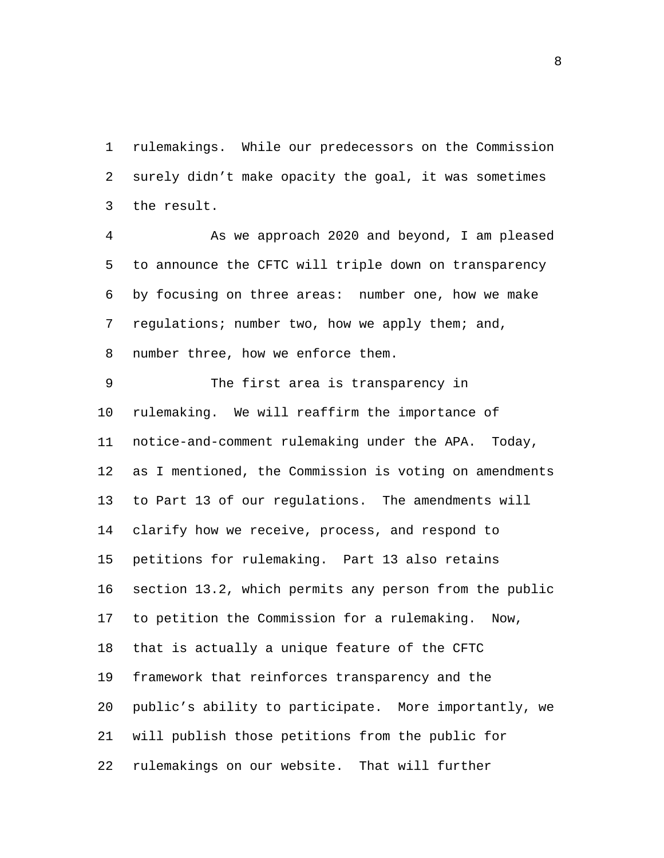rulemakings. While our predecessors on the Commission surely didn't make opacity the goal, it was sometimes the result. 1 2 3

As we approach 2020 and beyond, I am pleased to announce the CFTC will triple down on transparency by focusing on three areas: number one, how we make regulations; number two, how we apply them; and, number three, how we enforce them. 4 5 6 7 8

The first area is transparency in rulemaking. We will reaffirm the importance of notice-and-comment rulemaking under the APA. Today, as I mentioned, the Commission is voting on amendments to Part 13 of our regulations. The amendments will clarify how we receive, process, and respond to petitions for rulemaking. Part 13 also retains section 13.2, which permits any person from the public to petition the Commission for a rulemaking. Now, that is actually a unique feature of the CFTC framework that reinforces transparency and the public's ability to participate. More importantly, we will publish those petitions from the public for rulemakings on our website. That will further 9 10 11 12 13 14 15 16 17 18 19 20 21 22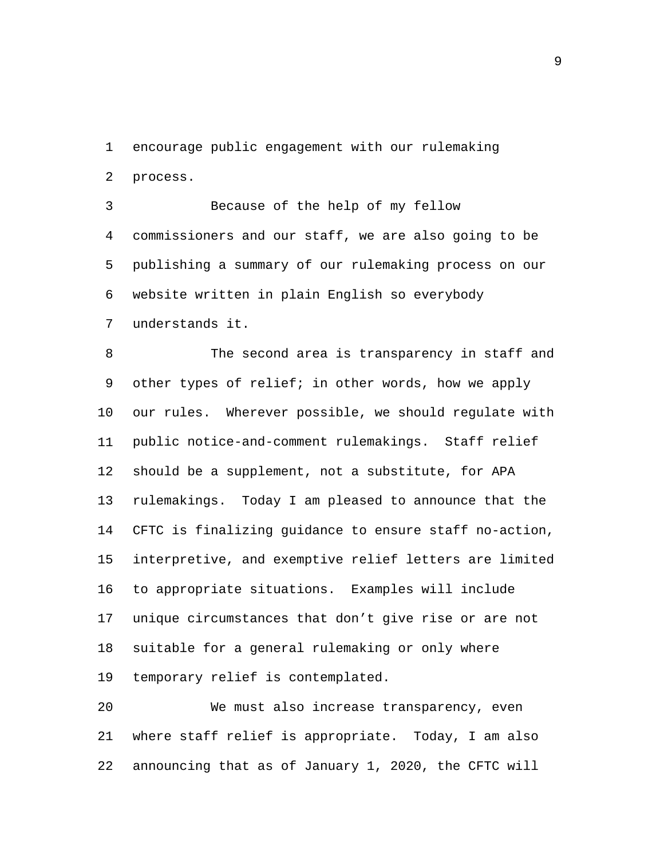encourage public engagement with our rulemaking process. 1 2

Because of the help of my fellow commissioners and our staff, we are also going to be publishing a summary of our rulemaking process on our website written in plain English so everybody understands it. 3 4 5 6 7

The second area is transparency in staff and other types of relief; in other words, how we apply our rules. Wherever possible, we should regulate with public notice-and-comment rulemakings. Staff relief should be a supplement, not a substitute, for APA rulemakings. Today I am pleased to announce that the CFTC is finalizing guidance to ensure staff no-action, interpretive, and exemptive relief letters are limited to appropriate situations. Examples will include unique circumstances that don't give rise or are not suitable for a general rulemaking or only where temporary relief is contemplated. 8 9 10 11 12 13 14 15 16 17 18 19

We must also increase transparency, even where staff relief is appropriate. Today, I am also announcing that as of January 1, 2020, the CFTC will  $20$ 21 22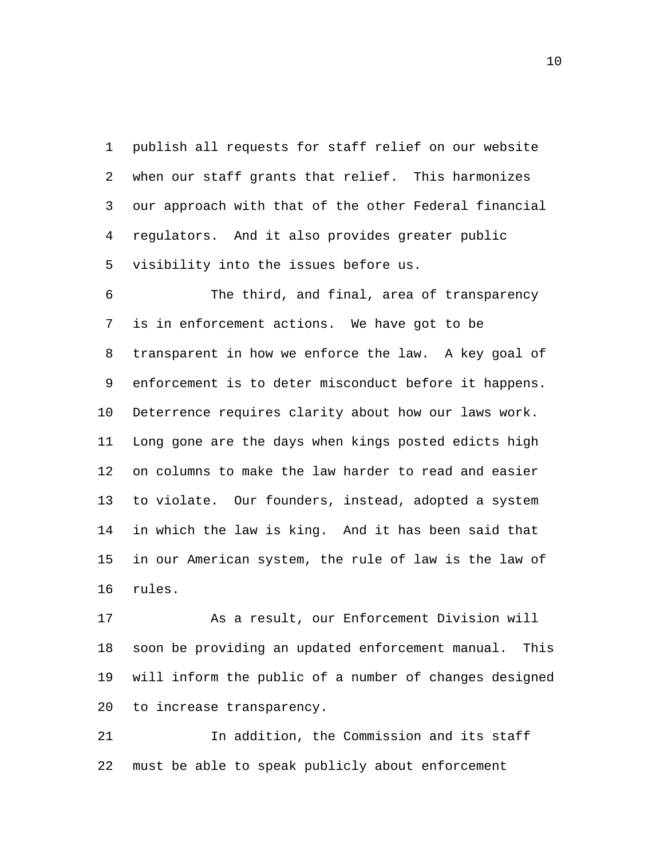publish all requests for staff relief on our website when our staff grants that relief. This harmonizes our approach with that of the other Federal financial regulators. And it also provides greater public visibility into the issues before us. 1 2 3 4 5

The third, and final, area of transparency is in enforcement actions. We have got to be transparent in how we enforce the law. A key goal of enforcement is to deter misconduct before it happens. Deterrence requires clarity about how our laws work. Long gone are the days when kings posted edicts high on columns to make the law harder to read and easier to violate. Our founders, instead, adopted a system in which the law is king. And it has been said that in our American system, the rule of law is the law of rules. 6 7 8 9 10 11 12 13 14 15 16

As a result, our Enforcement Division will 18 soon be providing an updated enforcement manual. This will inform the public of a number of changes designe 19 d to increase transparency. 17 20

In addition, the Commission and its staff must be able to speak publicly about enforcement 21 22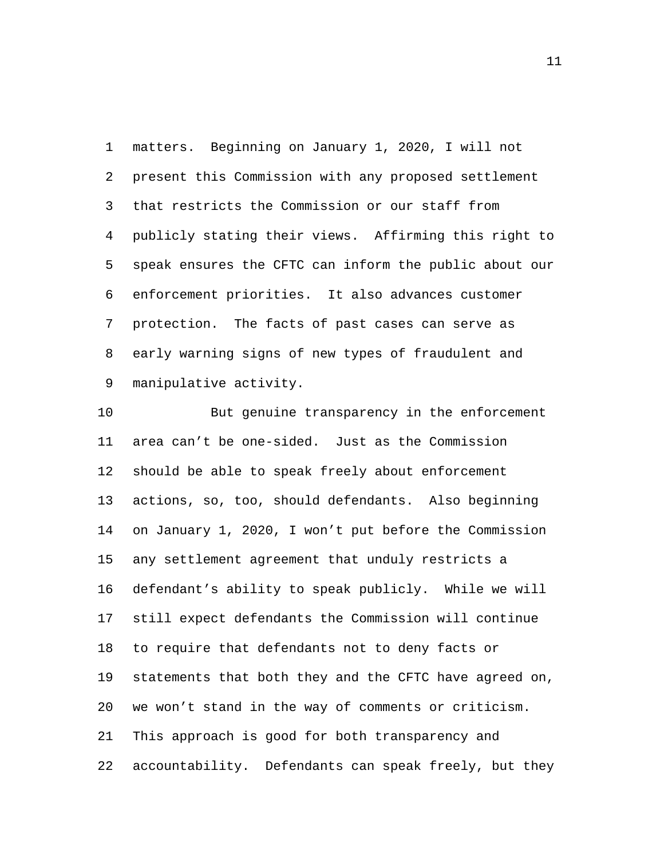matters. Beginning on January 1, 2020, I will not present this Commission with any proposed settlement that restricts the Commission or our staff from publicly stating their views. Affirming this right to speak ensures the CFTC can inform the public about our enforcement priorities. It also advances customer protection. The facts of past cases can serve as early warning signs of new types of fraudulent and manipulative activity. 1 2 3 4 5 6 7 8 9

But genuine transparency in the enforcement area can't be one-sided. Just as the Commission should be able to speak freely about enforcement actions, so, too, should defendants. Also beginning on January 1, 2020, I won't put before the Commission any settlement agreement that unduly restricts a defendant's ability to speak publicly. While we will still expect defendants the Commission will continue to require that defendants not to deny facts or statements that both they and the CFTC have agreed on, we won't stand in the way of comments or criticism. This approach is good for both transparency and accountability. Defendants can speak freely, but they 10 11 12 13 14 15 16 17 18 19 20 21 22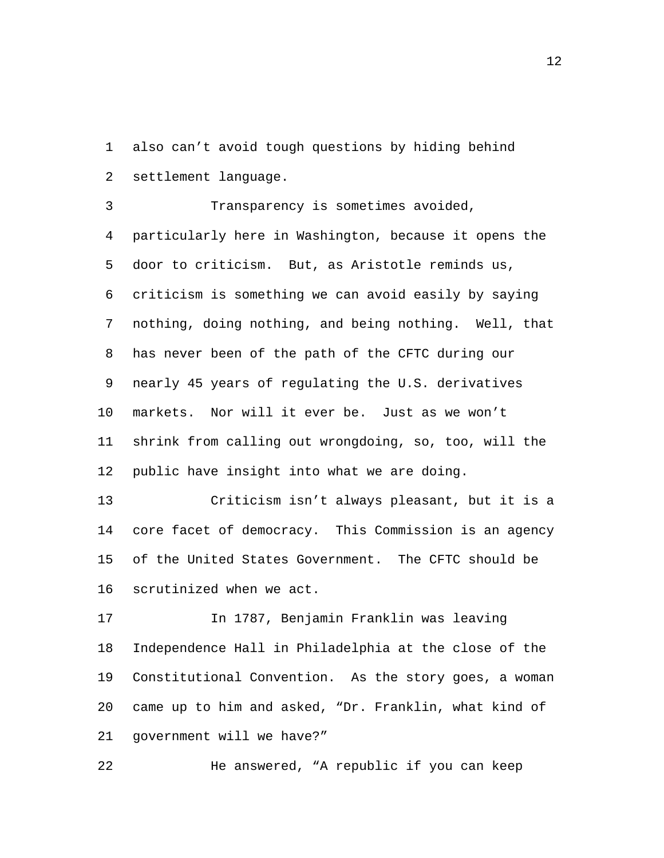also can't avoid tough questions by hiding behind settlement language. 1 2

Transparency is sometimes avoided, particularly here in Washington, because it opens the door to criticism. But, as Aristotle reminds us, criticism is something we can avoid easily by saying nothing, doing nothing, and being nothing. Well, that has never been of the path of the CFTC during our nearly 45 years of regulating the U.S. derivatives markets. Nor will it ever be. Just as we won't shrink from calling out wrongdoing, so, too, will the public have insight into what we are doing. 3 4 5 6 7 8 9 10 11 12 Criticism isn't always pleasant, but it is a 13

core facet of democracy. This Commission is an agency of the United States Government. The CFTC should be scrutinized when we act. 14 15 16

In 1787, Benjamin Franklin was leaving Independence Hall in Philadelphia at the close of the Constitutional Convention. As the story goes, a woman came up to him and asked, "Dr. Franklin, what kind of government will we have?" 17 18 19 20 21

22 He answered, "A republic if you can keep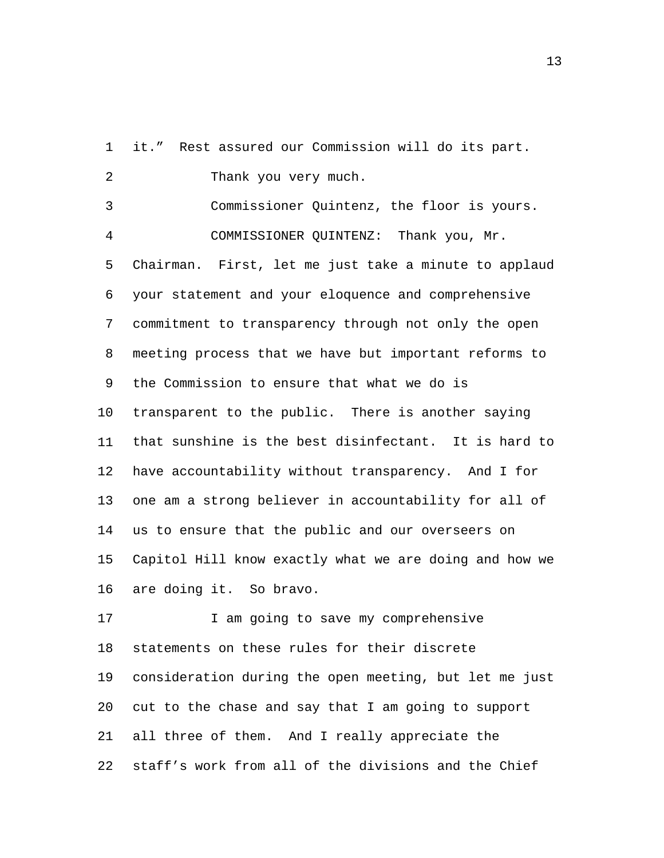1 it." Rest assured our Commission will do its part. 2 Thank you very much. 3 Commissioner Quintenz, the floor is yours. COMMISSIONER QUINTENZ: Thank you, Mr. Chairman. First, let me just take a minute to applaud your statement and your eloquence and comprehensive commitment to transparency through not only the open meeting process that we have but important reforms to the Commission to ensure that what we do is transparent to the public. There is another saying that sunshine is the best disinfectant. It is hard to have accountability without transparency. And I for one am a strong believer in accountability for all of us to ensure that the public and our overseers on Capitol Hill know exactly what we are doing and how we are doing it. So bravo. 4 5 6 7 8 9 10 11 12 13 14 15 16

I am going to save my comprehensive statements on these rules for their discrete consideration during the open meeting, but let me just cut to the chase and say that I am going to support all three of them. And I really appreciate the staff's work from all of the divisions and the Chief 17 18 19 20 21 22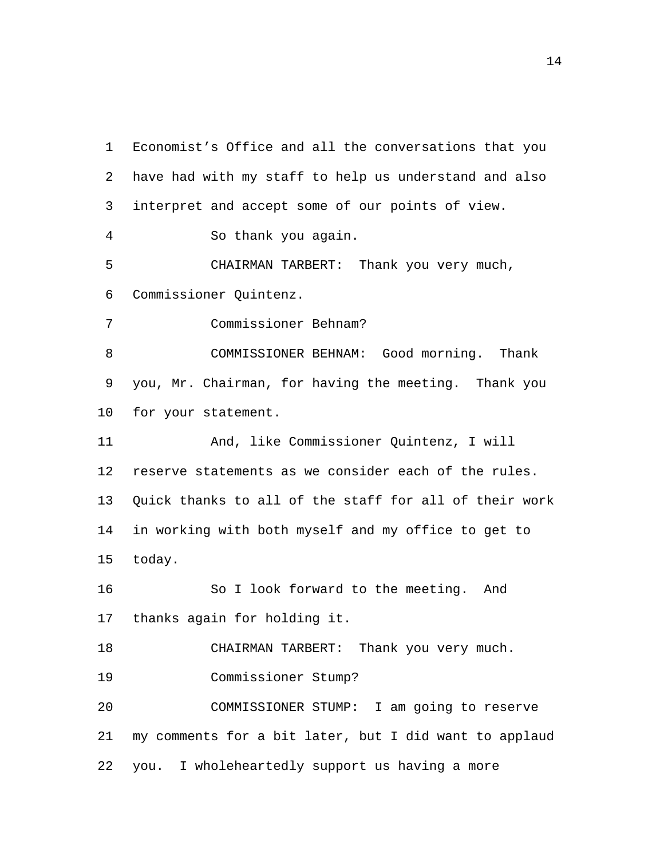Economist's Office and all the conversations that you have had with my staff to help us understand and also interpret and accept some of our points of view. 1 2 3 4 So thank you again. CHAIRMAN TARBERT: Thank you very much, Commissioner Quintenz. 5 6 7 Commissioner Behnam? COMMISSIONER BEHNAM: Good morning. Thank you, Mr. Chairman, for having the meeting. Thank you for your statement. 8 9 10 And, like Commissioner Quintenz, I will reserve statements as we consider each of the rules. Quick thanks to all of the staff for all of their work in working with both myself and my office to get to today. 11 12 13 14 15 So I look forward to the meeting. And thanks again for holding it. 16 17 18 CHAIRMAN TARBERT: Thank you very much. 19 Commissioner Stump? COMMISSIONER STUMP: I am going to reserve my comments for a bit later, but I did want to applaud you. I wholeheartedly support us having a more 20 21 22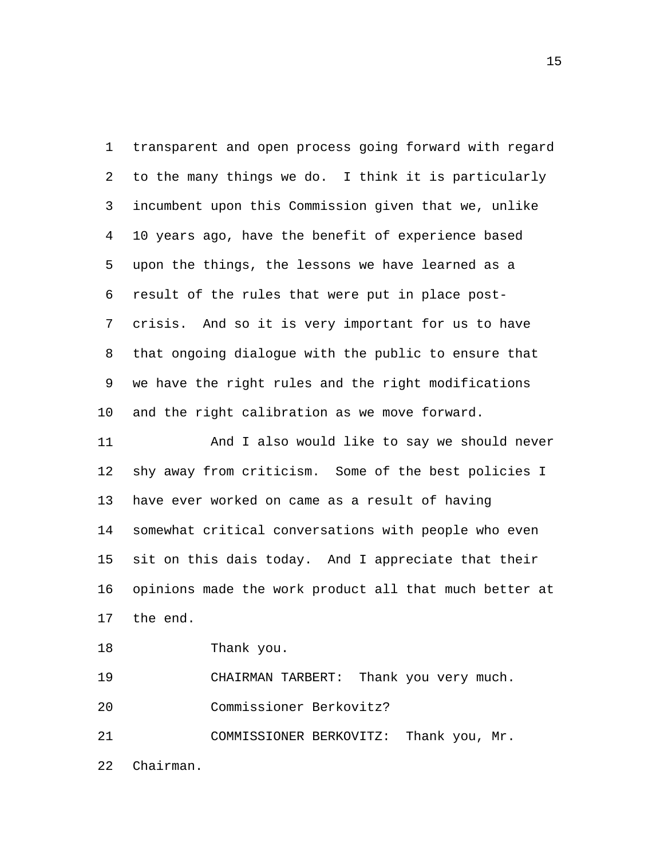transparent and open process going forward with regard to the many things we do. I think it is particularly incumbent upon this Commission given that we, unlike 10 years ago, have the benefit of experience based upon the things, the lessons we have learned as a result of the rules that were put in place postcrisis. And so it is very important for us to have that ongoing dialogue with the public to ensure that we have the right rules and the right modifications and the right calibration as we move forward. 1 2 3 4 5 6 7 8 9 10 And I also would like to say we should never 11

shy away from criticism. Some of the best policies I have ever worked on came as a result of having somewhat critical conversations with people who even sit on this dais today. And I appreciate that their opinions made the work product all that much better at the end. 12 13 14 15 16 17

18 Thank you.

19 CHAIRMAN TARBERT: Thank you very much.

20 Commissioner Berkovitz?

COMMISSIONER BERKOVITZ: Thank you, Mr. Chairman. 21 22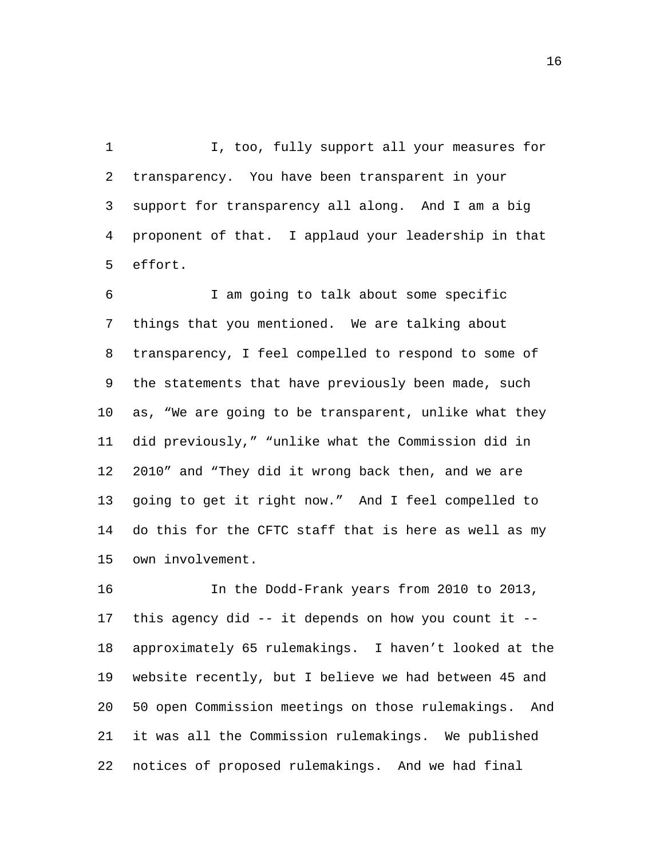I, too, fully support all your measures for transparency. You have been transparent in your support for transparency all along. And I am a big proponent of that. I applaud your leadership in that effort. 1 2 3 4 5

I am going to talk about some specific things that you mentioned. We are talking about transparency, I feel compelled to respond to some of the statements that have previously been made, such as, "We are going to be transparent, unlike what they did previously," "unlike what the Commission did in 2010" and "They did it wrong back then, and we are going to get it right now." And I feel compelled to do this for the CFTC staff that is here as well as my own involvement. 6 7 8 9 10 11 12 13 14 15

In the Dodd-Frank years from 2010 to 2013, this agency did -- it depends on how you count it - approximately 65 rulemakings. I haven't looked at the website recently, but I believe we had between 45 and 50 open Commission meetings on those rulemakings. And it was all the Commission rulemakings. We published notices of proposed rulemakings. And we had final 16 17 18 19 20 21 22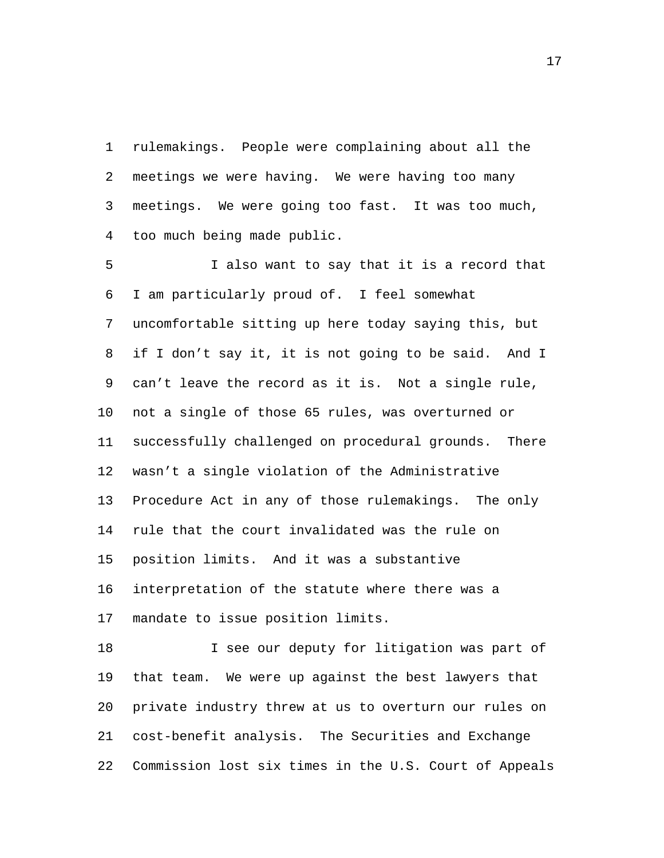rulemakings. People were complaining about all the meetings we were having. We were having too many meetings. We were going too fast. It was too much, too much being made public. 1 2 3 4

I also want to say that it is a record that I am particularly proud of. I feel somewhat uncomfortable sitting up here today saying this, but if I don't say it, it is not going to be said. And I can't leave the record as it is. Not a single rule, not a single of those 65 rules, was overturned or successfully challenged on procedural grounds. There wasn't a single violation of the Administrative Procedure Act in any of those rulemakings. The only rule that the court invalidated was the rule on position limits. And it was a substantive interpretation of the statute where there was a mandate to issue position limits. 5 6 7 8 9 10 11 12 13 14 15 16 17

I see our deputy for litigation was part of that team. We were up against the best lawyers that private industry threw at us to overturn our rules on cost-benefit analysis. The Securities and Exchange Commission lost six times in the U.S. Court of Appeals 18 19 20 21 22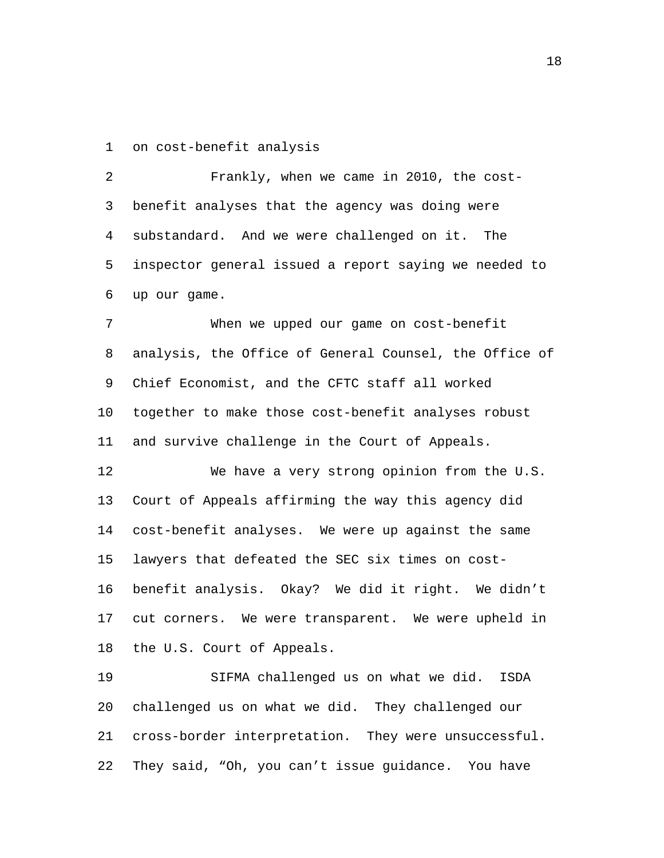1 on cost-benefit analysis

Frankly, when we came in 2010, the costbenefit analyses that the agency was doing were substandard. And we were challenged on it. The inspector general issued a report saying we needed to up our game. 2 3 4 5 6

When we upped our game on cost-benefit analysis, the Office of General Counsel, the Office of Chief Economist, and the CFTC staff all worked together to make those cost-benefit analyses robust and survive challenge in the Court of Appeals. 7 8 9 10 11

We have a very strong opinion from the U.S. Court of Appeals affirming the way this agency did cost-benefit analyses. We were up against the same lawyers that defeated the SEC six times on costbenefit analysis. Okay? We did it right. We didn't cut corners. We were transparent. We were upheld in the U.S. Court of Appeals. 12 13 14 15 16 17 18

SIFMA challenged us on what we did. ISDA challenged us on what we did. They challenged our cross-border interpretation. They were unsuccessful. They said, "Oh, you can't issue guidance. You have 19 20 21 22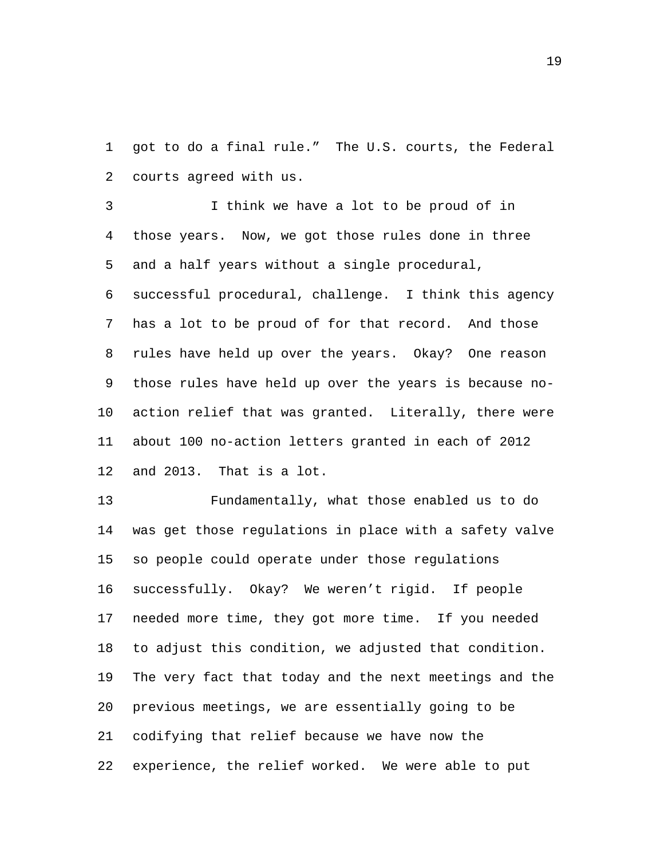got to do a final rule." The U.S. courts, the Federal courts agreed with us. 1 2

I think we have a lot to be proud of in those years. Now, we got those rules done in three and a half years without a single procedural, successful procedural, challenge. I think this agency has a lot to be proud of for that record. And those rules have held up over the years. Okay? One reason those rules have held up over the years is because noaction relief that was granted. Literally, there were about 100 no-action letters granted in each of 2012 and 2013. That is a lot. 3 4 5 6 7 8 9 10 11 12

Fundamentally, what those enabled us to do was get those regulations in place with a safety valve so people could operate under those regulations successfully. Okay? We weren't rigid. If people needed more time, they got more time. If you needed to adjust this condition, we adjusted that condition. The very fact that today and the next meetings and the previous meetings, we are essentially going to be codifying that relief because we have now the experience, the relief worked. We were able to put 13 14 15 16 17 18 19 20 21 22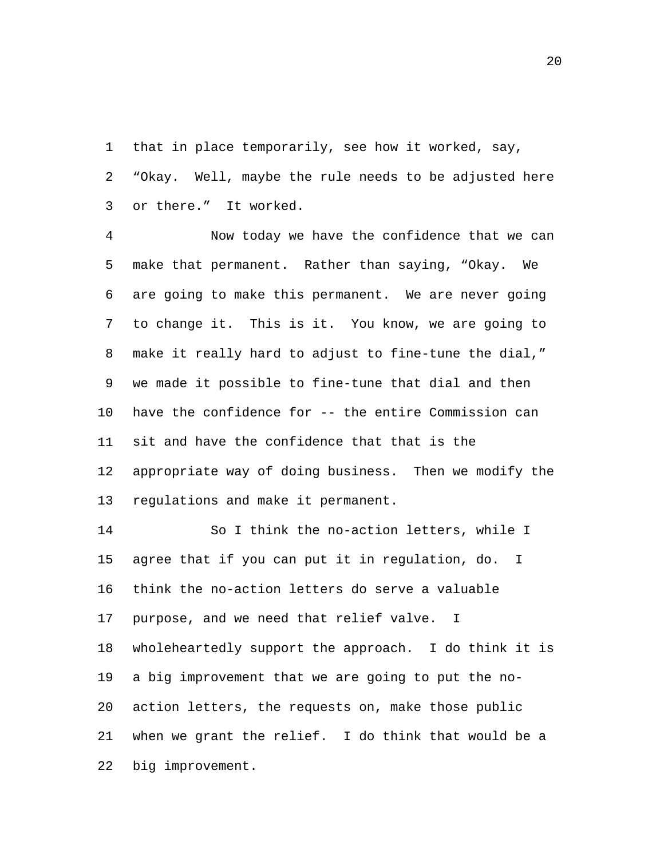that in place temporarily, see how it worked, say, "Okay. Well, maybe the rule needs to be adjusted here or there." It worked. 1 2 3

Now today we have the confidence that we can make that permanent. Rather than saying, "Okay. We are going to make this permanent. We are never going to change it. This is it. You know, we are going to make it really hard to adjust to fine-tune the dial," we made it possible to fine-tune that dial and then have the confidence for -- the entire Commission can sit and have the confidence that that is the appropriate way of doing business. Then we modify the regulations and make it permanent. 4 5 6 7 8 9 10 11 12 13

So I think the no-action letters, while I agree that if you can put it in regulation, do. I think the no-action letters do serve a valuable purpose, and we need that relief valve. I wholeheartedly support the approach. I do think it is a big improvement that we are going to put the noaction letters, the requests on, make those public when we grant the relief. I do think that would be a big improvement. 14 15 16 17 18 19 20 21 22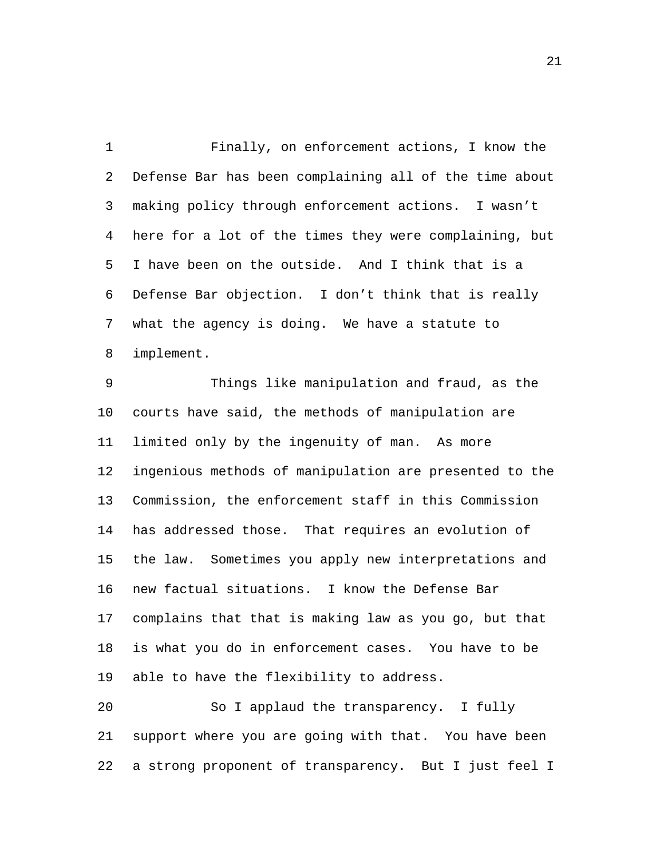Finally, on enforcement actions, I know the Defense Bar has been complaining all of the time about making policy through enforcement actions. I wasn't here for a lot of the times they were complaining, but I have been on the outside. And I think that is a Defense Bar objection. I don't think that is really what the agency is doing. We have a statute to implement. 1 2 3 4 5 6 7 8

Things like manipulation and fraud, as the courts have said, the methods of manipulation are limited only by the ingenuity of man. As more ingenious methods of manipulation are presented to the Commission, the enforcement staff in this Commission has addressed those. That requires an evolution of the law. Sometimes you apply new interpretations and new factual situations. I know the Defense Bar complains that that is making law as you go, but that is what you do in enforcement cases. You have to be able to have the flexibility to address. 9 10 11 12 13 14 15 16 17 18 19

So I applaud the transparency. I fully support where you are going with that. You have been a strong proponent of transparency. But I just feel I 20 21 22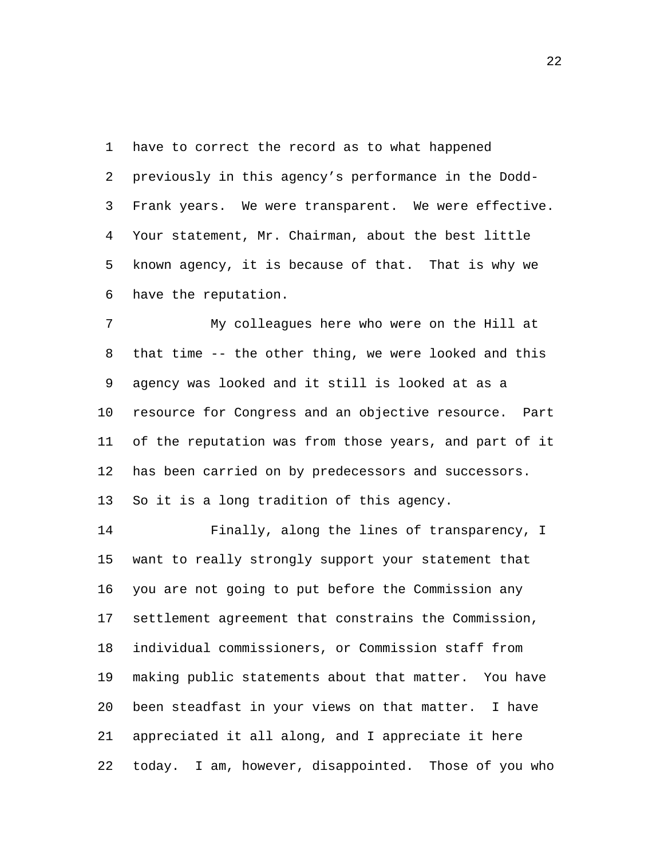have to correct the record as to what happened previously in this agency's performance in the Dodd-Frank years. We were transparent. We were effective. Your statement, Mr. Chairman, about the best little known agency, it is because of that. That is why we have the reputation. 1 2 3 4 5 6

My colleagues here who were on the Hill at that time -- the other thing, we were looked and this agency was looked and it still is looked at as a resource for Congress and an objective resource. Part of the reputation was from those years, and part of it has been carried on by predecessors and successors. So it is a long tradition of this agency. 7 8 9 10 11 12 13

Finally, along the lines of transparency, I want to really strongly support your statement that you are not going to put before the Commission any settlement agreement that constrains the Commission, individual commissioners, or Commission staff from making public statements about that matter. You have been steadfast in your views on that matter. I have appreciated it all along, and I appreciate it here today. I am, however, disappointed. Those of you who 14 15 16 17 18 19 20 21 22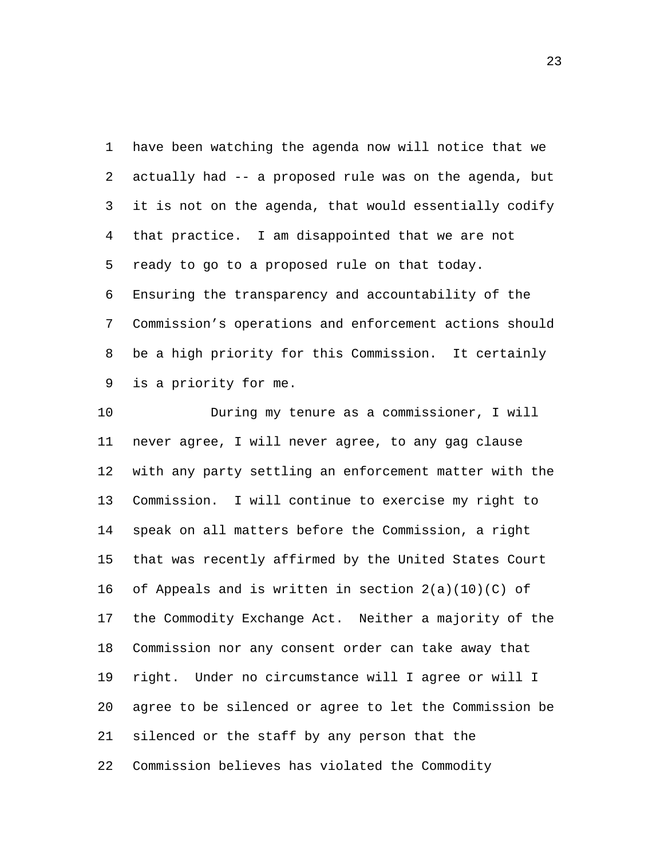have been watching the agenda now will notice that we actually had -- a proposed rule was on the agenda, but it is not on the agenda, that would essentially codify that practice. I am disappointed that we are not ready to go to a proposed rule on that today. Ensuring the transparency and accountability of the Commission's operations and enforcement actions should be a high priority for this Commission. It certainly is a priority for me. 1 2 3 4 5 6 7 8 9

During my tenure as a commissioner, I will never agree, I will never agree, to any gag clause with any party settling an enforcement matter with the Commission. I will continue to exercise my right to speak on all matters before the Commission, a right that was recently affirmed by the United States Court of Appeals and is written in section  $2(a)(10)(C)$  of the Commodity Exchange Act. Neither a majority of the Commission nor any consent order can take away that right. Under no circumstance will I agree or will I agree to be silenced or agree to let the Commission be silenced or the staff by any person that the Commission believes has violated the Commodity 10 11 12 13 14 15 16 17 18 19 20 21 22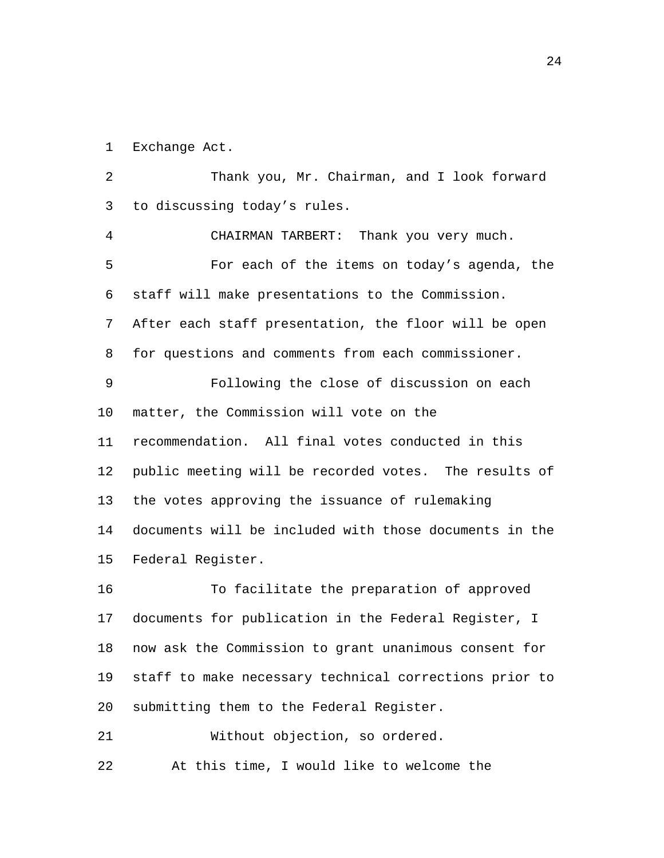1 Exchange Act.

Thank you, Mr. Chairman, and I look forward to discussing today's rules. 2 3 4 CHAIRMAN TARBERT: Thank you very much. For each of the items on today's agenda, the staff will make presentations to the Commission. After each staff presentation, the floor will be open for questions and comments from each commissioner. 5 6 7 8 Following the close of discussion on each matter, the Commission will vote on the recommendation. All final votes conducted in this public meeting will be recorded votes. The results of the votes approving the issuance of rulemaking documents will be included with those documents in the Federal Register. 9 10 11 12 13 14 15 To facilitate the preparation of approved documents for publication in the Federal Register, I now ask the Commission to grant unanimous consent for staff to make necessary technical corrections prior to submitting them to the Federal Register. 16 17 18 19 20 21 Without objection, so ordered.

22 At this time, I would like to welcome the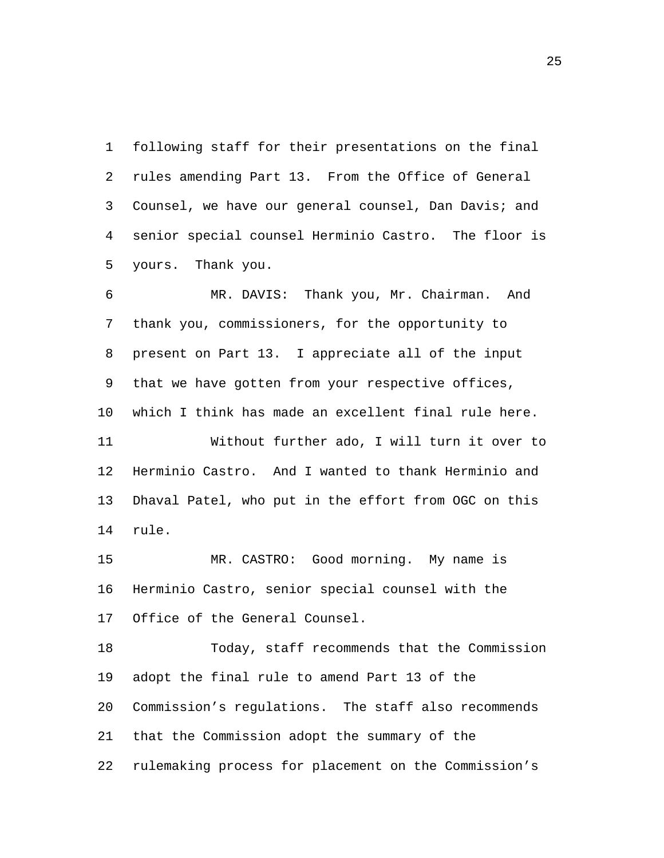following staff for their presentations on the final rules amending Part 13. From the Office of General Counsel, we have our general counsel, Dan Davis; and senior special counsel Herminio Castro. The floor is yours. Thank you. 1 2 3 4 5

MR. DAVIS: Thank you, Mr. Chairman. And thank you, commissioners, for the opportunity to present on Part 13. I appreciate all of the input that we have gotten from your respective offices, which I think has made an excellent final rule here. 6 7 8 9 10 Without further ado, I will turn it over to Herminio Castro. And I wanted to thank Herminio and Dhaval Patel, who put in the effort from OGC on this rule. 11 12 13 14

MR. CASTRO: Good morning. My name is Herminio Castro, senior special counsel with the Office of the General Counsel. 15 16 17

Today, staff recommends that the Commission adopt the final rule to amend Part 13 of the Commission's regulations. The staff also recommends that the Commission adopt the summary of the rulemaking process for placement on the Commission's 18 19 20 21 22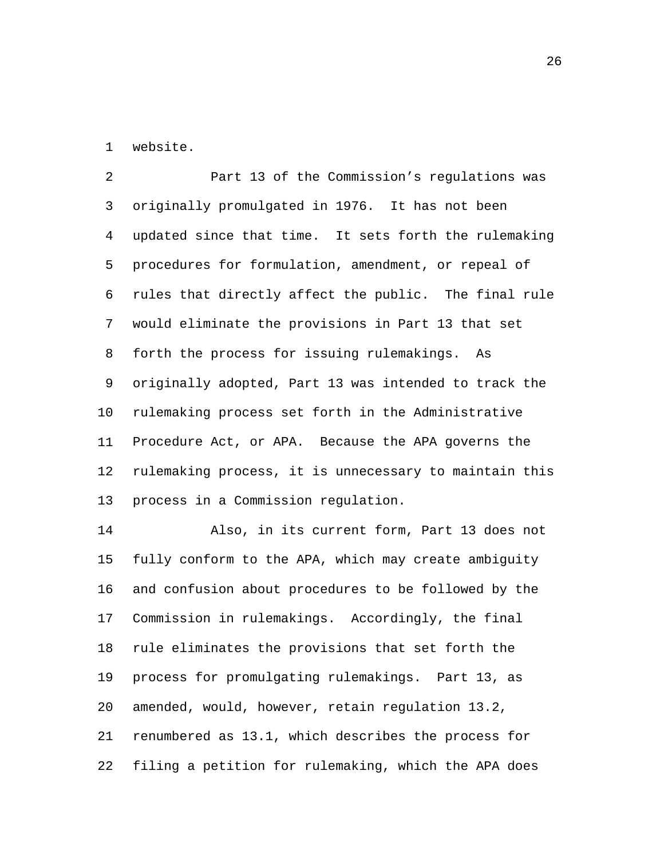1 website.

Part 13 of the Commission's regulations was originally promulgated in 1976. It has not been updated since that time. It sets forth the rulemaking procedures for formulation, amendment, or repeal of rules that directly affect the public. The final rule would eliminate the provisions in Part 13 that set forth the process for issuing rulemakings. As originally adopted, Part 13 was intended to track the rulemaking process set forth in the Administrative Procedure Act, or APA. Because the APA governs the rulemaking process, it is unnecessary to maintain this process in a Commission regulation. 2 3 4 5 6 7 8 9 10 11 12 13

Also, in its current form, Part 13 does not fully conform to the APA, which may create ambiguity and confusion about procedures to be followed by the Commission in rulemakings. Accordingly, the final rule eliminates the provisions that set forth the process for promulgating rulemakings. Part 13, as amended, would, however, retain regulation 13.2, renumbered as 13.1, which describes the process for filing a petition for rulemaking, which the APA does 14 15 16 17 18 19 20 21 22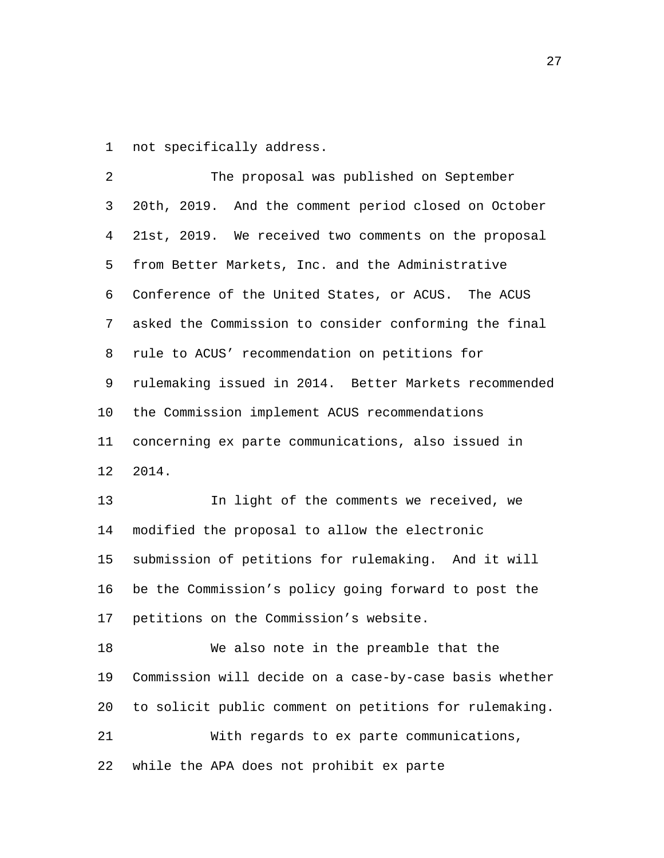1 not specifically address.

The proposal was published on September 20th, 2019. And the comment period closed on October 21st, 2019. We received two comments on the proposal from Better Markets, Inc. and the Administrative Conference of the United States, or ACUS. The ACUS asked the Commission to consider conforming the final rule to ACUS' recommendation on petitions for rulemaking issued in 2014. Better Markets recommended the Commission implement ACUS recommendations concerning ex parte communications, also issued in 2014. 2 3 4 5 6 7 8 9 10 11 12 In light of the comments we received, we modified the proposal to allow the electronic submission of petitions for rulemaking. And it will be the Commission's policy going forward to post the petitions on the Commission's website. 13 14 15 16 17 We also note in the preamble that the Commission will decide on a case-by-case basis whether to solicit public comment on petitions for rulemaking. 18 19 20 With regards to ex parte communications, while the APA does not prohibit ex parte 21 22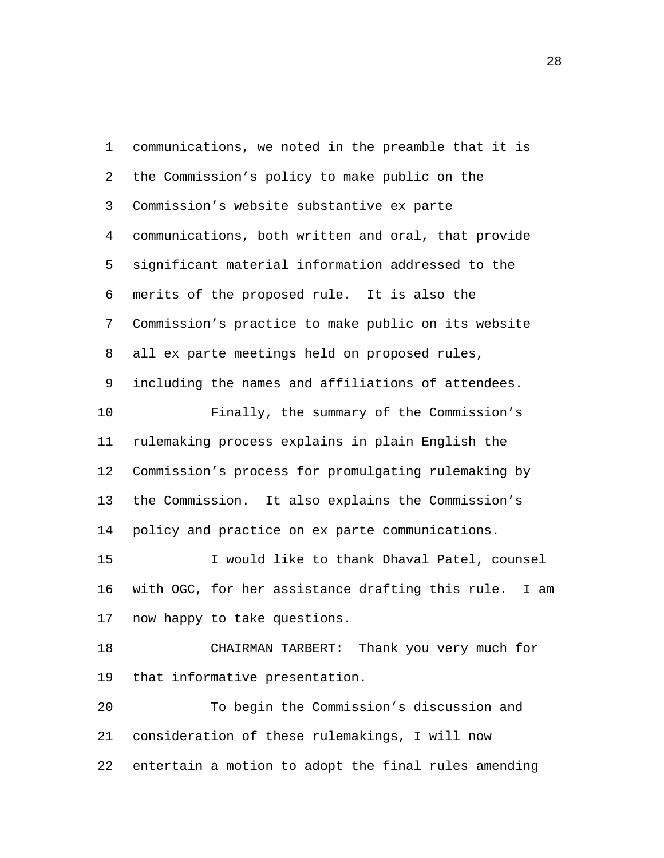communications, we noted in the preamble that it is the Commission's policy to make public on the Commission's website substantive ex parte communications, both written and oral, that provide significant material information addressed to the merits of the proposed rule. It is also the Commission's practice to make public on its website all ex parte meetings held on proposed rules, including the names and affiliations of attendees. 1 2 3 4 5 6 7 8 9 Finally, the summary of the Commission's rulemaking process explains in plain English the Commission's process for promulgating rulemaking by the Commission. It also explains the Commission's policy and practice on ex parte communications. 10 11 12 13 14 I would like to thank Dhaval Patel, counsel with OGC, for her assistance drafting this rule. I am now happy to take questions. 15 16 17 CHAIRMAN TARBERT: Thank you very much for that informative presentation. 18 19 To begin the Commission's discussion and consideration of these rulemakings, I will now entertain a motion to adopt the final rules amending 20 21 22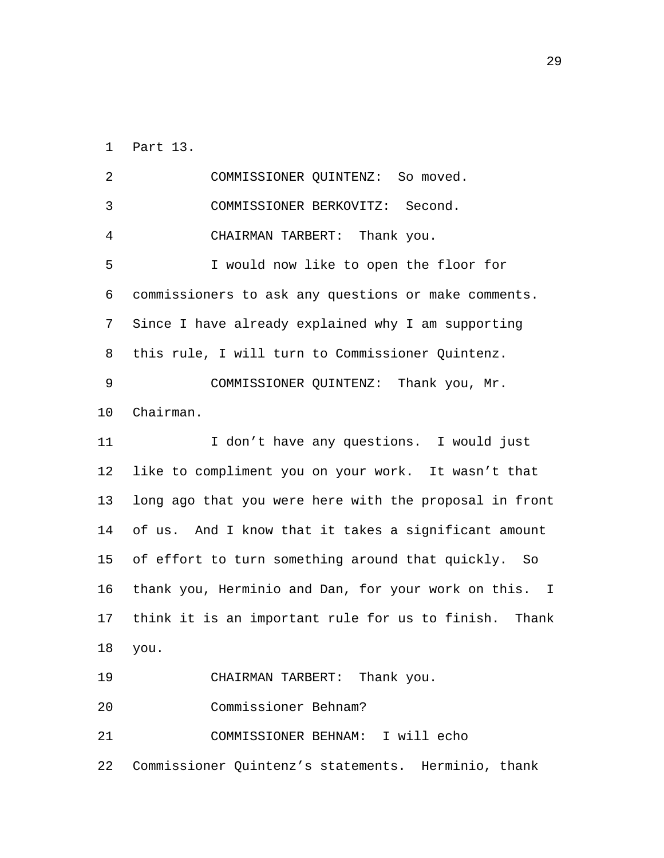1 Part 13.

2 COMMISSIONER QUINTENZ: So moved. 3 COMMISSIONER BERKOVITZ: Second. 4 CHAIRMAN TARBERT: Thank you. I would now like to open the floor for commissioners to ask any questions or make comments. Since I have already explained why I am supporting this rule, I will turn to Commissioner Quintenz. 5 6 7 8 COMMISSIONER QUINTENZ: Thank you, Mr. Chairman. 9 10 I don't have any questions. I would just like to compliment you on your work. It wasn't that long ago that you were here with the proposal in front of us. And I know that it takes a significant amount of effort to turn something around that quickly. So thank you, Herminio and Dan, for your work on this. I think it is an important rule for us to finish. Thank you. 11 12 13 14 15 16 17 18 19 CHAIRMAN TARBERT: Thank you. 20 Commissioner Behnam? COMMISSIONER BEHNAM: I will echo Commissioner Quintenz's statements. Herminio, thank 21 22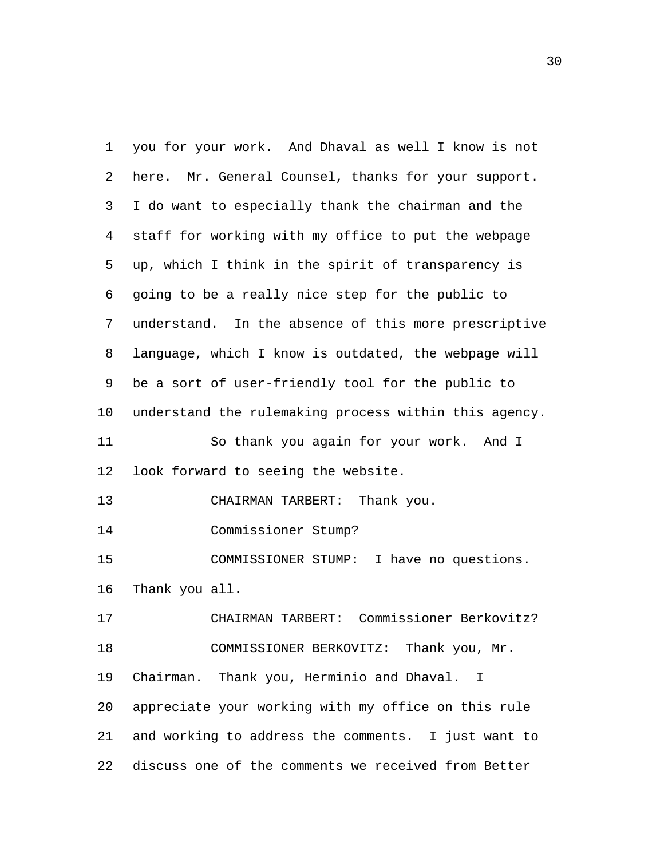| 1  | you for your work. And Dhaval as well I know is not   |
|----|-------------------------------------------------------|
| 2  | here. Mr. General Counsel, thanks for your support.   |
| 3  | I do want to especially thank the chairman and the    |
| 4  | staff for working with my office to put the webpage   |
| 5  | up, which I think in the spirit of transparency is    |
| 6  | going to be a really nice step for the public to      |
| 7  | understand. In the absence of this more prescriptive  |
| 8  | language, which I know is outdated, the webpage will  |
| 9  | be a sort of user-friendly tool for the public to     |
| 10 | understand the rulemaking process within this agency. |
| 11 | So thank you again for your work. And I               |
| 12 | look forward to seeing the website.                   |
| 13 | CHAIRMAN TARBERT: Thank you.                          |
| 14 | Commissioner Stump?                                   |
| 15 | COMMISSIONER STUMP: I have no questions.              |
| 16 | Thank you all.                                        |
| 17 | CHAIRMAN TARBERT: Commissioner Berkovitz?             |
| 18 | COMMISSIONER BERKOVITZ: Thank you, Mr.                |
| 19 | Chairman. Thank you, Herminio and Dhaval. I           |
| 20 | appreciate your working with my office on this rule   |
| 21 | and working to address the comments. I just want to   |
| 22 | discuss one of the comments we received from Better   |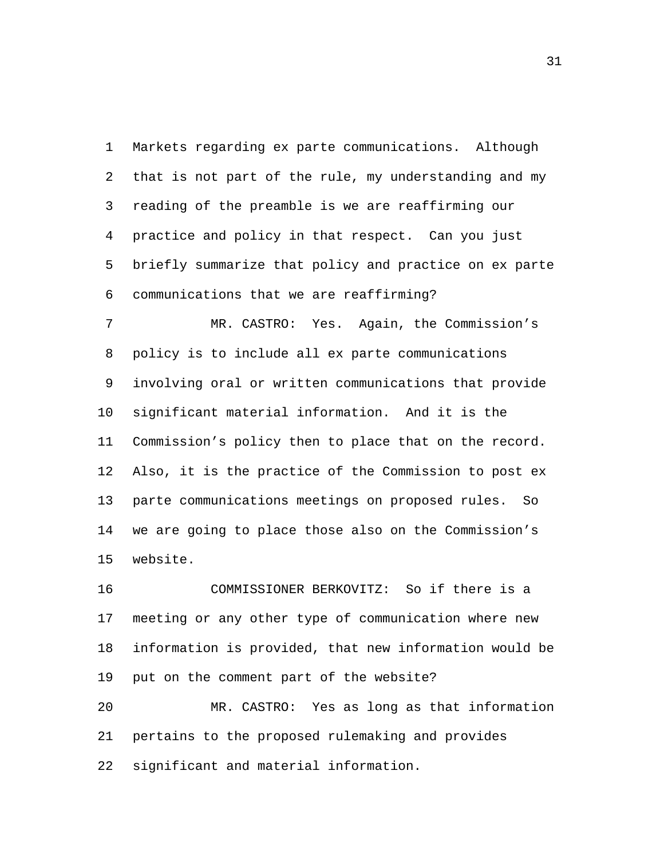Markets regarding ex parte communications. Although that is not part of the rule, my understanding and my reading of the preamble is we are reaffirming our practice and policy in that respect. Can you just briefly summarize that policy and practice on ex parte communications that we are reaffirming? 1 2 3 4 5 6

MR. CASTRO: Yes. Again, the Commission's policy is to include all ex parte communications involving oral or written communications that provide significant material information. And it is the Commission's policy then to place that on the record. Also, it is the practice of the Commission to post ex parte communications meetings on proposed rules. So we are going to place those also on the Commission's website. 7 8 9 10 11 12 13 14 15

COMMISSIONER BERKOVITZ: So if there is a meeting or any other type of communication where new information is provided, that new information would be put on the comment part of the website? 16 17 18 19

MR. CASTRO: Yes as long as that information pertains to the proposed rulemaking and provides significant and material information. 20 21 22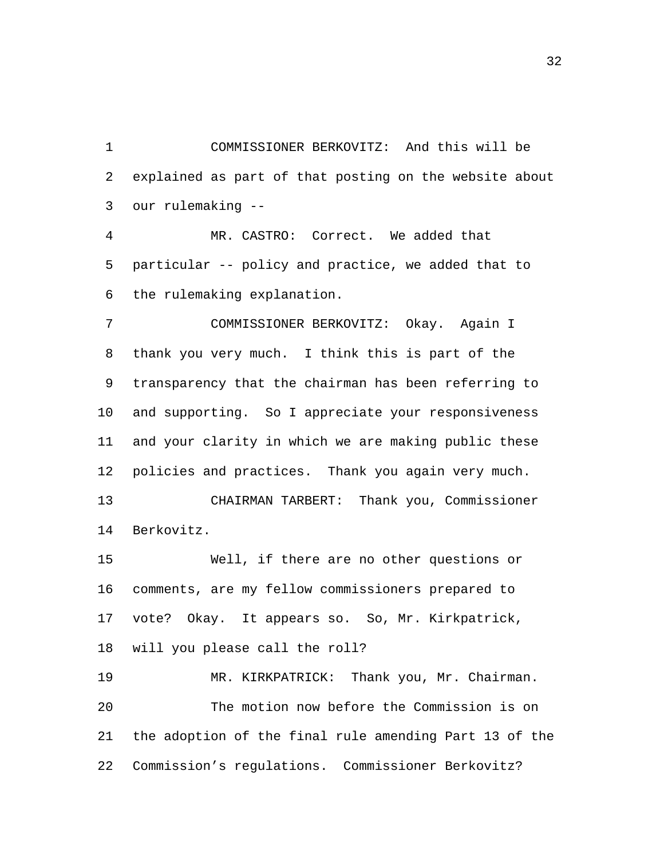COMMISSIONER BERKOVITZ: And this will be explained as part of that posting on the website about our rulemaking -- 1 2 3

MR. CASTRO: Correct. We added that particular -- policy and practice, we added that to the rulemaking explanation. 4 5 6

COMMISSIONER BERKOVITZ: Okay. Again I thank you very much. I think this is part of the transparency that the chairman has been referring to and supporting. So I appreciate your responsiveness and your clarity in which we are making public these policies and practices. Thank you again very much. 7 8 9 10 11 12

CHAIRMAN TARBERT: Thank you, Commissioner Berkovitz. 13 14

Well, if there are no other questions or comments, are my fellow commissioners prepared to vote? Okay. It appears so. So, Mr. Kirkpatrick, will you please call the roll? 15 16 17 18

19 MR. KIRKPATRICK: Thank you, Mr. Chairman. The motion now before the Commission is on the adoption of the final rule amending Part 13 of the Commission's regulations. Commissioner Berkovitz? 20 21 22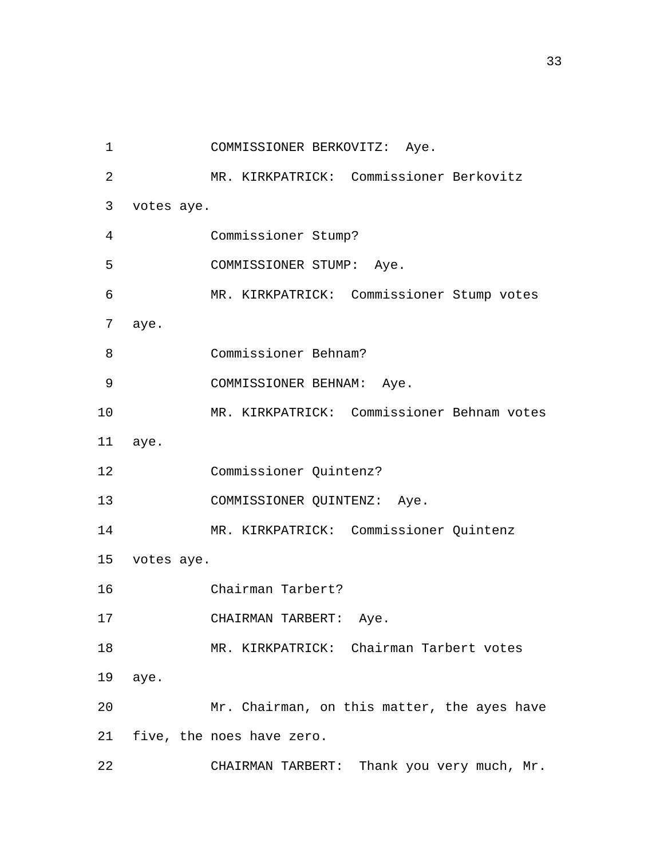1 COMMISSIONER BERKOVITZ: Aye. MR. KIRKPATRICK: Commissioner Berkovitz votes aye. 2 3 4 Commissioner Stump? 5 COMMISSIONER STUMP: Aye. MR. KIRKPATRICK: Commissioner Stump votes aye. 6 7 8 Commissioner Behnam? 9 COMMISSIONER BEHNAM: Aye. MR. KIRKPATRICK: Commissioner Behnam votes aye. 10 11 12 Commissioner Quintenz? 13 COMMISSIONER QUINTENZ: Aye. MR. KIRKPATRICK: Commissioner Quintenz votes aye. 15 14 16 Chairman Tarbert? 17 CHAIRMAN TARBERT: Aye. MR. KIRKPATRICK: Chairman Tarbert votes aye. 19 18 Mr. Chairman, on this matter, the ayes have 21 five, the noes have zero. 20 22 CHAIRMAN TARBERT: Thank you very much, Mr.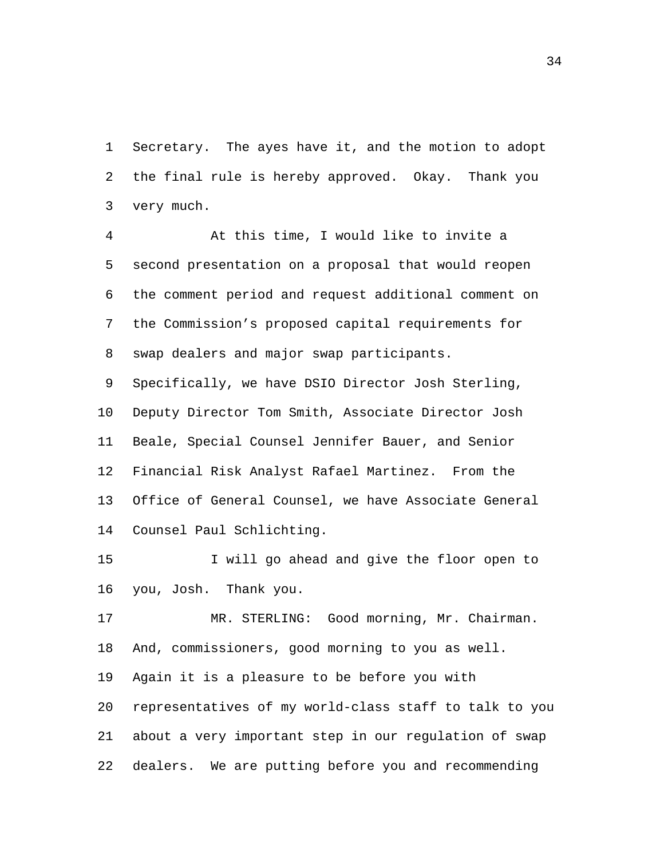Secretary. The ayes have it, and the motion to adopt the final rule is hereby approved. Okay. Thank you very much. 1 2 3

At this time, I would like to invite a second presentation on a proposal that would reopen the comment period and request additional comment on the Commission's proposed capital requirements for swap dealers and major swap participants. 4 5 6 7 8

Specifically, we have DSIO Director Josh Sterling, Deputy Director Tom Smith, Associate Director Josh Beale, Special Counsel Jennifer Bauer, and Senior Financial Risk Analyst Rafael Martinez. From the Office of General Counsel, we have Associate General Counsel Paul Schlichting. 9 10 11 12 13 14

I will go ahead and give the floor open to you, Josh. Thank you. 15 16

MR. STERLING: Good morning, Mr. Chairman. And, commissioners, good morning to you as well. Again it is a pleasure to be before you with representatives of my world-class staff to talk to you about a very important step in our regulation of swap dealers. We are putting before you and recommending 17 18 19 20 21 22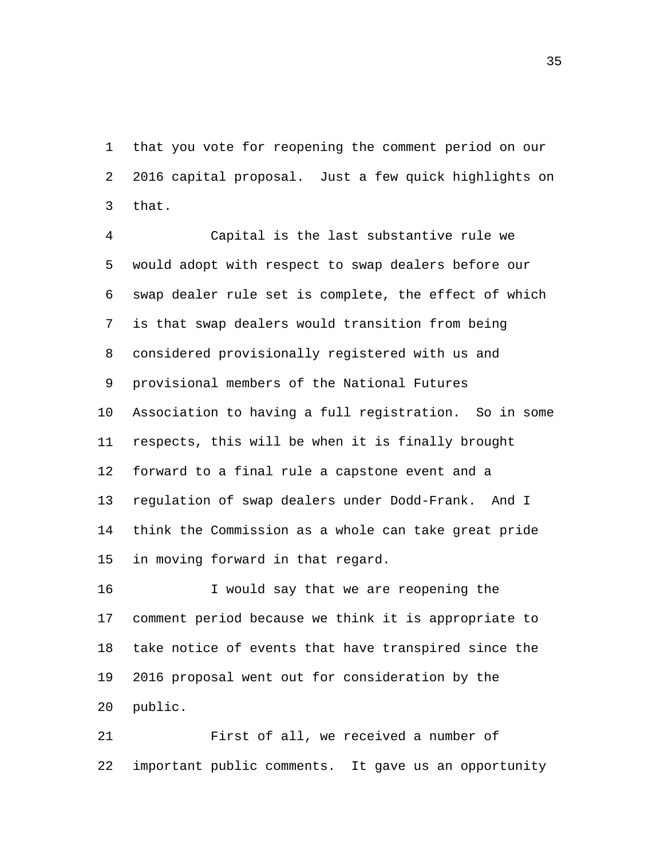that you vote for reopening the comment period on our 2016 capital proposal. Just a few quick highlights on that. 1 2 3

Capital is the last substantive rule we would adopt with respect to swap dealers before our swap dealer rule set is complete, the effect of which is that swap dealers would transition from being considered provisionally registered with us and provisional members of the National Futures Association to having a full registration. So in some respects, this will be when it is finally brought forward to a final rule a capstone event and a regulation of swap dealers under Dodd-Frank. And I think the Commission as a whole can take great pride in moving forward in that regard. 4 5 6 7 8 9 10 11 12 13 14 15

I would say that we are reopening the comment period because we think it is appropriate to take notice of events that have transpired since the 2016 proposal went out for consideration by the public. 16 17 18 19 20

First of all, we received a number of important public comments. It gave us an opportunity 21 22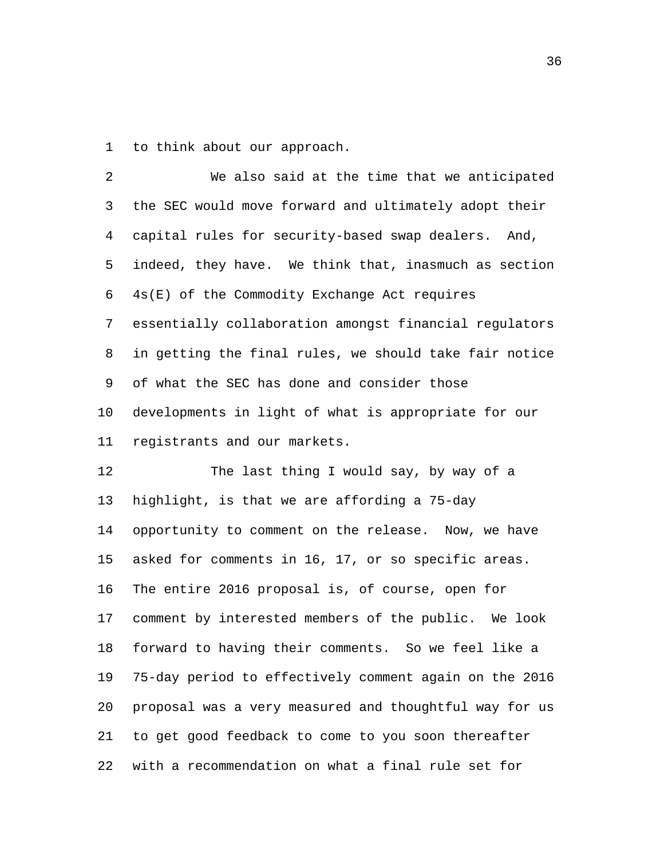1 to think about our approach.

We also said at the time that we anticipated the SEC would move forward and ultimately adopt their capital rules for security-based swap dealers. And, indeed, they have. We think that, inasmuch as section 4s(E) of the Commodity Exchange Act requires essentially collaboration amongst financial regulators in getting the final rules, we should take fair notice of what the SEC has done and consider those developments in light of what is appropriate for our registrants and our markets. 2 3 4 5 6 7 8 9 10 11

The last thing I would say, by way of a highlight, is that we are affording a 75-day opportunity to comment on the release. Now, we have asked for comments in 16, 17, or so specific areas. The entire 2016 proposal is, of course, open for comment by interested members of the public. We look forward to having their comments. So we feel like a 75-day period to effectively comment again on the 2016 proposal was a very measured and thoughtful way for us to get good feedback to come to you soon thereafter with a recommendation on what a final rule set for 12 13 14 15 16 17 18 19 20 21 22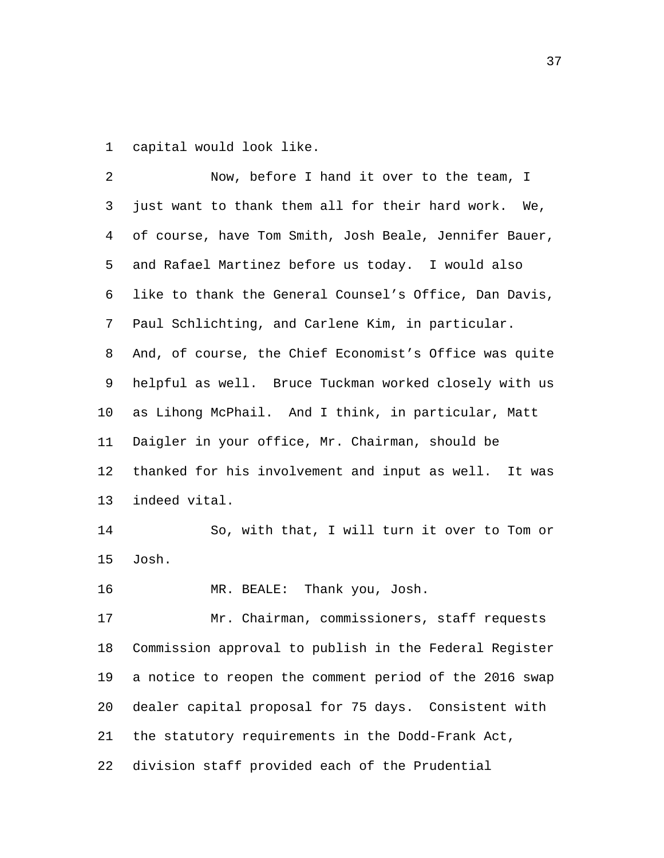1 capital would look like.

Now, before I hand it over to the team, I just want to thank them all for their hard work. We, of course, have Tom Smith, Josh Beale, Jennifer Bauer, and Rafael Martinez before us today. I would also like to thank the General Counsel's Office, Dan Davis, Paul Schlichting, and Carlene Kim, in particular. And, of course, the Chief Economist's Office was quite helpful as well. Bruce Tuckman worked closely with us as Lihong McPhail. And I think, in particular, Matt Daigler in your office, Mr. Chairman, should be thanked for his involvement and input as well. It was indeed vital. 2 3 4 5 6 7 8 9 10 11 12 13 So, with that, I will turn it over to Tom or Josh. 14 15 16 MR. BEALE: Thank you, Josh. Mr. Chairman, commissioners, staff requests Commission approval to publish in the Federal Register a notice to reopen the comment period of the 2016 swap dealer capital proposal for 75 days. Consistent with the statutory requirements in the Dodd-Frank Act, 17 18 19 20 21

division staff provided each of the Prudential 22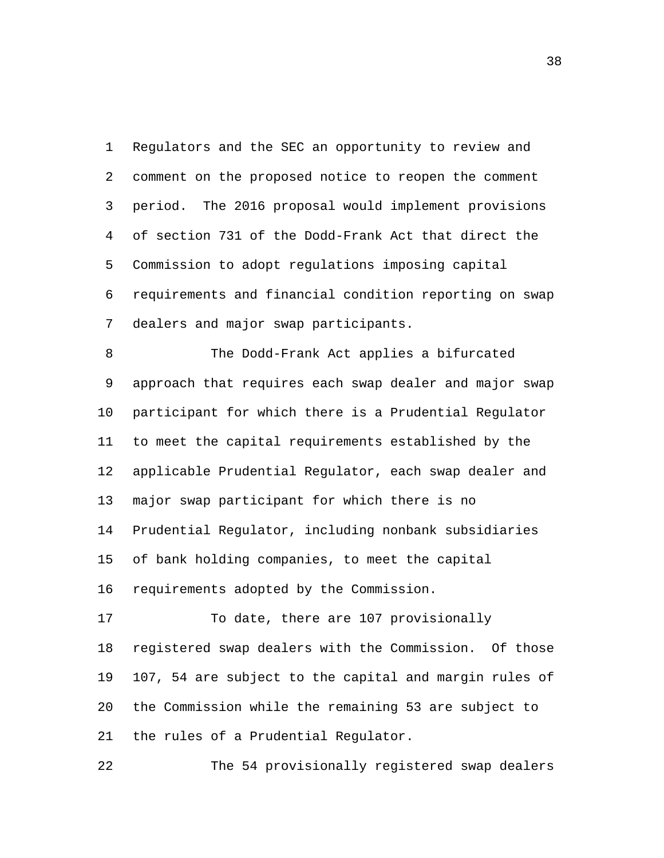Regulators and the SEC an opportunity to review and comment on the proposed notice to reopen the comment period. The 2016 proposal would implement provisions of section 731 of the Dodd-Frank Act that direct the Commission to adopt regulations imposing capital requirements and financial condition reporting on swap dealers and major swap participants. 1 2 3 4 5 6 7

The Dodd-Frank Act applies a bifurcated approach that requires each swap dealer and major swap participant for which there is a Prudential Regulator to meet the capital requirements established by the applicable Prudential Regulator, each swap dealer and major swap participant for which there is no Prudential Regulator, including nonbank subsidiaries of bank holding companies, to meet the capital requirements adopted by the Commission. 8 9 10 11 12 13 14 15 16

To date, there are 107 provisionally registered swap dealers with the Commission. Of those 107, 54 are subject to the capital and margin rules of the Commission while the remaining 53 are subject to the rules of a Prudential Regulator. 17 18 19 20 21

22 The 54 provisionally registered swap dealers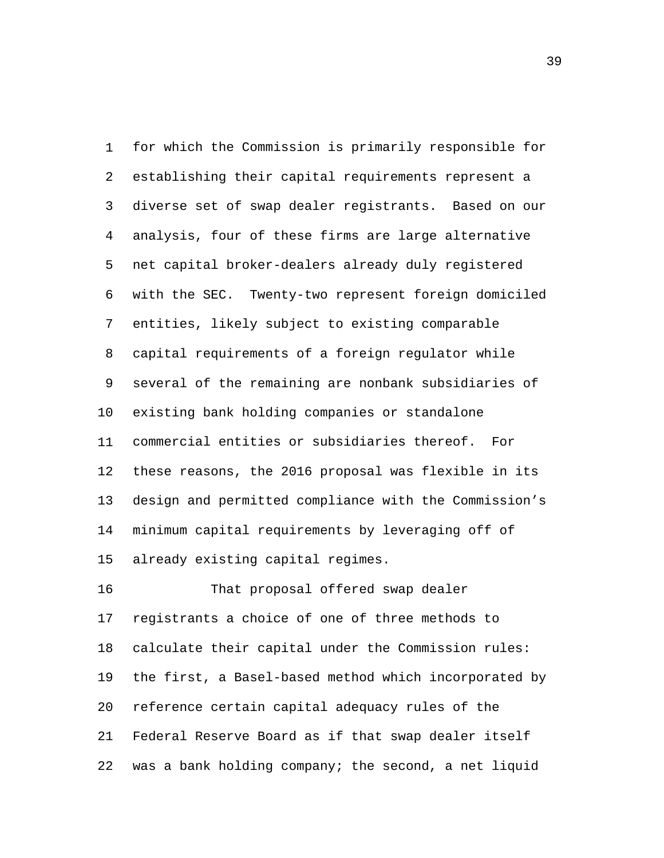for which the Commission is primarily responsible for establishing their capital requirements represent a diverse set of swap dealer registrants. Based on our analysis, four of these firms are large alternative net capital broker-dealers already duly registered with the SEC. Twenty-two represent foreign domiciled entities, likely subject to existing comparable capital requirements of a foreign regulator while several of the remaining are nonbank subsidiaries of existing bank holding companies or standalone commercial entities or subsidiaries thereof. For these reasons, the 2016 proposal was flexible in its design and permitted compliance with the Commission's minimum capital requirements by leveraging off of already existing capital regimes. 1 2 3 4 5 6 7 8 9 10 11 12 13 14 15

That proposal offered swap dealer registrants a choice of one of three methods to calculate their capital under the Commission rules: the first, a Basel-based method which incorporated by reference certain capital adequacy rules of the Federal Reserve Board as if that swap dealer itself was a bank holding company; the second, a net liquid 16 17 18 19 20 21 22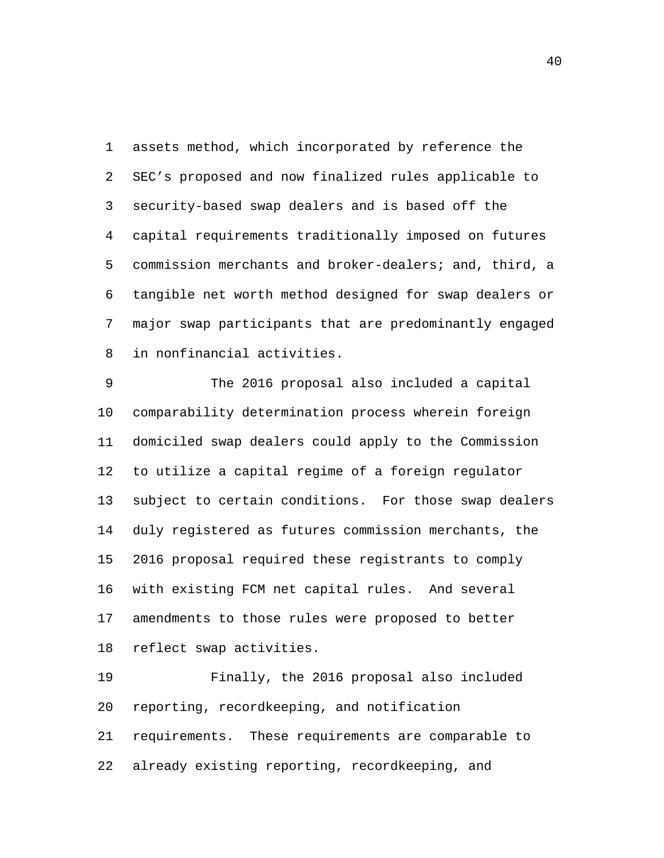assets method, which incorporated by reference the SEC's proposed and now finalized rules applicable to security-based swap dealers and is based off the capital requirements traditionally imposed on futures commission merchants and broker-dealers; and, third, a tangible net worth method designed for swap dealers or major swap participants that are predominantly engaged in nonfinancial activities. 1 2 3 4 5 6 7 8

The 2016 proposal also included a capital comparability determination process wherein foreign domiciled swap dealers could apply to the Commission to utilize a capital regime of a foreign regulator subject to certain conditions. For those swap dealers duly registered as futures commission merchants, the 2016 proposal required these registrants to comply with existing FCM net capital rules. And several amendments to those rules were proposed to better reflect swap activities. 9 10 11 12 13 14 15 16 17 18

Finally, the 2016 proposal also included reporting, recordkeeping, and notification requirements. These requirements are comparable to already existing reporting, recordkeeping, and 19 20 21 22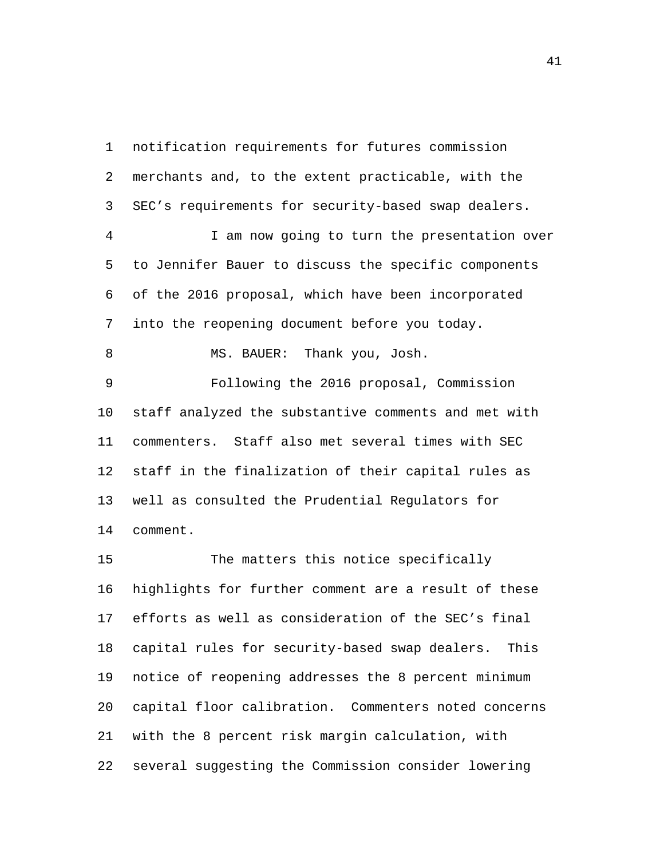notification requirements for futures commission merchants and, to the extent practicable, with the SEC's requirements for security-based swap dealers. 1 2 3 I am now going to turn the presentation over to Jennifer Bauer to discuss the specific components of the 2016 proposal, which have been incorporated into the reopening document before you today. 4 5 6 7 8 MS. BAUER: Thank you, Josh. Following the 2016 proposal, Commission staff analyzed the substantive comments and met with commenters. Staff also met several times with SEC staff in the finalization of their capital rules as well as consulted the Prudential Regulators for comment. 9 10 11 12 13 14 The matters this notice specifically highlights for further comment are a result of these efforts as well as consideration of the SEC's final capital rules for security-based swap dealers. This notice of reopening addresses the 8 percent minimum capital floor calibration. Commenters noted concerns with the 8 percent risk margin calculation, with 15 16 17 18 19 20 21

several suggesting the Commission consider lowering 22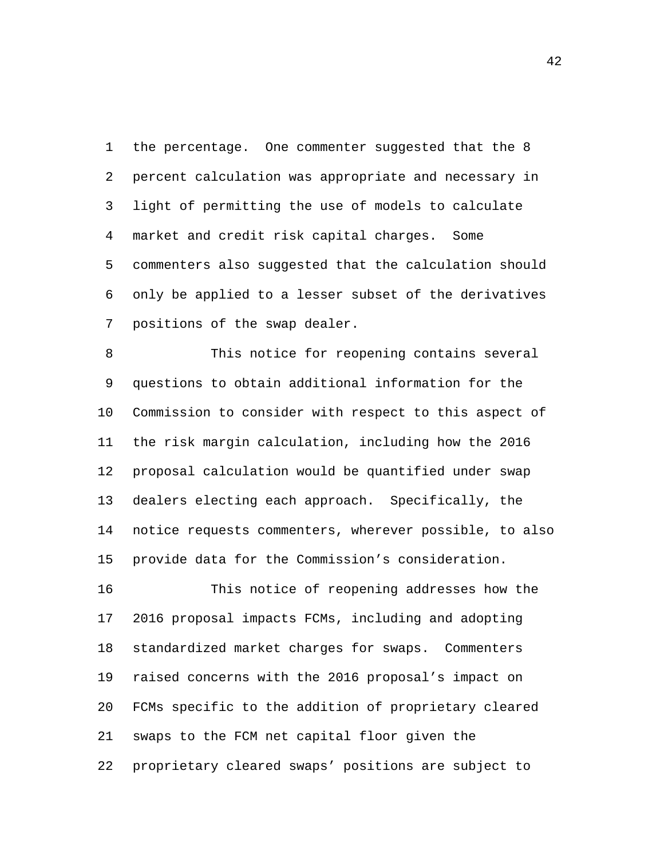the percentage. One commenter suggested that the 8 percent calculation was appropriate and necessary in light of permitting the use of models to calculate market and credit risk capital charges. Some commenters also suggested that the calculation should only be applied to a lesser subset of the derivatives positions of the swap dealer. 1 2 3 4 5 6 7

This notice for reopening contains several questions to obtain additional information for the Commission to consider with respect to this aspect of the risk margin calculation, including how the 2016 proposal calculation would be quantified under swap dealers electing each approach. Specifically, the notice requests commenters, wherever possible, to also provide data for the Commission's consideration. 8 9 10 11 12 13 14 15

This notice of reopening addresses how the 2016 proposal impacts FCMs, including and adopting standardized market charges for swaps. Commenters raised concerns with the 2016 proposal's impact on FCMs specific to the addition of proprietary cleared swaps to the FCM net capital floor given the proprietary cleared swaps' positions are subject to 16 17 18 19 20 21 22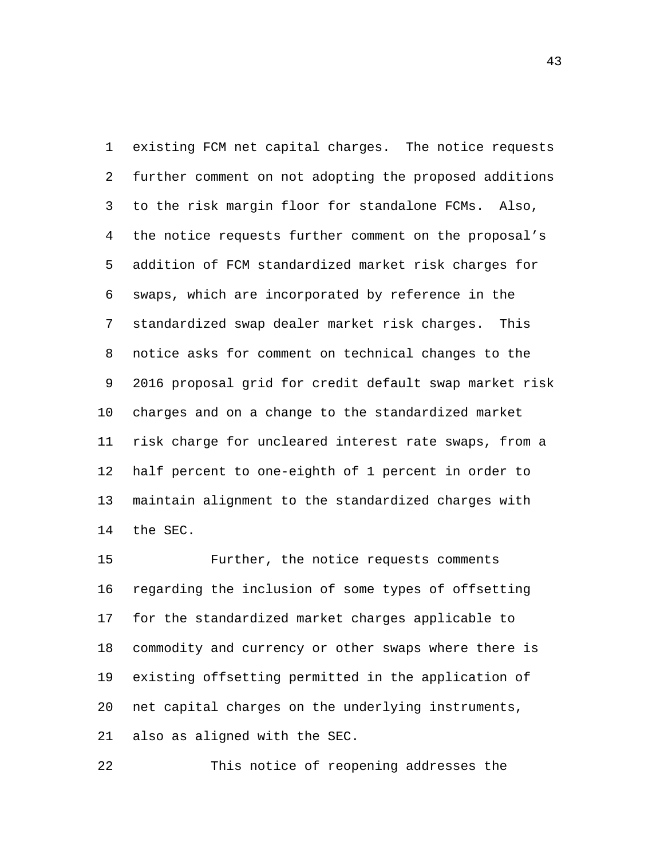existing FCM net capital charges. The notice requests further comment on not adopting the proposed additions to the risk margin floor for standalone FCMs. Also, the notice requests further comment on the proposal's addition of FCM standardized market risk charges for swaps, which are incorporated by reference in the standardized swap dealer market risk charges. This notice asks for comment on technical changes to the 2016 proposal grid for credit default swap market risk charges and on a change to the standardized market risk charge for uncleared interest rate swaps, from a half percent to one-eighth of 1 percent in order to maintain alignment to the standardized charges with the SEC. 1 2 3 4 5 6 7 8 9 10 11 12 13 14

Further, the notice requests comments regarding the inclusion of some types of offsetting for the standardized market charges applicable to commodity and currency or other swaps where there is existing offsetting permitted in the application of net capital charges on the underlying instruments, also as aligned with the SEC. 15 16 17 18 19 20 21

22 This notice of reopening addresses the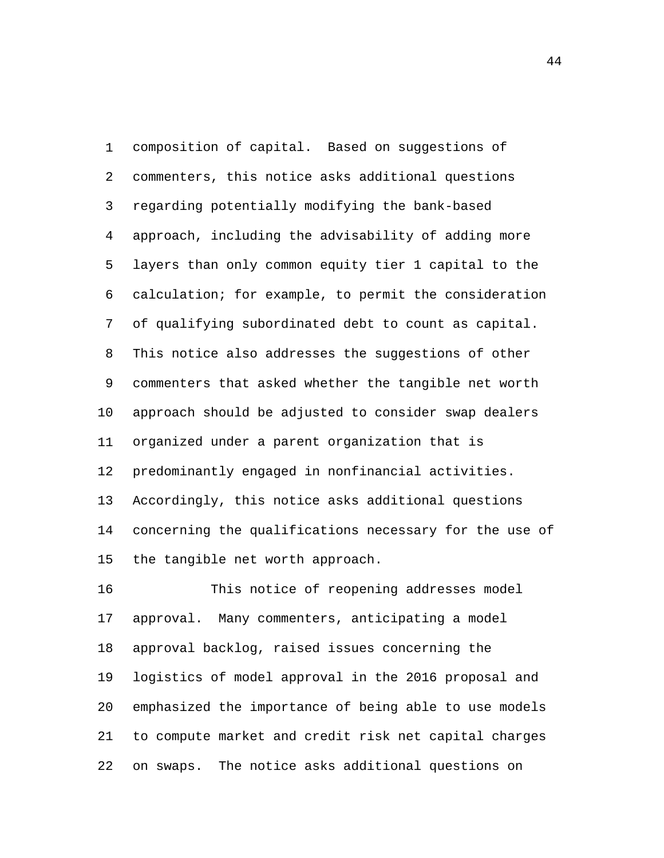composition of capital. Based on suggestions of commenters, this notice asks additional questions regarding potentially modifying the bank-based approach, including the advisability of adding more layers than only common equity tier 1 capital to the calculation; for example, to permit the consideration of qualifying subordinated debt to count as capital. This notice also addresses the suggestions of other commenters that asked whether the tangible net worth approach should be adjusted to consider swap dealers organized under a parent organization that is predominantly engaged in nonfinancial activities. Accordingly, this notice asks additional questions concerning the qualifications necessary for the use of the tangible net worth approach. 1 2 3 4 5 6 7 8 9 10 11 12 13 14 15

This notice of reopening addresses model approval. Many commenters, anticipating a model approval backlog, raised issues concerning the logistics of model approval in the 2016 proposal and emphasized the importance of being able to use models to compute market and credit risk net capital charges on swaps. The notice asks additional questions on 16 17 18 19 20 21 22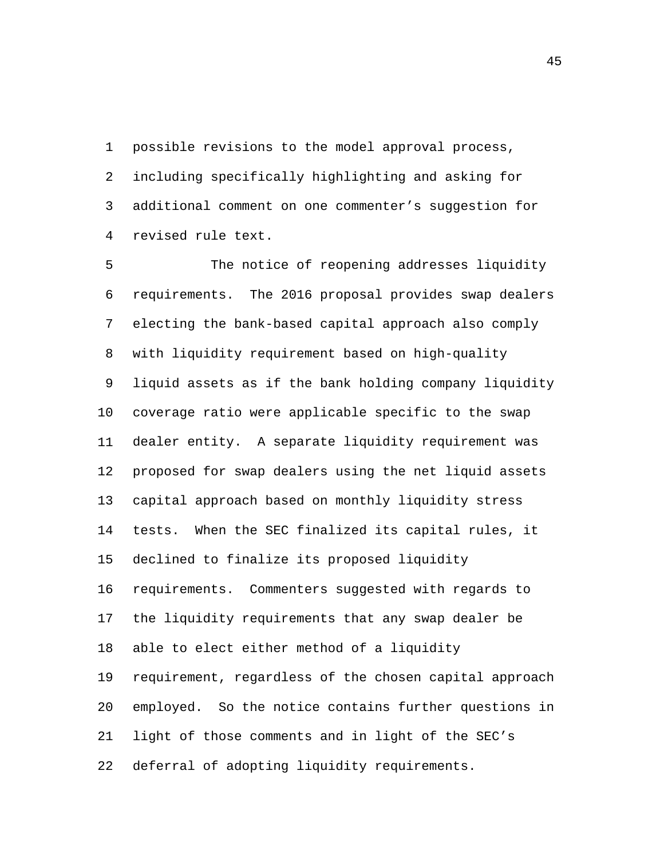possible revisions to the model approval process, including specifically highlighting and asking for additional comment on one commenter's suggestion for revised rule text. 1 2 3 4

The notice of reopening addresses liquidity requirements. The 2016 proposal provides swap dealers electing the bank-based capital approach also comply with liquidity requirement based on high-quality liquid assets as if the bank holding company liquidity coverage ratio were applicable specific to the swap dealer entity. A separate liquidity requirement was proposed for swap dealers using the net liquid assets capital approach based on monthly liquidity stress tests. When the SEC finalized its capital rules, it declined to finalize its proposed liquidity requirements. Commenters suggested with regards to the liquidity requirements that any swap dealer be able to elect either method of a liquidity requirement, regardless of the chosen capital approach employed. So the notice contains further questions in light of those comments and in light of the SEC's deferral of adopting liquidity requirements. 5 6 7 8 9 10 11 12 13 14 15 16 17 18 19 20 21 22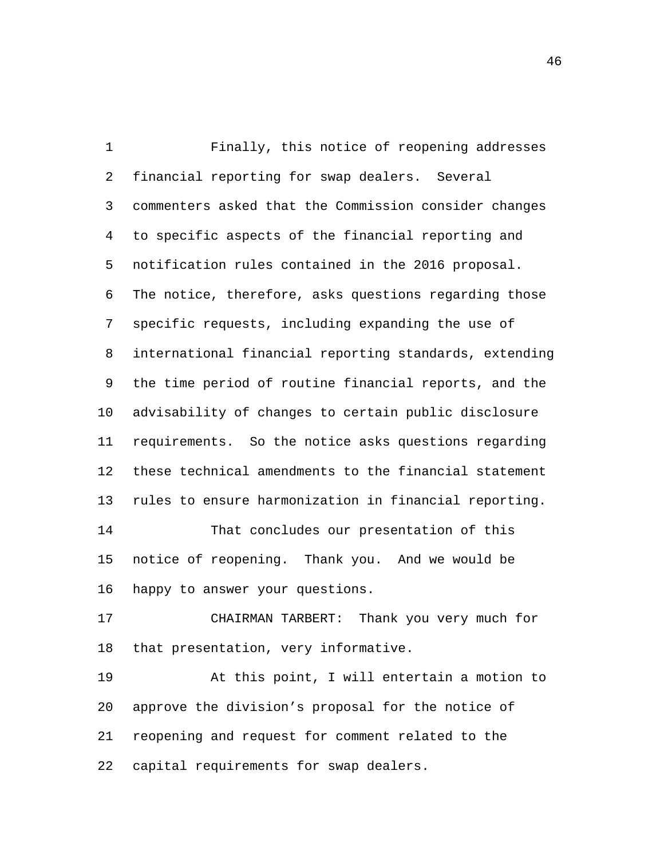Finally, this notice of reopening addresses financial reporting for swap dealers. Several commenters asked that the Commission consider changes to specific aspects of the financial reporting and notification rules contained in the 2016 proposal. The notice, therefore, asks questions regarding those specific requests, including expanding the use of international financial reporting standards, extending the time period of routine financial reports, and the advisability of changes to certain public disclosure requirements. So the notice asks questions regarding these technical amendments to the financial statement rules to ensure harmonization in financial reporting. 1 2 3 4 5 6 7 8 9 10 11 12 13 That concludes our presentation of this notice of reopening. Thank you. And we would be happy to answer your questions. 14 15 16

CHAIRMAN TARBERT: Thank you very much for that presentation, very informative. 17 18

At this point, I will entertain a motion to approve the division's proposal for the notice of reopening and request for comment related to the capital requirements for swap dealers. 19 20 21 22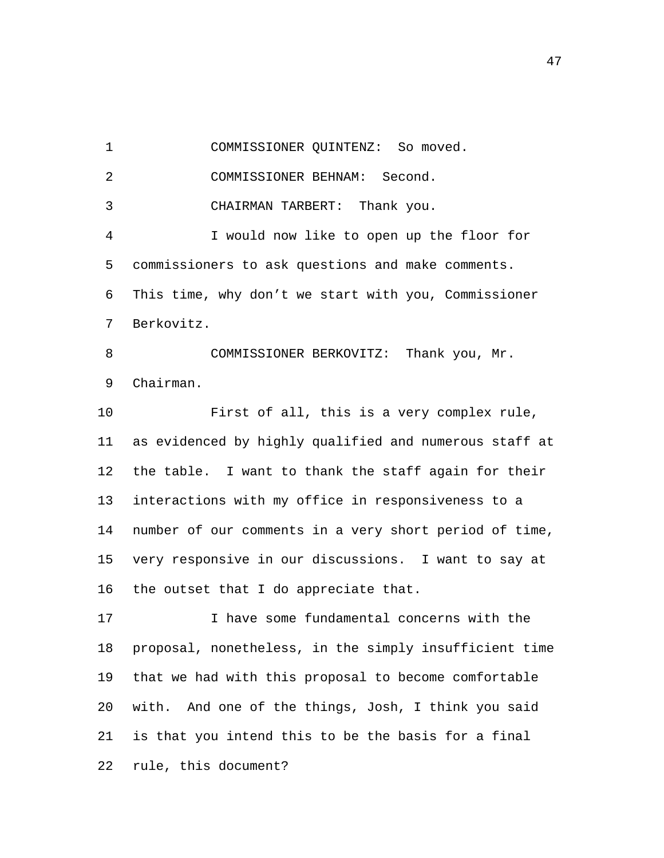1 COMMISSIONER QUINTENZ: So moved. 2 COMMISSIONER BEHNAM: Second. 3 CHAIRMAN TARBERT: Thank you. I would now like to open up the floor for commissioners to ask questions and make comments. This time, why don't we start with you, Commissioner Berkovitz. 4 5 6 7 COMMISSIONER BERKOVITZ: Thank you, Mr. Chairman. 8 9 First of all, this is a very complex rule, as evidenced by highly qualified and numerous staff at the table. I want to thank the staff again for their interactions with my office in responsiveness to a number of our comments in a very short period of time, very responsive in our discussions. I want to say at the outset that I do appreciate that. 10 11 12 13 14 15 16 I have some fundamental concerns with the proposal, nonetheless, in the simply insufficient time that we had with this proposal to become comfortable with. And one of the things, Josh, I think you said 17 18 19 20

is that you intend this to be the basis for a final

rule, this document? 22

21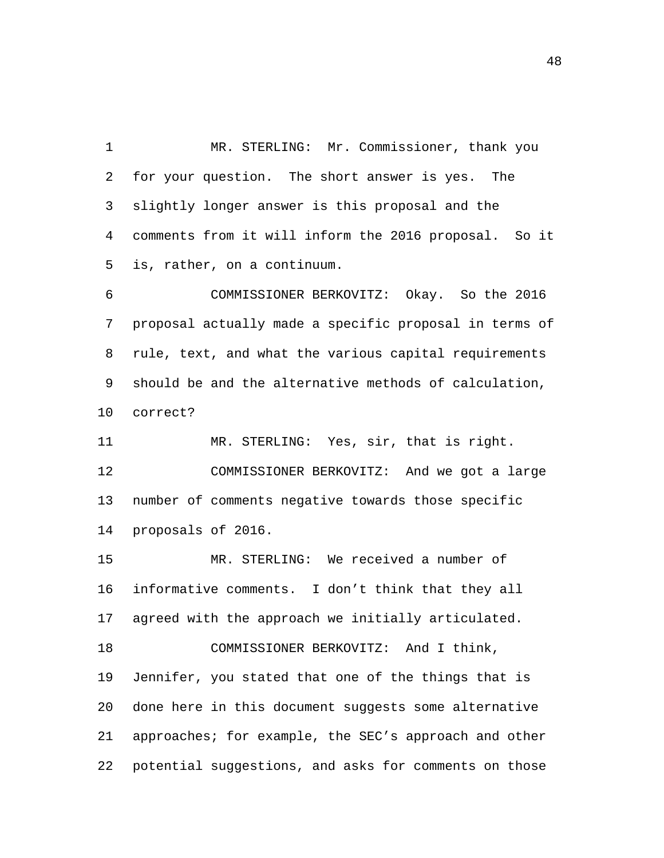MR. STERLING: Mr. Commissioner, thank you for your question. The short answer is yes. The slightly longer answer is this proposal and the comments from it will inform the 2016 proposal. So it is, rather, on a continuum. 1 2 3 4 5

COMMISSIONER BERKOVITZ: Okay. So the 2016 proposal actually made a specific proposal in terms of rule, text, and what the various capital requirements should be and the alternative methods of calculation, correct? 6 7 8 9 10

11 MR. STERLING: Yes, sir, that is right. COMMISSIONER BERKOVITZ: And we got a large number of comments negative towards those specific proposals of 2016. 12 13 14

MR. STERLING: We received a number of informative comments. I don't think that they all agreed with the approach we initially articulated. 15 16 17 COMMISSIONER BERKOVITZ: And I think, Jennifer, you stated that one of the things that is done here in this document suggests some alternative approaches; for example, the SEC's approach and other potential suggestions, and asks for comments on those 18 19 20 21 22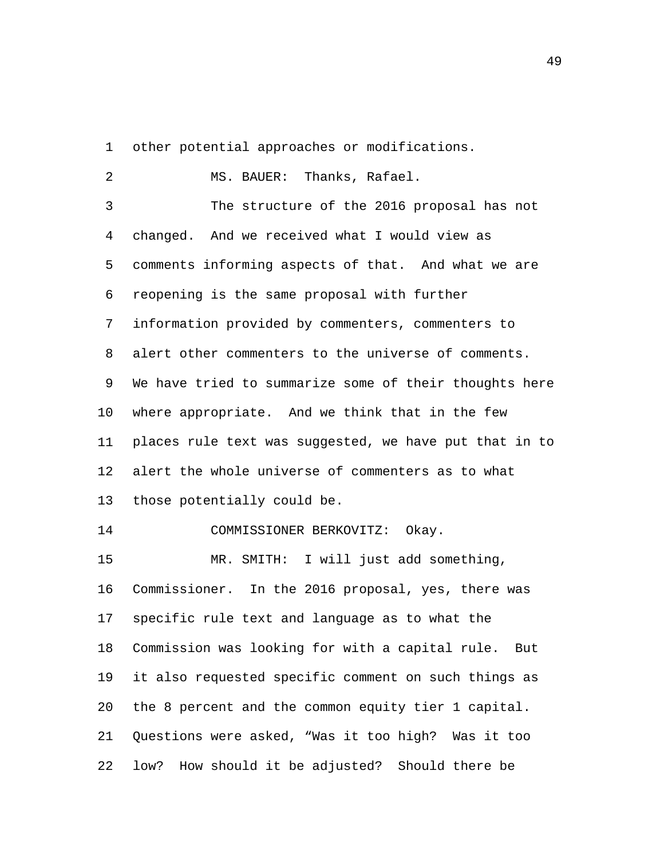1 other potential approaches or modifications.

| 2              | MS. BAUER: Thanks, Rafael.                             |
|----------------|--------------------------------------------------------|
| $\mathfrak{Z}$ | The structure of the 2016 proposal has not             |
| 4              | changed. And we received what I would view as          |
| 5              | comments informing aspects of that. And what we are    |
| 6              | reopening is the same proposal with further            |
| 7              | information provided by commenters, commenters to      |
| 8              | alert other commenters to the universe of comments.    |
| 9              | We have tried to summarize some of their thoughts here |
| 10             | where appropriate. And we think that in the few        |
| 11             | places rule text was suggested, we have put that in to |
| 12             | alert the whole universe of commenters as to what      |
| 13             | those potentially could be.                            |
| 14             | COMMISSIONER BERKOVITZ: Okay.                          |
| 15             | MR. SMITH: I will just add something,                  |
| 16             | Commissioner. In the 2016 proposal, yes, there was     |
| 17             | specific rule text and language as to what the         |
| 18             | Commission was looking for with a capital rule.<br>But |
| 19             | it also requested specific comment on such things as   |
| 20             | the 8 percent and the common equity tier 1 capital.    |
| 21             | Questions were asked, "Was it too high? Was it too     |
| 22             | How should it be adjusted? Should there be<br>low?     |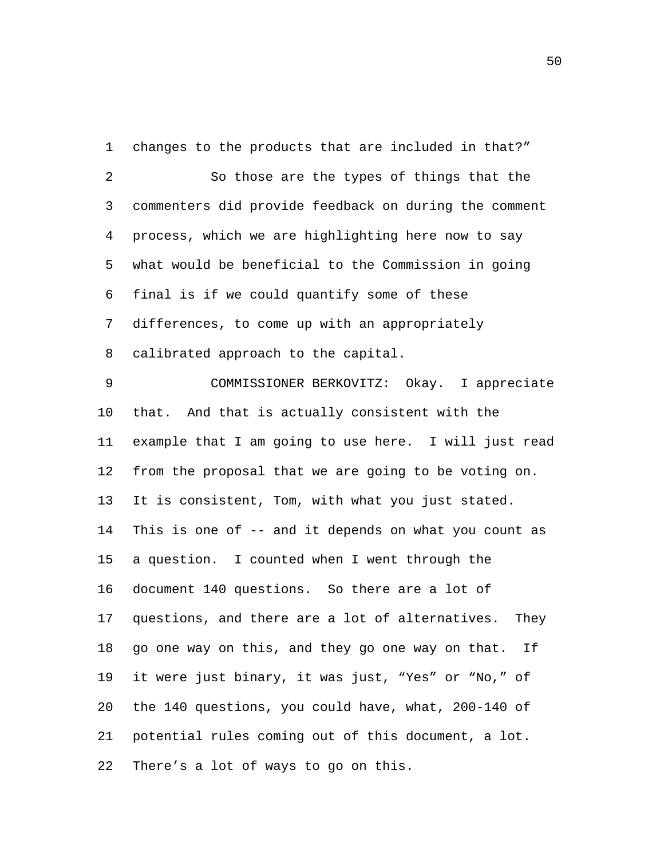1 changes to the products that are included in that?" So those are the types of things that the commenters did provide feedback on during the comment process, which we are highlighting here now to say what would be beneficial to the Commission in going final is if we could quantify some of these differences, to come up with an appropriately calibrated approach to the capital. 2 3 4 5 6 7 8 COMMISSIONER BERKOVITZ: Okay. I appreciate that. And that is actually consistent with the example that I am going to use here. I will just read from the proposal that we are going to be voting on. It is consistent, Tom, with what you just stated. This is one of -- and it depends on what you count as a question. I counted when I went through the document 140 questions. So there are a lot of questions, and there are a lot of alternatives. They go one way on this, and they go one way on that. If it were just binary, it was just, "Yes" or "No," of the 140 questions, you could have, what, 200-140 of potential rules coming out of this document, a lot. There's a lot of ways to go on this. 9 10 11 12 13 14 15 16 17 18 19 20 21 22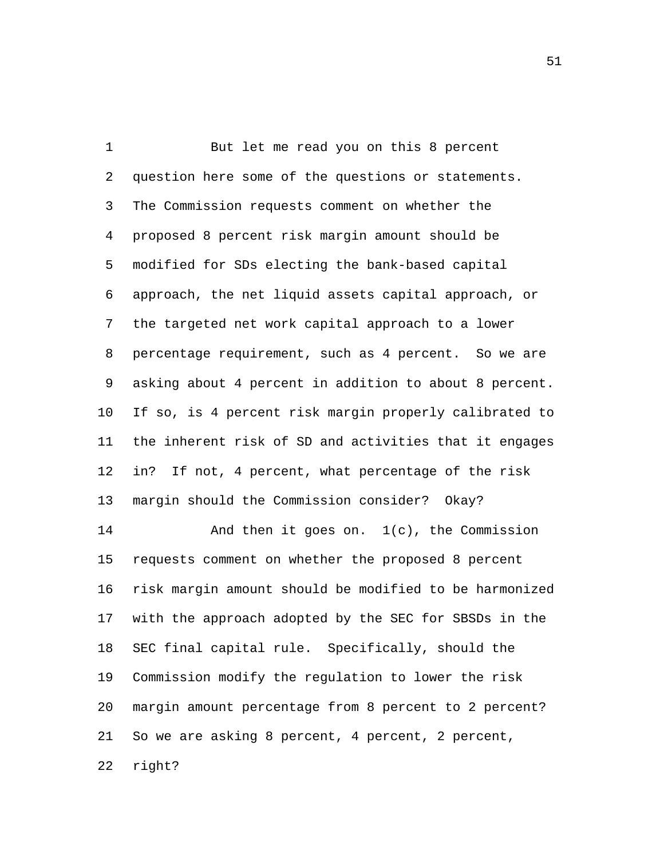But let me read you on this 8 percent question here some of the questions or statements. The Commission requests comment on whether the proposed 8 percent risk margin amount should be modified for SDs electing the bank-based capital approach, the net liquid assets capital approach, or the targeted net work capital approach to a lower percentage requirement, such as 4 percent. So we are asking about 4 percent in addition to about 8 percent. If so, is 4 percent risk margin properly calibrated to the inherent risk of SD and activities that it engages in? If not, 4 percent, what percentage of the risk margin should the Commission consider? Okay? 1 2 3 4 5 6 7 8 9 10 11 12 13 And then it goes on.  $1(c)$ , the Commission requests comment on whether the proposed 8 percent risk margin amount should be modified to be harmonized with the approach adopted by the SEC for SBSDs in the SEC final capital rule. Specifically, should the Commission modify the regulation to lower the risk margin amount percentage from 8 percent to 2 percent? So we are asking 8 percent, 4 percent, 2 percent, right? 14 15 16 17 18 19 20 21 22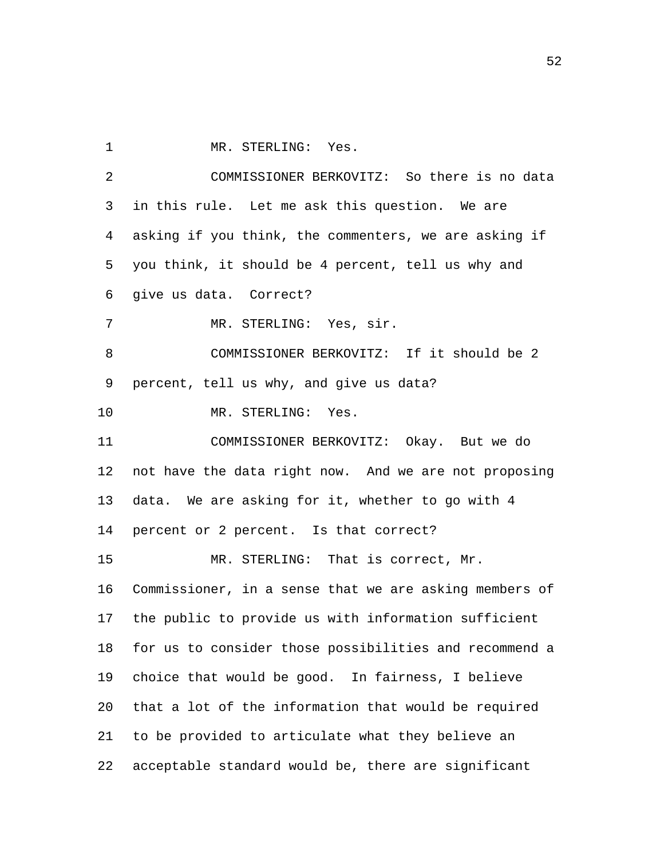1 MR. STERLING: Yes.

COMMISSIONER BERKOVITZ: So there is no data in this rule. Let me ask this question. We are asking if you think, the commenters, we are asking if you think, it should be 4 percent, tell us why and give us data. Correct? 2 3 4 5 6 7 MR. STERLING: Yes, sir. COMMISSIONER BERKOVITZ: If it should be 2 percent, tell us why, and give us data? 8 9 10 MR. STERLING: Yes. COMMISSIONER BERKOVITZ: Okay. But we do not have the data right now. And we are not proposing data. We are asking for it, whether to go with 4 percent or 2 percent. Is that correct? 11 12 13 14 MR. STERLING: That is correct, Mr. Commissioner, in a sense that we are asking members of the public to provide us with information sufficient for us to consider those possibilities and recommend a choice that would be good. In fairness, I believe that a lot of the information that would be required to be provided to articulate what they believe an acceptable standard would be, there are significant 15 16 17 18 19 20 21 22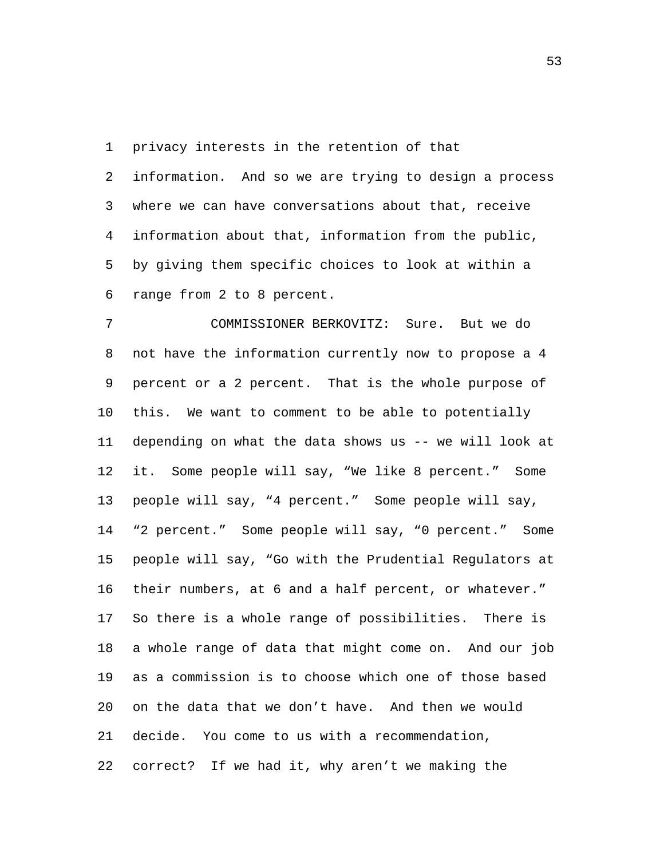privacy interests in the retention of that information. And so we are trying to design a process where we can have conversations about that, receive information about that, information from the public, by giving them specific choices to look at within a range from 2 to 8 percent. 1 2 3 4 5 6

COMMISSIONER BERKOVITZ: Sure. But we do not have the information currently now to propose a 4 percent or a 2 percent. That is the whole purpose of this. We want to comment to be able to potentially depending on what the data shows us -- we will look at it. Some people will say, "We like 8 percent." Some people will say, "4 percent." Some people will say, "2 percent." Some people will say, "0 percent." Some people will say, "Go with the Prudential Regulators at their numbers, at 6 and a half percent, or whatever." So there is a whole range of possibilities. There is a whole range of data that might come on. And our job as a commission is to choose which one of those based on the data that we don't have. And then we would decide. You come to us with a recommendation, correct? If we had it, why aren't we making the 7 8 9 10 11 12 13 14 15 16 17 18 19 20 21 22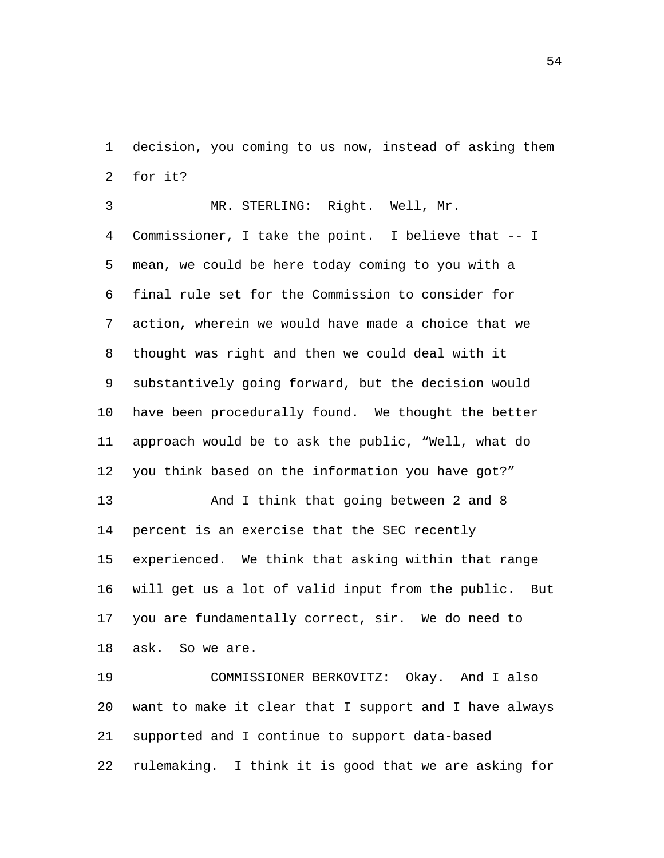decision, you coming to us now, instead of asking them for it? 1 2

MR. STERLING: Right. Well, Mr. Commissioner, I take the point. I believe that -- I mean, we could be here today coming to you with a final rule set for the Commission to consider for action, wherein we would have made a choice that we thought was right and then we could deal with it substantively going forward, but the decision would have been procedurally found. We thought the better approach would be to ask the public, "Well, what do you think based on the information you have got?" 3 4 5 6 7 8 9 10 11 12 And I think that going between 2 and 8 percent is an exercise that the SEC recently experienced. We think that asking within that range will get us a lot of valid input from the public. But you are fundamentally correct, sir. We do need to ask. So we are. 13 14 15 16 17 18

COMMISSIONER BERKOVITZ: Okay. And I also want to make it clear that I support and I have always supported and I continue to support data-based rulemaking. I think it is good that we are asking for 19 20 21 22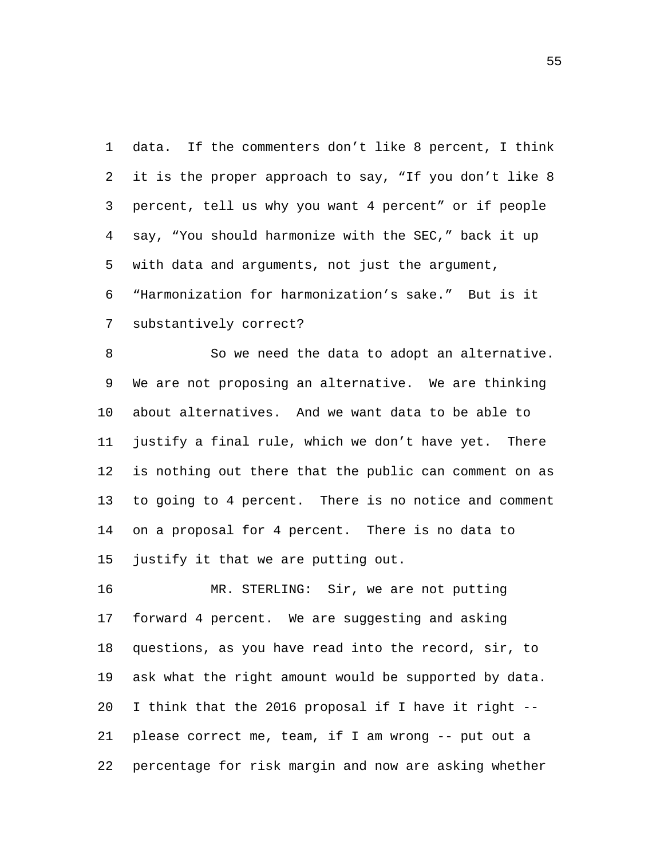data. If the commenters don't like 8 percent, I think it is the proper approach to say, "If you don't like 8 percent, tell us why you want 4 percent" or if people say, "You should harmonize with the SEC," back it up with data and arguments, not just the argument, "Harmonization for harmonization's sake." But is it substantively correct? 1 2 3 4 5 6 7

So we need the data to adopt an alternative. We are not proposing an alternative. We are thinking about alternatives. And we want data to be able to justify a final rule, which we don't have yet. There is nothing out there that the public can comment on as to going to 4 percent. There is no notice and comment on a proposal for 4 percent. There is no data to justify it that we are putting out. 8 9 10 11 12 13 14 15

MR. STERLING: Sir, we are not putting forward 4 percent. We are suggesting and asking questions, as you have read into the record, sir, to ask what the right amount would be supported by data. I think that the 2016 proposal if I have it right - please correct me, team, if I am wrong -- put out a percentage for risk margin and now are asking whether 16 17 18 19 20 21 22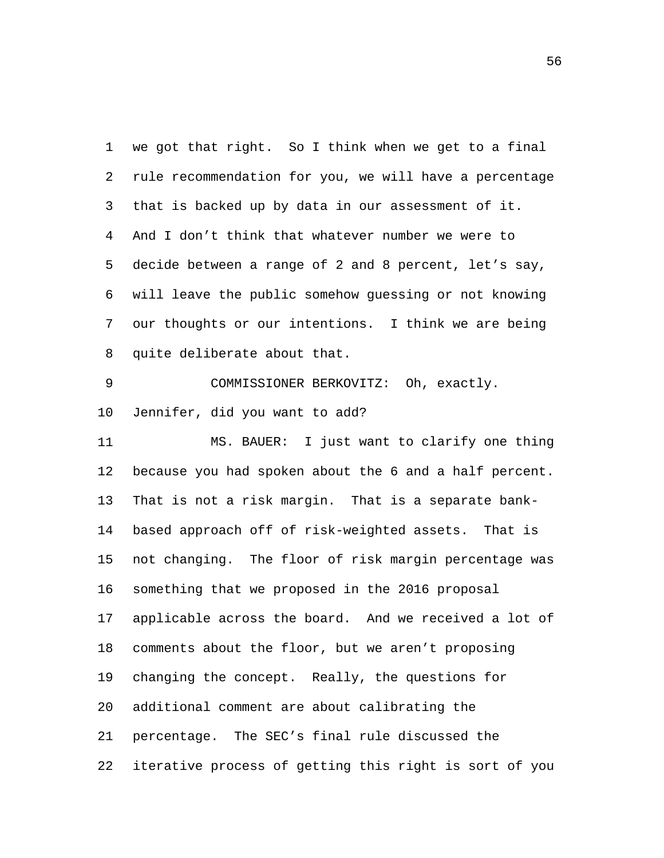we got that right. So I think when we get to a final rule recommendation for you, we will have a percentage that is backed up by data in our assessment of it. And I don't think that whatever number we were to decide between a range of 2 and 8 percent, let's say, will leave the public somehow guessing or not knowing our thoughts or our intentions. I think we are being quite deliberate about that. 1 2 3 4 5 6 7 8 COMMISSIONER BERKOVITZ: Oh, exactly. Jennifer, did you want to add? 9 10 MS. BAUER: I just want to clarify one thing because you had spoken about the 6 and a half percent. That is not a risk margin. That is a separate bankbased approach off of risk-weighted assets. That is not changing. The floor of risk margin percentage was something that we proposed in the 2016 proposal applicable across the board. And we received a lot of comments about the floor, but we aren't proposing changing the concept. Really, the questions for additional comment are about calibrating the percentage. The SEC's final rule discussed the iterative process of getting this right is sort of you 11 12 13 14 15 16 17 18 19 20 21 22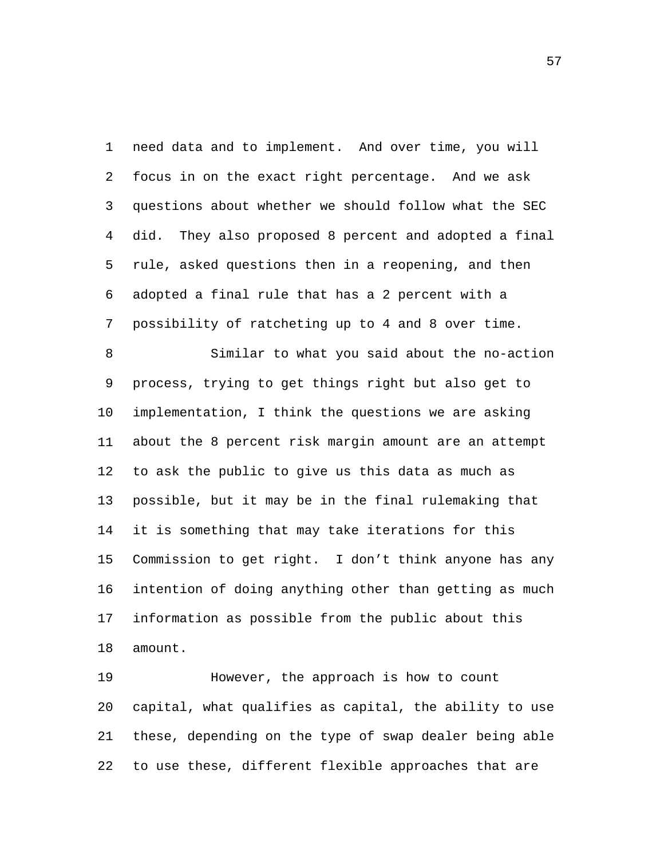need data and to implement. And over time, you will focus in on the exact right percentage. And we ask questions about whether we should follow what the SEC did. They also proposed 8 percent and adopted a final rule, asked questions then in a reopening, and then adopted a final rule that has a 2 percent with a possibility of ratcheting up to 4 and 8 over time. 1 2 3 4 5 6 7

Similar to what you said about the no-action process, trying to get things right but also get to implementation, I think the questions we are asking about the 8 percent risk margin amount are an attempt to ask the public to give us this data as much as possible, but it may be in the final rulemaking that it is something that may take iterations for this Commission to get right. I don't think anyone has any intention of doing anything other than getting as much information as possible from the public about this amount. 8 9 10 11 12 13 14 15 16 17 18

However, the approach is how to count capital, what qualifies as capital, the ability to use these, depending on the type of swap dealer being able to use these, different flexible approaches that are 19 20 21 22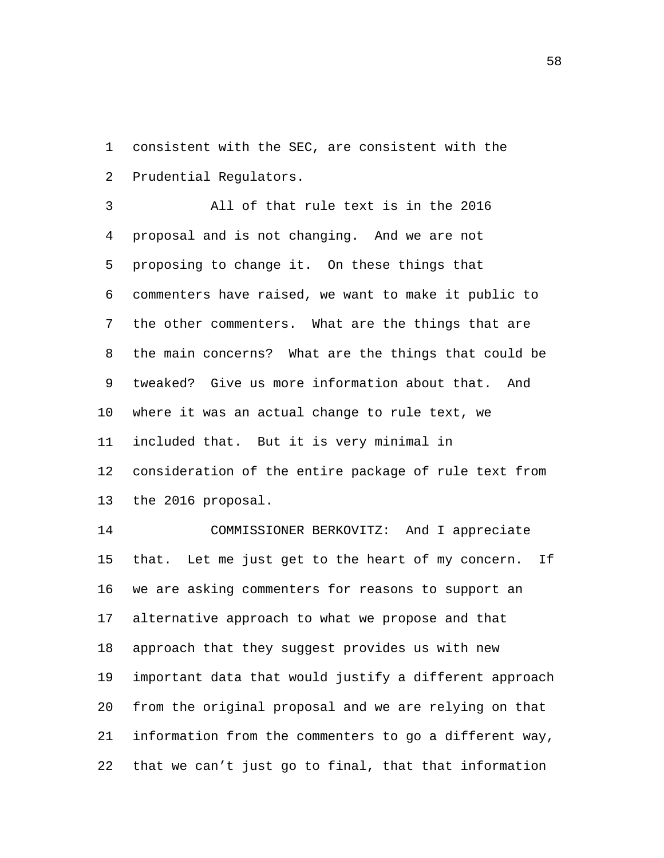consistent with the SEC, are consistent with the Prudential Regulators. 1 2

All of that rule text is in the 2016 proposal and is not changing. And we are not proposing to change it. On these things that commenters have raised, we want to make it public to the other commenters. What are the things that are the main concerns? What are the things that could be tweaked? Give us more information about that. And where it was an actual change to rule text, we included that. But it is very minimal in consideration of the entire package of rule text from the 2016 proposal. 3 4 5 6 7 8 9 10 11 12 13

COMMISSIONER BERKOVITZ: And I appreciate that. Let me just get to the heart of my concern. If we are asking commenters for reasons to support an alternative approach to what we propose and that approach that they suggest provides us with new important data that would justify a different approach from the original proposal and we are relying on that information from the commenters to go a different way, that we can't just go to final, that that information 14 15 16 17 18 19 20 21 22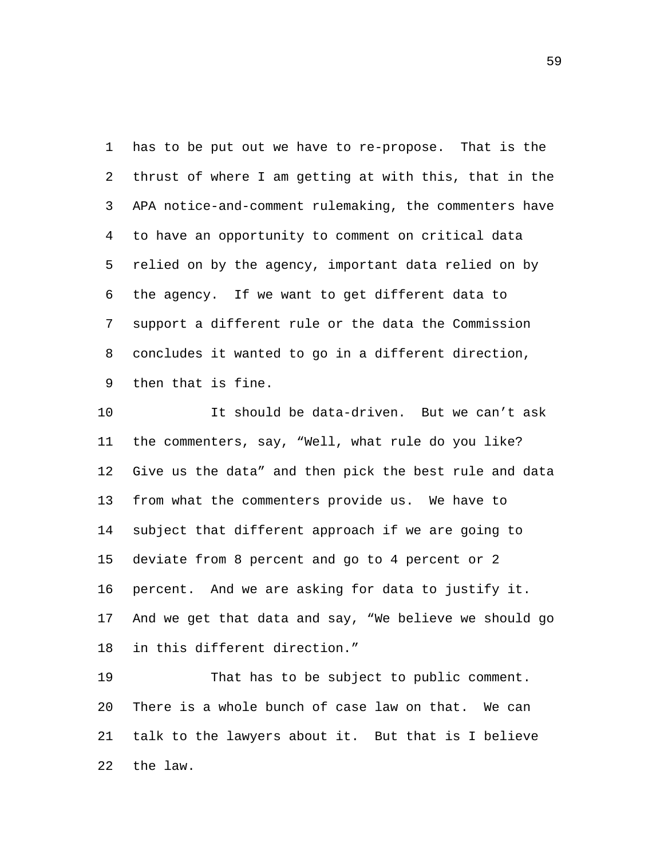has to be put out we have to re-propose. That is the thrust of where I am getting at with this, that in the APA notice-and-comment rulemaking, the commenters have to have an opportunity to comment on critical data relied on by the agency, important data relied on by the agency. If we want to get different data to support a different rule or the data the Commission concludes it wanted to go in a different direction, then that is fine. 1 2 3 4 5 6 7 8 9

It should be data-driven. But we can't ask the commenters, say, "Well, what rule do you like? Give us the data" and then pick the best rule and data from what the commenters provide us. We have to subject that different approach if we are going to deviate from 8 percent and go to 4 percent or 2 percent. And we are asking for data to justify it. And we get that data and say, "We believe we should go in this different direction." 10 11 12 13 14 15 16 17 18

That has to be subject to public comment. There is a whole bunch of case law on that. We can talk to the lawyers about it. But that is I believe the law. 19 20 21 22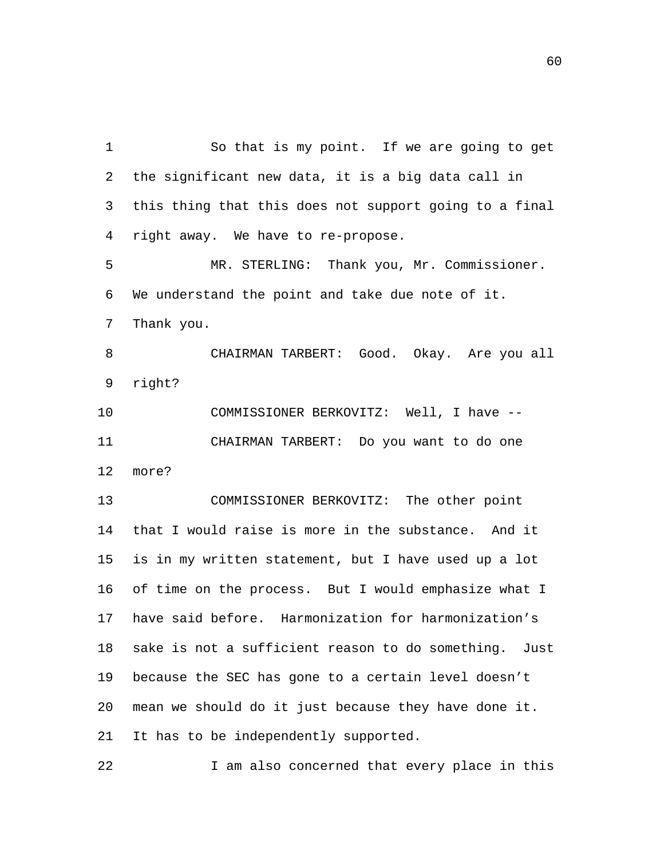So that is my point. If we are going to get the significant new data, it is a big data call in this thing that this does not support going to a final right away. We have to re-propose. 1 2 3 4 MR. STERLING: Thank you, Mr. Commissioner. We understand the point and take due note of it. Thank you. 5 6 7 CHAIRMAN TARBERT: Good. Okay. Are you all right? 8 9 10 COMMISSIONER BERKOVITZ: Well, I have -- CHAIRMAN TARBERT: Do you want to do one more? 11 12 COMMISSIONER BERKOVITZ: The other point that I would raise is more in the substance. And it is in my written statement, but I have used up a lot of time on the process. But I would emphasize what I have said before. Harmonization for harmonization's sake is not a sufficient reason to do something. Just 13 14 15 16 17 18

mean we should do it just because they have done it. 20

It has to be independently supported. 21

19

22 I am also concerned that every place in this

because the SEC has gone to a certain level doesn't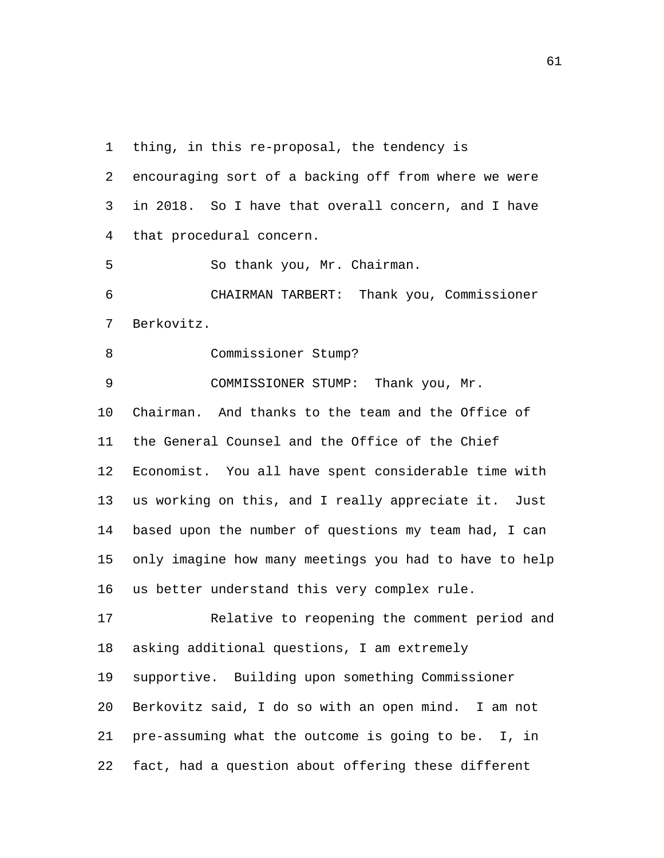thing, in this re-proposal, the tendency is encouraging sort of a backing off from where we were in 2018. So I have that overall concern, and I have that procedural concern. 1 2 3 4

5 So thank you, Mr. Chairman.

CHAIRMAN TARBERT: Thank you, Commissioner Berkovitz. 6 7

8 Commissioner Stump?

COMMISSIONER STUMP: Thank you, Mr. Chairman. And thanks to the team and the Office of the General Counsel and the Office of the Chief Economist. You all have spent considerable time with us working on this, and I really appreciate it. Just based upon the number of questions my team had, I can only imagine how many meetings you had to have to help us better understand this very complex rule. 9 10 11 12 13 14 15 16

Relative to reopening the comment period and asking additional questions, I am extremely supportive. Building upon something Commissioner Berkovitz said, I do so with an open mind. I am not pre-assuming what the outcome is going to be. I, in fact, had a question about offering these different 17 18 19 20 21 22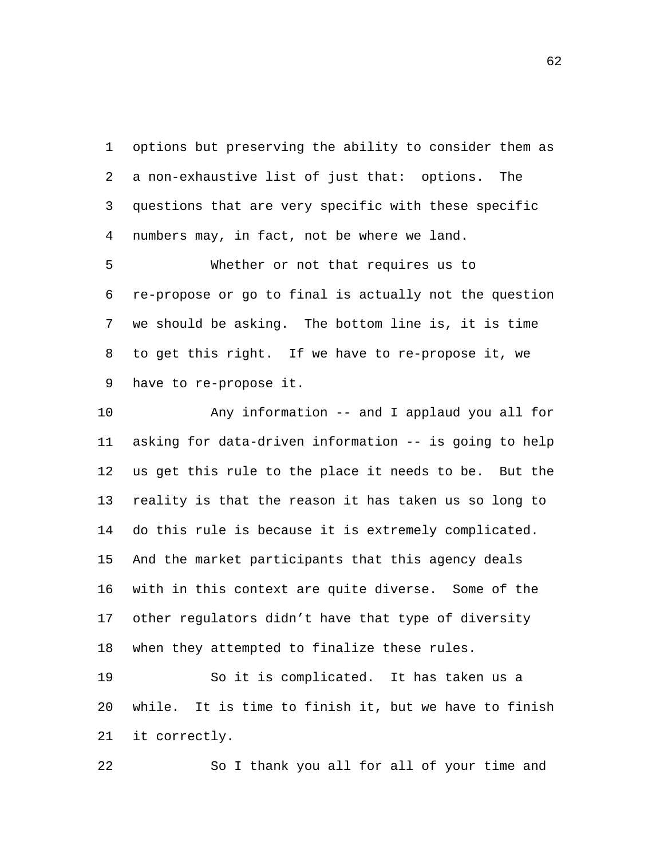options but preserving the ability to consider them as a non-exhaustive list of just that: options. The questions that are very specific with these specific numbers may, in fact, not be where we land. 1 2 3 4

Whether or not that requires us to re-propose or go to final is actually not the question we should be asking. The bottom line is, it is time to get this right. If we have to re-propose it, we have to re-propose it. 5 6 7 8 9

Any information -- and I applaud you all for asking for data-driven information -- is going to help us get this rule to the place it needs to be. But the reality is that the reason it has taken us so long to do this rule is because it is extremely complicated. And the market participants that this agency deals with in this context are quite diverse. Some of the other regulators didn't have that type of diversity when they attempted to finalize these rules. 10 11 12 13 14 15 16 17 18

So it is complicated. It has taken us a while. It is time to finish it, but we have to finish it correctly. 19 20 21

22 So I thank you all for all of your time and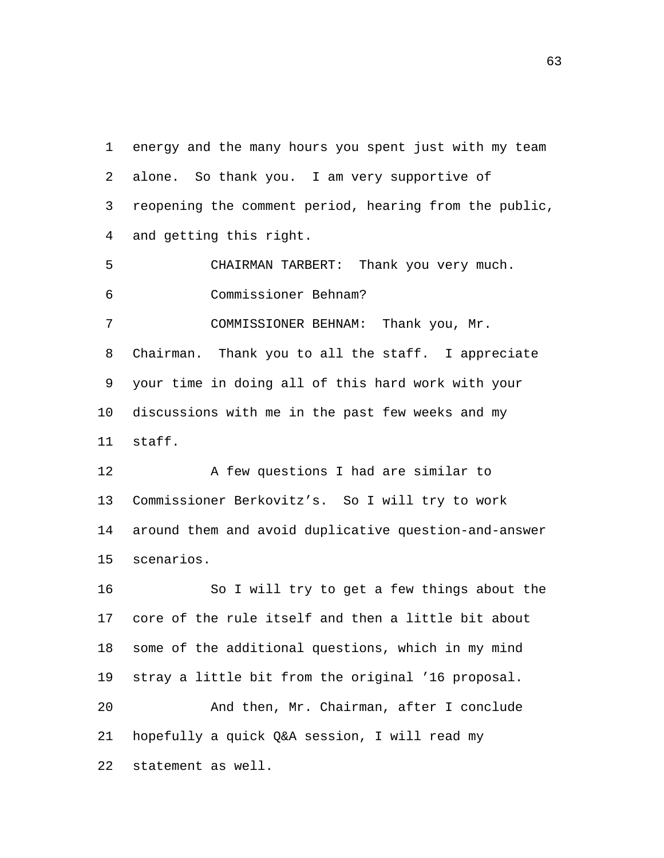energy and the many hours you spent just with my team alone. So thank you. I am very supportive of reopening the comment period, hearing from the public, and getting this right. 1 2 3 4

5 CHAIRMAN TARBERT: Thank you very much. 6 Commissioner Behnam?

COMMISSIONER BEHNAM: Thank you, Mr. Chairman. Thank you to all the staff. I appreciate your time in doing all of this hard work with your discussions with me in the past few weeks and my staff. 7 8 9 10 11

A few questions I had are similar to Commissioner Berkovitz's. So I will try to work around them and avoid duplicative question-and-answer scenarios. 12 13 14 15

So I will try to get a few things about the core of the rule itself and then a little bit about some of the additional questions, which in my mind stray a little bit from the original '16 proposal. 16 17 18 19 And then, Mr. Chairman, after I conclude hopefully a quick Q&A session, I will read my statement as well. 20 21 22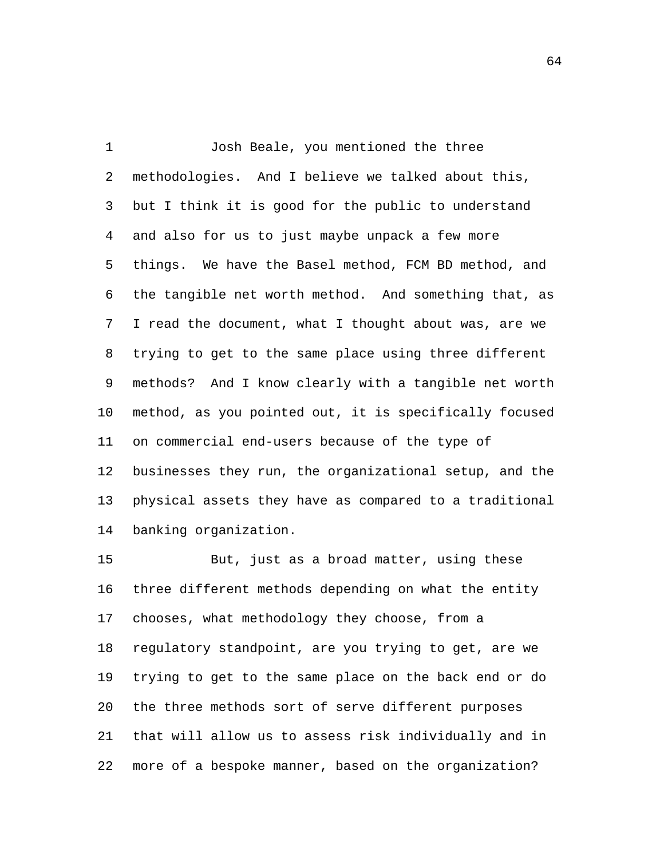Josh Beale, you mentioned the three methodologies. And I believe we talked about this, but I think it is good for the public to understand and also for us to just maybe unpack a few more things. We have the Basel method, FCM BD method, and the tangible net worth method. And something that, as I read the document, what I thought about was, are we trying to get to the same place using three different methods? And I know clearly with a tangible net worth method, as you pointed out, it is specifically focused on commercial end-users because of the type of businesses they run, the organizational setup, and the physical assets they have as compared to a traditional banking organization. 1 2 3 4 5 6 7 8 9 10 11 12 13 14

But, just as a broad matter, using these three different methods depending on what the entity chooses, what methodology they choose, from a regulatory standpoint, are you trying to get, are we trying to get to the same place on the back end or do the three methods sort of serve different purposes that will allow us to assess risk individually and in more of a bespoke manner, based on the organization? 15 16 17 18 19 20 21 22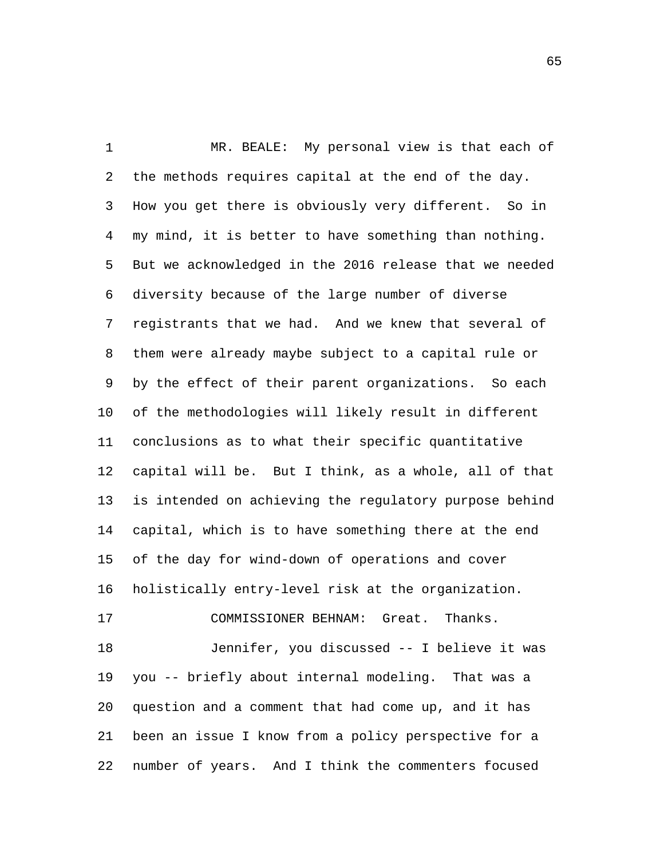MR. BEALE: My personal view is that each of the methods requires capital at the end of the day. How you get there is obviously very different. So in my mind, it is better to have something than nothing. But we acknowledged in the 2016 release that we needed diversity because of the large number of diverse registrants that we had. And we knew that several of them were already maybe subject to a capital rule or by the effect of their parent organizations. So each of the methodologies will likely result in different conclusions as to what their specific quantitative capital will be. But I think, as a whole, all of that is intended on achieving the regulatory purpose behind capital, which is to have something there at the end of the day for wind-down of operations and cover holistically entry-level risk at the organization. 1 2 3 4 5 6 7 8 9 10 11 12 13 14 15 16 17 COMMISSIONER BEHNAM: Great. Thanks. Jennifer, you discussed -- I believe it was you -- briefly about internal modeling. That was a question and a comment that had come up, and it has been an issue I know from a policy perspective for a number of years. And I think the commenters focused 18 19 20 21 22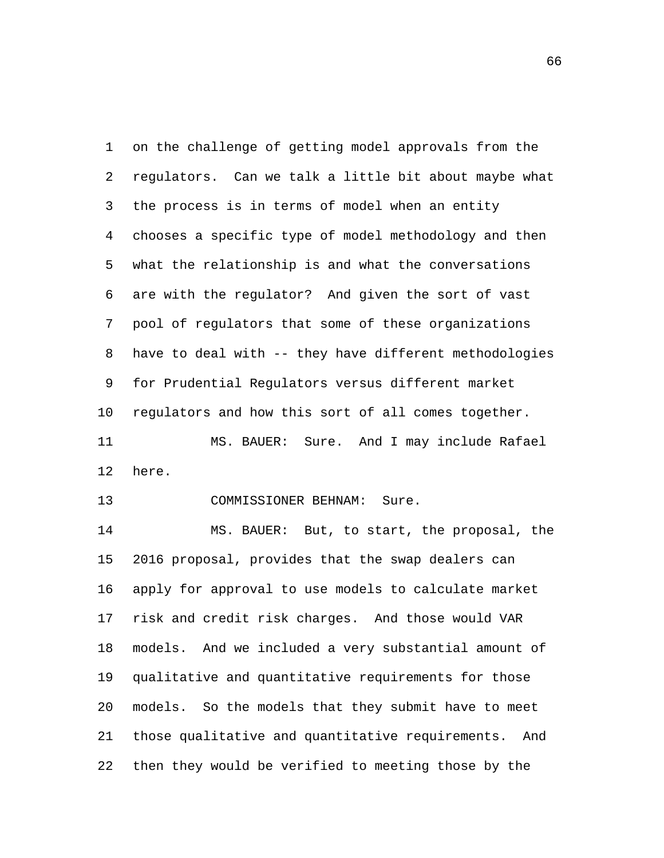on the challenge of getting model approvals from the regulators. Can we talk a little bit about maybe what the process is in terms of model when an entity chooses a specific type of model methodology and then what the relationship is and what the conversations are with the regulator? And given the sort of vast pool of regulators that some of these organizations have to deal with -- they have different methodologies for Prudential Regulators versus different market regulators and how this sort of all comes together. 1 2 3 4 5 6 7 8 9 10 MS. BAUER: Sure. And I may include Rafael here. 11 12

13 COMMISSIONER BEHNAM: Sure.

MS. BAUER: But, to start, the proposal, the 2016 proposal, provides that the swap dealers can apply for approval to use models to calculate market risk and credit risk charges. And those would VAR models. And we included a very substantial amount of qualitative and quantitative requirements for those models. So the models that they submit have to meet those qualitative and quantitative requirements. And then they would be verified to meeting those by the 14 15 16 17 18 19 20 21 22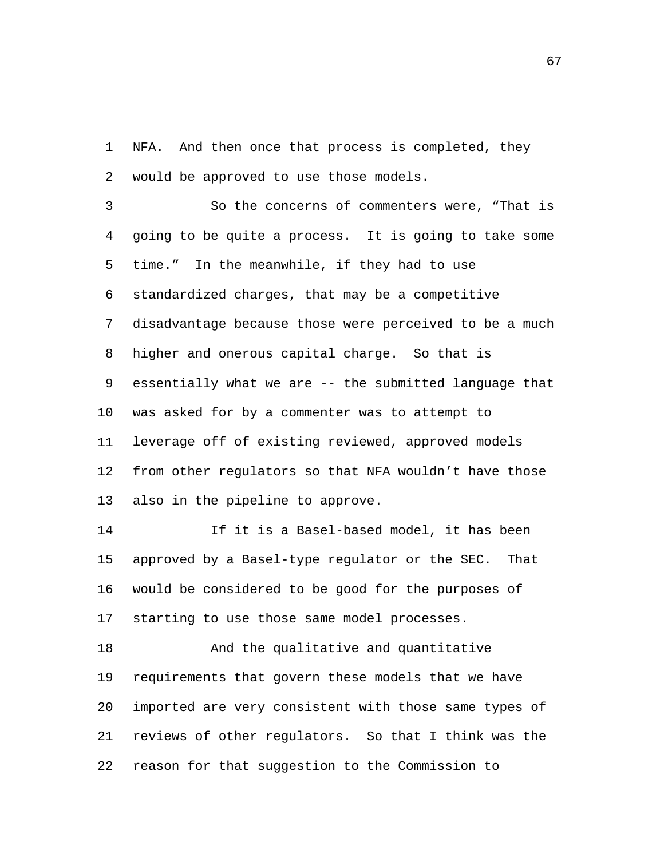NFA. And then once that process is completed, they would be approved to use those models. 1 2

So the concerns of commenters were, "That is going to be quite a process. It is going to take some time." In the meanwhile, if they had to use standardized charges, that may be a competitive disadvantage because those were perceived to be a much higher and onerous capital charge. So that is essentially what we are -- the submitted language that was asked for by a commenter was to attempt to leverage off of existing reviewed, approved models from other regulators so that NFA wouldn't have those also in the pipeline to approve. 3 4 5 6 7 8 9 10 11 12 13

If it is a Basel-based model, it has been approved by a Basel-type regulator or the SEC. That would be considered to be good for the purposes of starting to use those same model processes. 14 15 16 17

And the qualitative and quantitative requirements that govern these models that we have imported are very consistent with those same types of reviews of other regulators. So that I think was the reason for that suggestion to the Commission to 18 19 20 21 22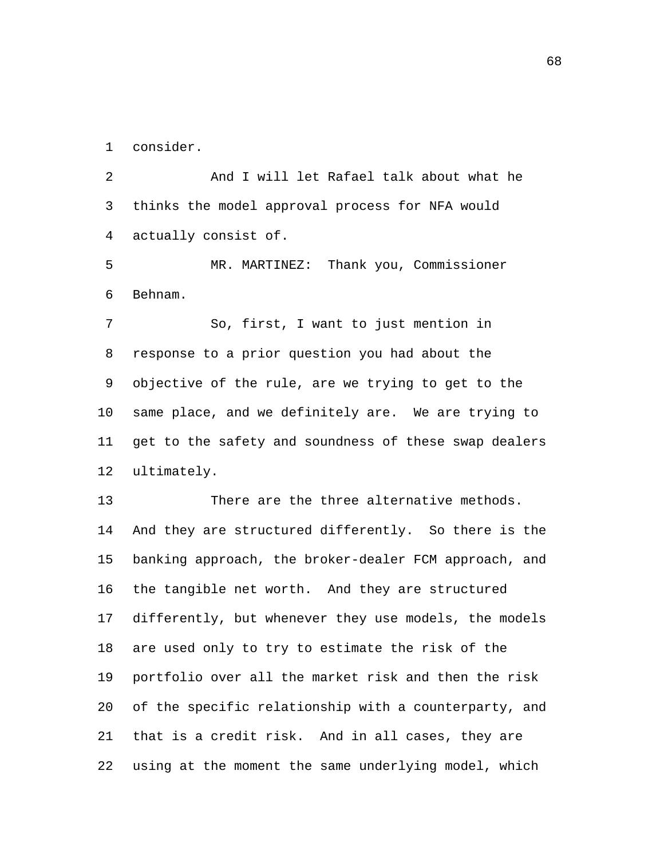1 consider.

And I will let Rafael talk about what he thinks the model approval process for NFA would actually consist of. 2 3 4

MR. MARTINEZ: Thank you, Commissioner Behnam. 5 6

So, first, I want to just mention in response to a prior question you had about the objective of the rule, are we trying to get to the same place, and we definitely are. We are trying to get to the safety and soundness of these swap dealers ultimately. 7 8 9 10 11 12

There are the three alternative methods. And they are structured differently. So there is the banking approach, the broker-dealer FCM approach, and the tangible net worth. And they are structured differently, but whenever they use models, the models are used only to try to estimate the risk of the portfolio over all the market risk and then the risk of the specific relationship with a counterparty, and that is a credit risk. And in all cases, they are using at the moment the same underlying model, which 13 14 15 16 17 18 19 20 21 22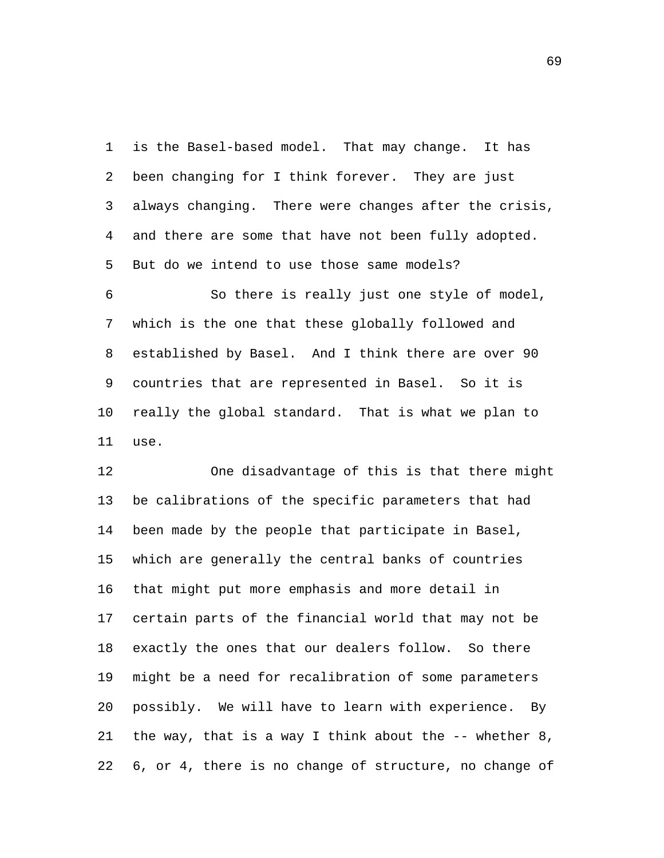is the Basel-based model. That may change. It has been changing for I think forever. They are just always changing. There were changes after the crisis, and there are some that have not been fully adopted. But do we intend to use those same models? 1 2 3 4 5

So there is really just one style of model, which is the one that these globally followed and established by Basel. And I think there are over 90 countries that are represented in Basel. So it is really the global standard. That is what we plan to use. 6 7 8 9 10 11

One disadvantage of this is that there might be calibrations of the specific parameters that had been made by the people that participate in Basel, which are generally the central banks of countries that might put more emphasis and more detail in certain parts of the financial world that may not be exactly the ones that our dealers follow. So there might be a need for recalibration of some parameters possibly. We will have to learn with experience. By the way, that is a way I think about the  $-$ - whether 8, 6, or 4, there is no change of structure, no change of 12 13 14 15 16 17 18 19 20 21 22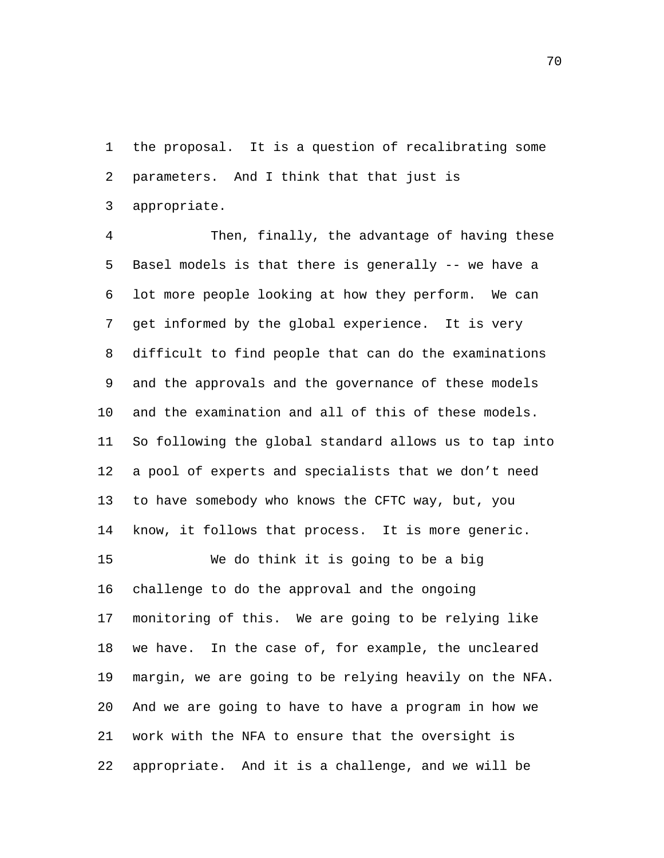the proposal. It is a question of recalibrating some parameters. And I think that that just is appropriate. 1 2 3

Then, finally, the advantage of having these Basel models is that there is generally -- we have a lot more people looking at how they perform. We can get informed by the global experience. It is very difficult to find people that can do the examinations and the approvals and the governance of these models and the examination and all of this of these models. So following the global standard allows us to tap into a pool of experts and specialists that we don't need to have somebody who knows the CFTC way, but, you know, it follows that process. It is more generic. 4 5 6 7 8 9 10 11 12 13 14 We do think it is going to be a big 15

challenge to do the approval and the ongoing monitoring of this. We are going to be relying like we have. In the case of, for example, the uncleared margin, we are going to be relying heavily on the NFA. And we are going to have to have a program in how we work with the NFA to ensure that the oversight is appropriate. And it is a challenge, and we will be 16 17 18 19 20 21 22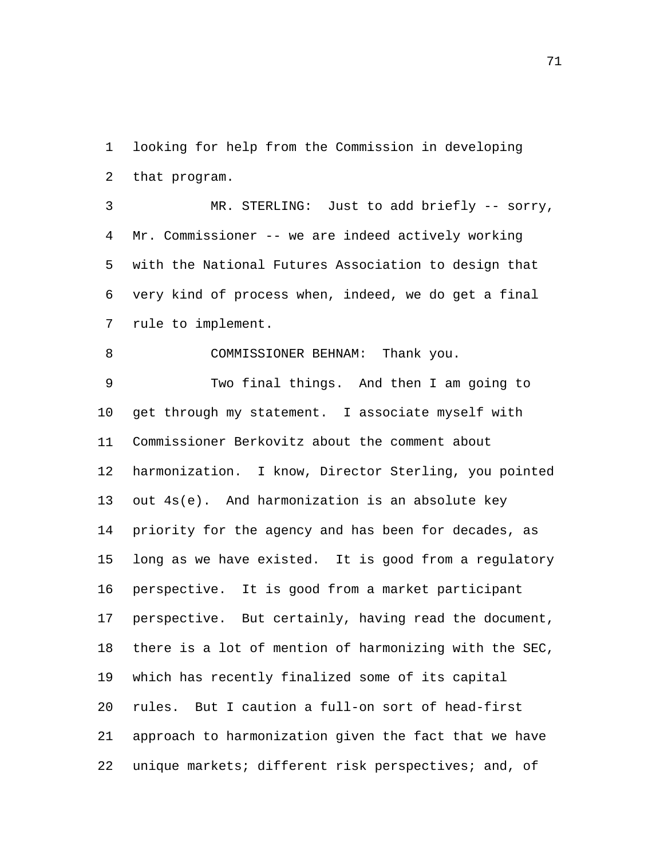looking for help from the Commission in developing that program. 1 2

MR. STERLING: Just to add briefly -- sorry, Mr. Commissioner -- we are indeed actively working with the National Futures Association to design that very kind of process when, indeed, we do get a final rule to implement. 3 4 5 6 7

8 COMMISSIONER BEHNAM: Thank you.

Two final things. And then I am going to get through my statement. I associate myself with Commissioner Berkovitz about the comment about harmonization. I know, Director Sterling, you pointed out 4s(e). And harmonization is an absolute key priority for the agency and has been for decades, as long as we have existed. It is good from a regulatory perspective. It is good from a market participant perspective. But certainly, having read the document, there is a lot of mention of harmonizing with the SEC, which has recently finalized some of its capital rules. But I caution a full-on sort of head-first approach to harmonization given the fact that we have unique markets; different risk perspectives; and, of 9 10 11 12 13 14 15 16 17 18 19 20 21 22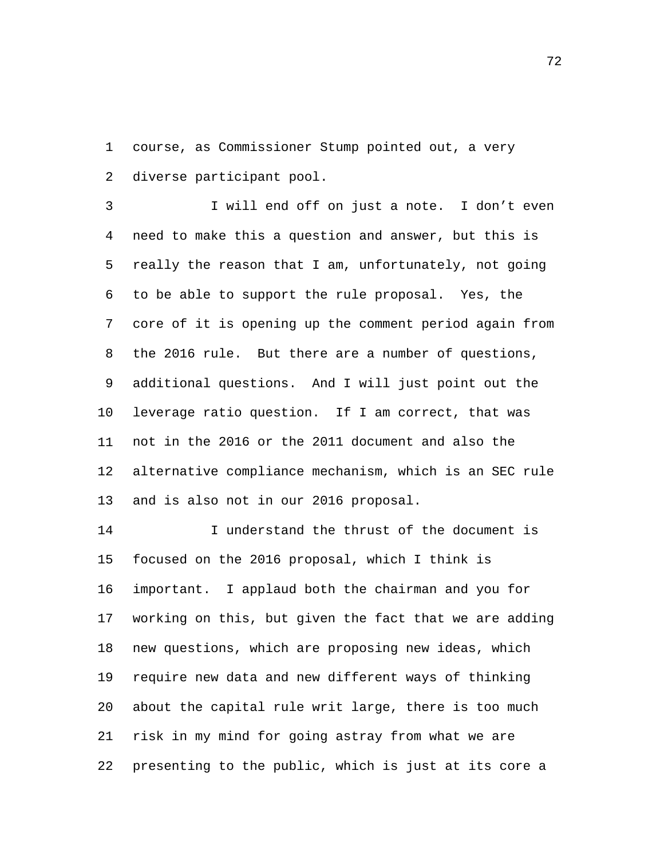course, as Commissioner Stump pointed out, a very diverse participant pool. 1 2

I will end off on just a note. I don't even need to make this a question and answer, but this is really the reason that I am, unfortunately, not going to be able to support the rule proposal. Yes, the core of it is opening up the comment period again from the 2016 rule. But there are a number of questions, additional questions. And I will just point out the leverage ratio question. If I am correct, that was not in the 2016 or the 2011 document and also the alternative compliance mechanism, which is an SEC rule and is also not in our 2016 proposal. 3 4 5 6 7 8 9 10 11 12 13

I understand the thrust of the document is focused on the 2016 proposal, which I think is important. I applaud both the chairman and you for working on this, but given the fact that we are adding new questions, which are proposing new ideas, which require new data and new different ways of thinking about the capital rule writ large, there is too much risk in my mind for going astray from what we are presenting to the public, which is just at its core a 14 15 16 17 18 19 20 21 22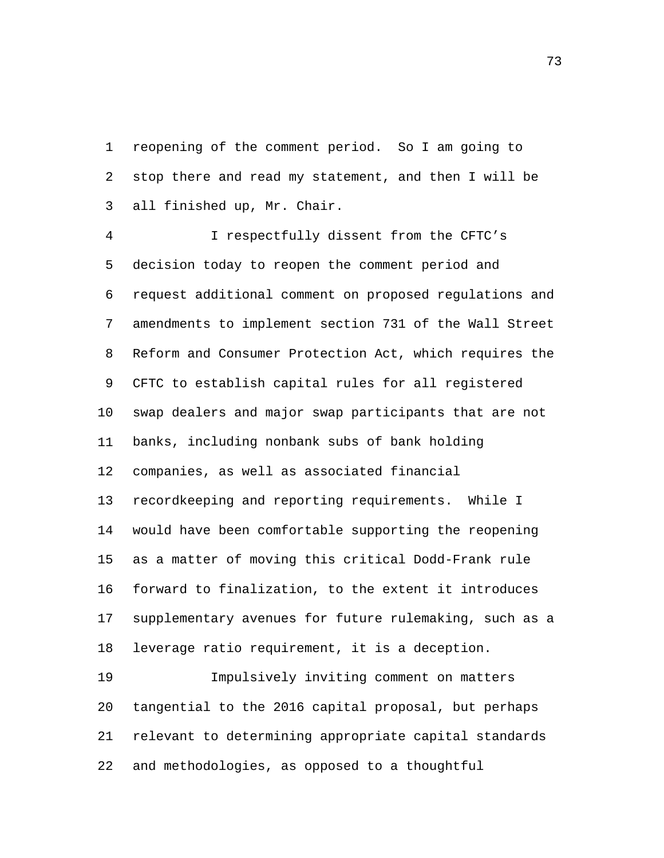reopening of the comment period. So I am going to stop there and read my statement, and then I will be all finished up, Mr. Chair. 1 2 3

I respectfully dissent from the CFTC's decision today to reopen the comment period and request additional comment on proposed regulations and amendments to implement section 731 of the Wall Street Reform and Consumer Protection Act, which requires the CFTC to establish capital rules for all registered swap dealers and major swap participants that are not banks, including nonbank subs of bank holding companies, as well as associated financial recordkeeping and reporting requirements. While I would have been comfortable supporting the reopening as a matter of moving this critical Dodd-Frank rule forward to finalization, to the extent it introduces supplementary avenues for future rulemaking, such as a leverage ratio requirement, it is a deception. 4 5 6 7 8 9 10 11 12 13 14 15 16 17 18

Impulsively inviting comment on matters tangential to the 2016 capital proposal, but perhaps relevant to determining appropriate capital standards and methodologies, as opposed to a thoughtful 19 20 21 22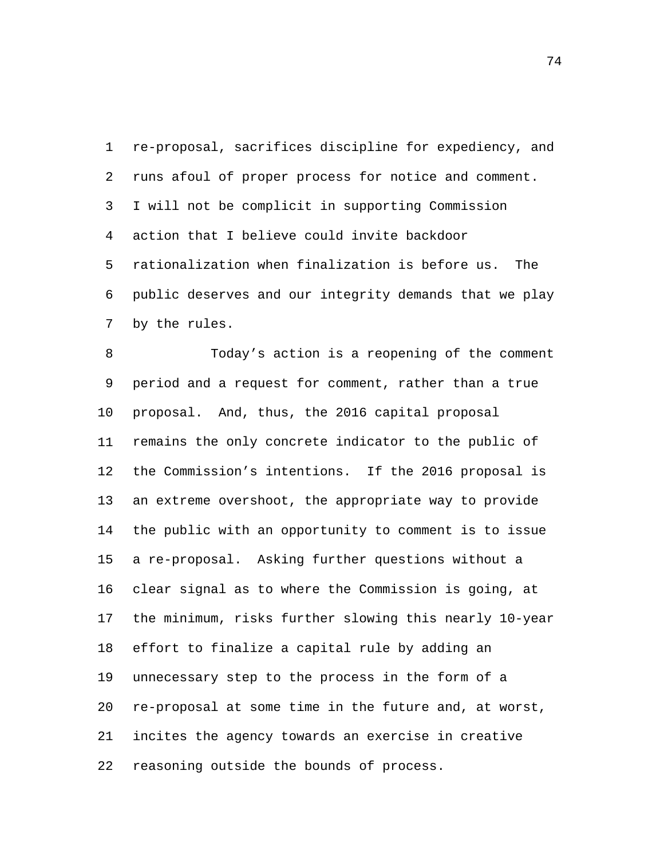re-proposal, sacrifices discipline for expediency, and runs afoul of proper process for notice and comment. I will not be complicit in supporting Commission action that I believe could invite backdoor rationalization when finalization is before us. The public deserves and our integrity demands that we play by the rules. 1 2 3 4 5 6 7

Today's action is a reopening of the comment period and a request for comment, rather than a true proposal. And, thus, the 2016 capital proposal remains the only concrete indicator to the public of the Commission's intentions. If the 2016 proposal is an extreme overshoot, the appropriate way to provide the public with an opportunity to comment is to issue a re-proposal. Asking further questions without a clear signal as to where the Commission is going, at the minimum, risks further slowing this nearly 10-year effort to finalize a capital rule by adding an unnecessary step to the process in the form of a re-proposal at some time in the future and, at worst, incites the agency towards an exercise in creative reasoning outside the bounds of process. 8 9 10 11 12 13 14 15 16 17 18 19 20 21 22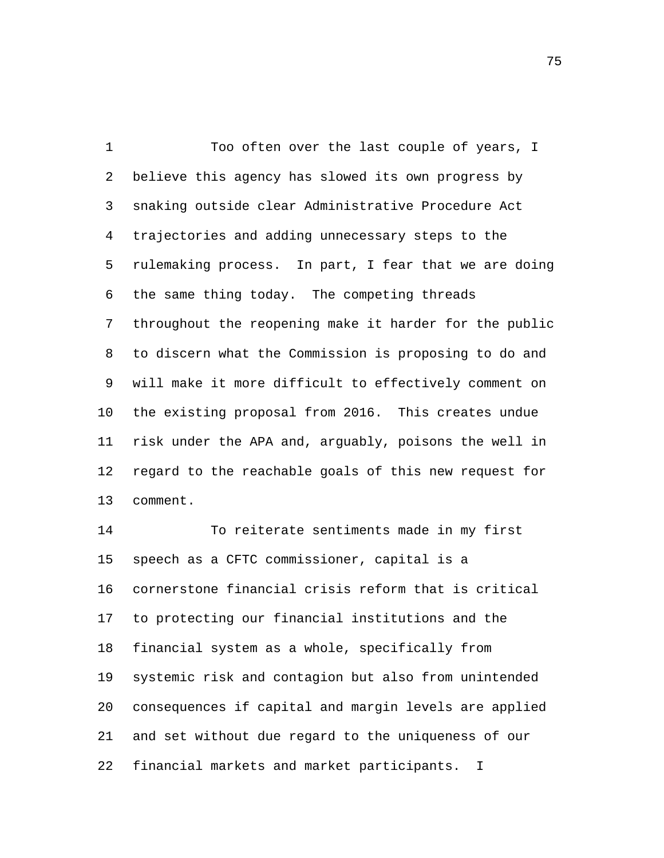Too often over the last couple of years, I believe this agency has slowed its own progress by snaking outside clear Administrative Procedure Act trajectories and adding unnecessary steps to the rulemaking process. In part, I fear that we are doing the same thing today. The competing threads throughout the reopening make it harder for the public to discern what the Commission is proposing to do and will make it more difficult to effectively comment on the existing proposal from 2016. This creates undue risk under the APA and, arguably, poisons the well in regard to the reachable goals of this new request for comment. 1 2 3 4 5 6 7 8 9 10 11 12 13

To reiterate sentiments made in my first speech as a CFTC commissioner, capital is a cornerstone financial crisis reform that is critical to protecting our financial institutions and the financial system as a whole, specifically from systemic risk and contagion but also from unintended consequences if capital and margin levels are applied and set without due regard to the uniqueness of our financial markets and market participants. I 14 15 16 17 18 19 20 21 22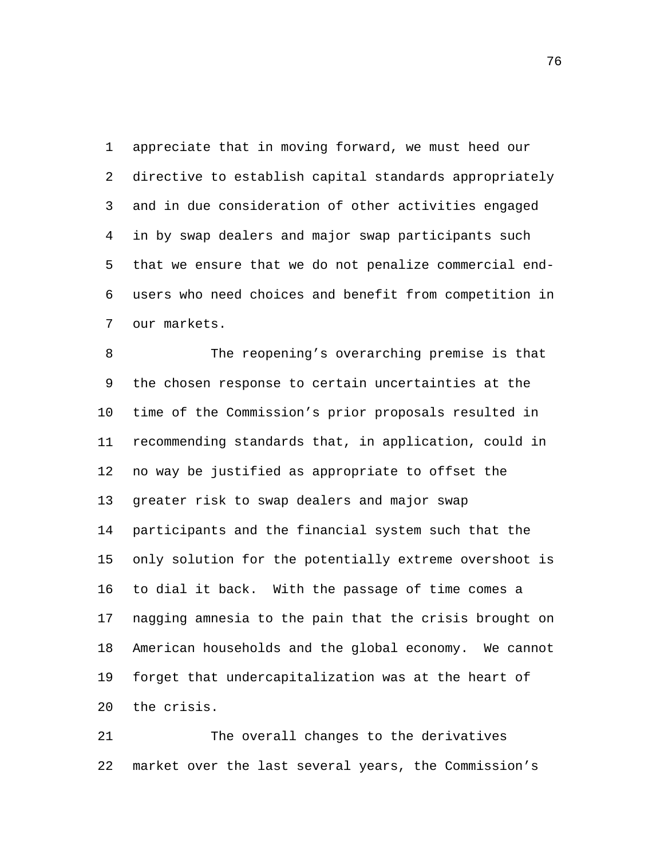appreciate that in moving forward, we must heed our directive to establish capital standards appropriately and in due consideration of other activities engaged in by swap dealers and major swap participants such that we ensure that we do not penalize commercial endusers who need choices and benefit from competition in our markets. 1 2 3 4 5 6 7

The reopening's overarching premise is that the chosen response to certain uncertainties at the time of the Commission's prior proposals resulted in recommending standards that, in application, could in no way be justified as appropriate to offset the greater risk to swap dealers and major swap participants and the financial system such that the only solution for the potentially extreme overshoot is to dial it back. With the passage of time comes a nagging amnesia to the pain that the crisis brought on American households and the global economy. We cannot forget that undercapitalization was at the heart of the crisis. 8 9 10 11 12 13 14 15 16 17 18 19  $20^{\circ}$ 

The overall changes to the derivatives market over the last several years, the Commission's 21 22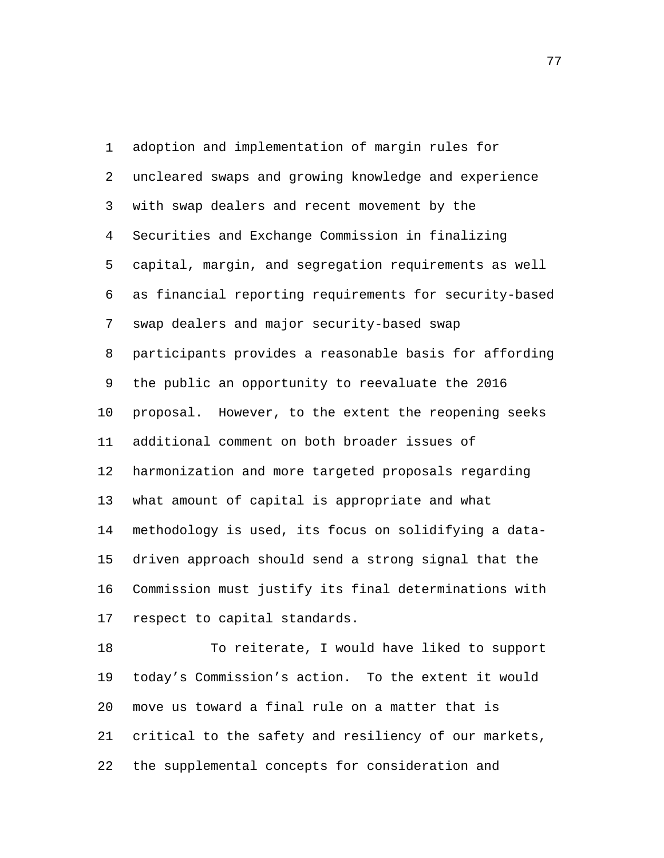adoption and implementation of margin rules for uncleared swaps and growing knowledge and experience with swap dealers and recent movement by the Securities and Exchange Commission in finalizing capital, margin, and segregation requirements as well as financial reporting requirements for security-based swap dealers and major security-based swap participants provides a reasonable basis for affording the public an opportunity to reevaluate the 2016 proposal. However, to the extent the reopening seeks additional comment on both broader issues of harmonization and more targeted proposals regarding what amount of capital is appropriate and what methodology is used, its focus on solidifying a datadriven approach should send a strong signal that the Commission must justify its final determinations with respect to capital standards. 1 2 3 4 5 6 7 8 9 10 11 12 13 14 15 16 17

To reiterate, I would have liked to support today's Commission's action. To the extent it would move us toward a final rule on a matter that is critical to the safety and resiliency of our markets, the supplemental concepts for consideration and 18 19 20 21 22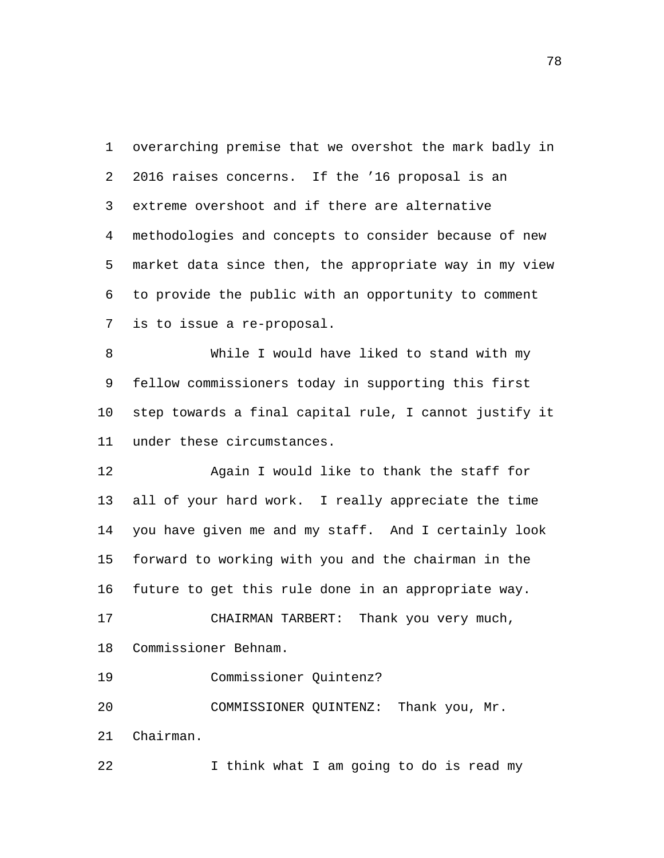overarching premise that we overshot the mark badly in 2016 raises concerns. If the '16 proposal is an extreme overshoot and if there are alternative methodologies and concepts to consider because of new market data since then, the appropriate way in my view to provide the public with an opportunity to comment is to issue a re-proposal. 1 2 3 4 5 6 7

While I would have liked to stand with my fellow commissioners today in supporting this first step towards a final capital rule, I cannot justify it under these circumstances. 8 9 10 11

Again I would like to thank the staff for all of your hard work. I really appreciate the time you have given me and my staff. And I certainly look forward to working with you and the chairman in the future to get this rule done in an appropriate way. 12 13 14 15 16 CHAIRMAN TARBERT: Thank you very much, 17

Commissioner Behnam. 18

19 Commissioner Quintenz?

COMMISSIONER QUINTENZ: Thank you, Mr. 20

Chairman. 21

22 I think what I am going to do is read my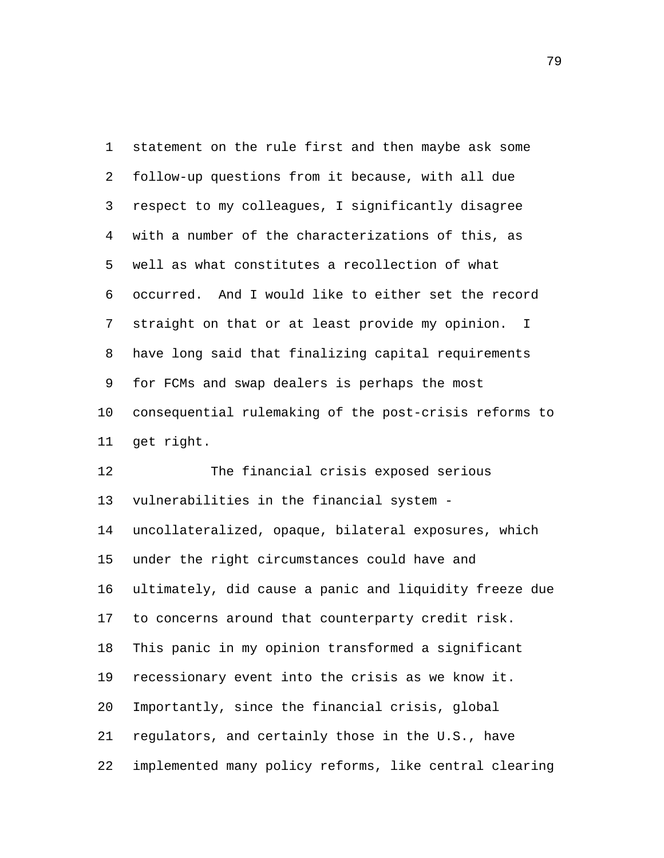statement on the rule first and then maybe ask some follow-up questions from it because, with all due respect to my colleagues, I significantly disagree with a number of the characterizations of this, as well as what constitutes a recollection of what occurred. And I would like to either set the record straight on that or at least provide my opinion. I have long said that finalizing capital requirements for FCMs and swap dealers is perhaps the most consequential rulemaking of the post-crisis reforms to get right. 1 2 3 4 5 6 7 8 9 10 11

The financial crisis exposed serious vulnerabilities in the financial system uncollateralized, opaque, bilateral exposures, which under the right circumstances could have and ultimately, did cause a panic and liquidity freeze due to concerns around that counterparty credit risk. This panic in my opinion transformed a significant recessionary event into the crisis as we know it. Importantly, since the financial crisis, global regulators, and certainly those in the U.S., have implemented many policy reforms, like central clearing 12 13 14 15 16 17 18 19 20 21 22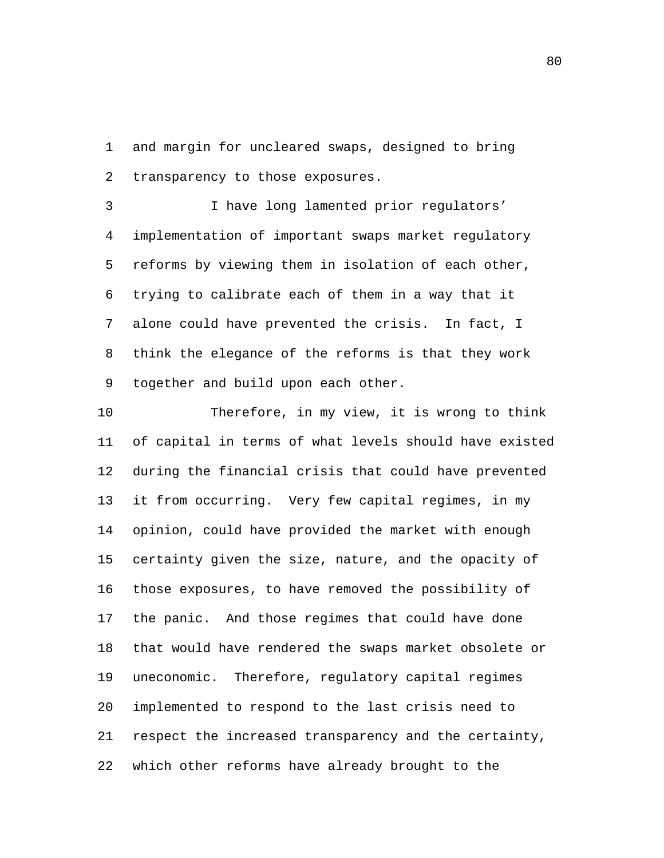and margin for uncleared swaps, designed to bring transparency to those exposures. 1 2

I have long lamented prior regulators' implementation of important swaps market regulatory reforms by viewing them in isolation of each other, trying to calibrate each of them in a way that it alone could have prevented the crisis. In fact, I think the elegance of the reforms is that they work together and build upon each other. 3 4 5 6 7 8 9

Therefore, in my view, it is wrong to think of capital in terms of what levels should have existed during the financial crisis that could have prevented it from occurring. Very few capital regimes, in my opinion, could have provided the market with enough certainty given the size, nature, and the opacity of those exposures, to have removed the possibility of the panic. And those regimes that could have done that would have rendered the swaps market obsolete or uneconomic. Therefore, regulatory capital regimes implemented to respond to the last crisis need to respect the increased transparency and the certainty, which other reforms have already brought to the 10 11 12 13 14 15 16 17 18 19 20 21 22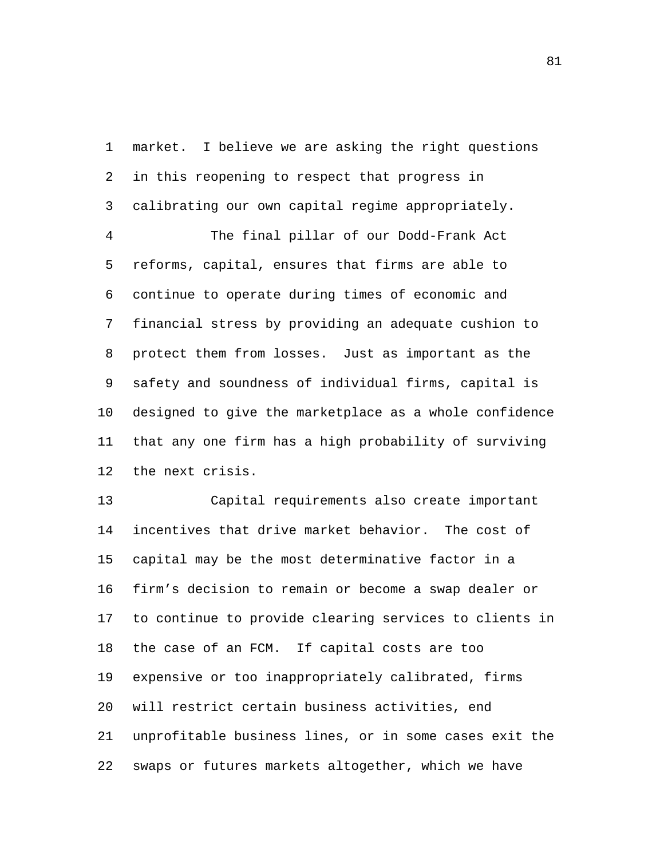market. I believe we are asking the right questions in this reopening to respect that progress in calibrating our own capital regime appropriately. 1 2 3

The final pillar of our Dodd-Frank Act reforms, capital, ensures that firms are able to continue to operate during times of economic and financial stress by providing an adequate cushion to protect them from losses. Just as important as the safety and soundness of individual firms, capital is designed to give the marketplace as a whole confidence that any one firm has a high probability of surviving the next crisis. 4 5 6 7 8 9 10 11 12

Capital requirements also create important incentives that drive market behavior. The cost of capital may be the most determinative factor in a firm's decision to remain or become a swap dealer or to continue to provide clearing services to clients in the case of an FCM. If capital costs are too expensive or too inappropriately calibrated, firms will restrict certain business activities, end unprofitable business lines, or in some cases exit the swaps or futures markets altogether, which we have 13 14 15 16 17 18 19 20 21 22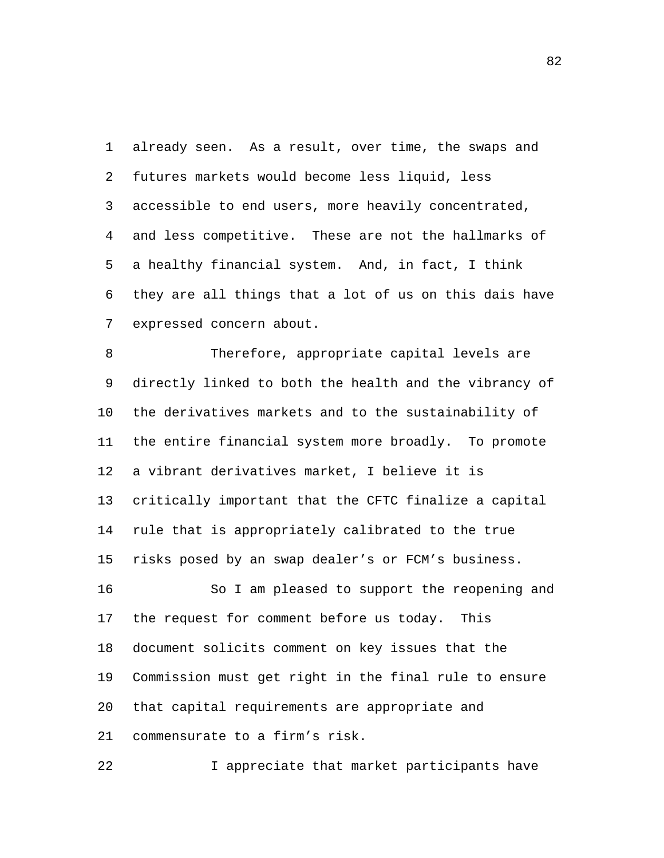already seen. As a result, over time, the swaps and futures markets would become less liquid, less accessible to end users, more heavily concentrated, and less competitive. These are not the hallmarks of a healthy financial system. And, in fact, I think they are all things that a lot of us on this dais have expressed concern about. 1 2 3 4 5 6 7

Therefore, appropriate capital levels are directly linked to both the health and the vibrancy of the derivatives markets and to the sustainability of the entire financial system more broadly. To promote a vibrant derivatives market, I believe it is critically important that the CFTC finalize a capital rule that is appropriately calibrated to the true risks posed by an swap dealer's or FCM's business. 8 9 10 11 12 13 14 15

So I am pleased to support the reopening and the request for comment before us today. This document solicits comment on key issues that the Commission must get right in the final rule to ensure that capital requirements are appropriate and commensurate to a firm's risk. 16 17 18 19 20 21

22 I appreciate that market participants have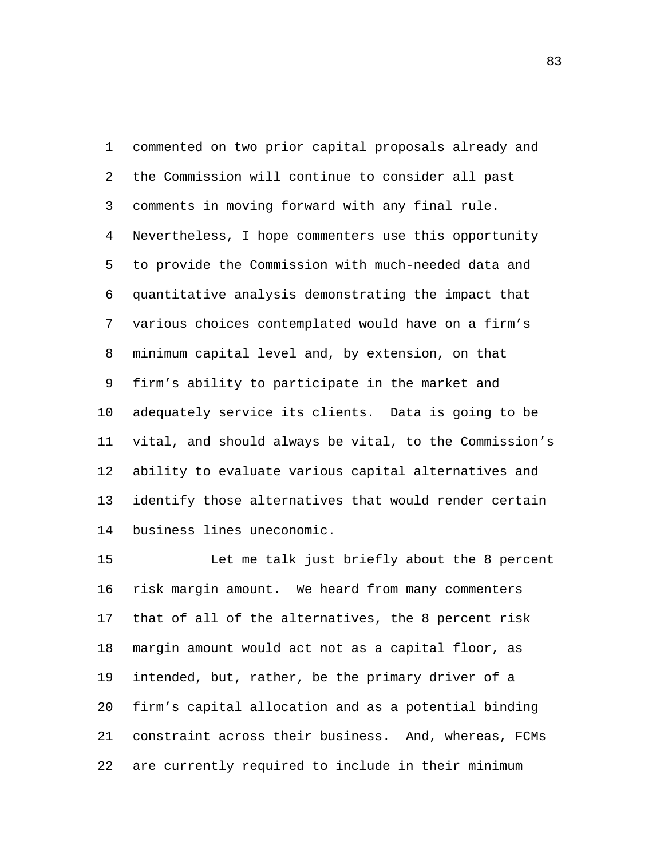commented on two prior capital proposals already and the Commission will continue to consider all past comments in moving forward with any final rule. Nevertheless, I hope commenters use this opportunity to provide the Commission with much-needed data and quantitative analysis demonstrating the impact that various choices contemplated would have on a firm's minimum capital level and, by extension, on that firm's ability to participate in the market and adequately service its clients. Data is going to be vital, and should always be vital, to the Commission's ability to evaluate various capital alternatives and identify those alternatives that would render certain business lines uneconomic. 1 2 3 4 5 6 7 8 9 10 11 12 13 14

Let me talk just briefly about the 8 percent risk margin amount. We heard from many commenters that of all of the alternatives, the 8 percent risk margin amount would act not as a capital floor, as intended, but, rather, be the primary driver of a firm's capital allocation and as a potential binding constraint across their business. And, whereas, FCMs are currently required to include in their minimum 15 16 17 18 19 20 21 22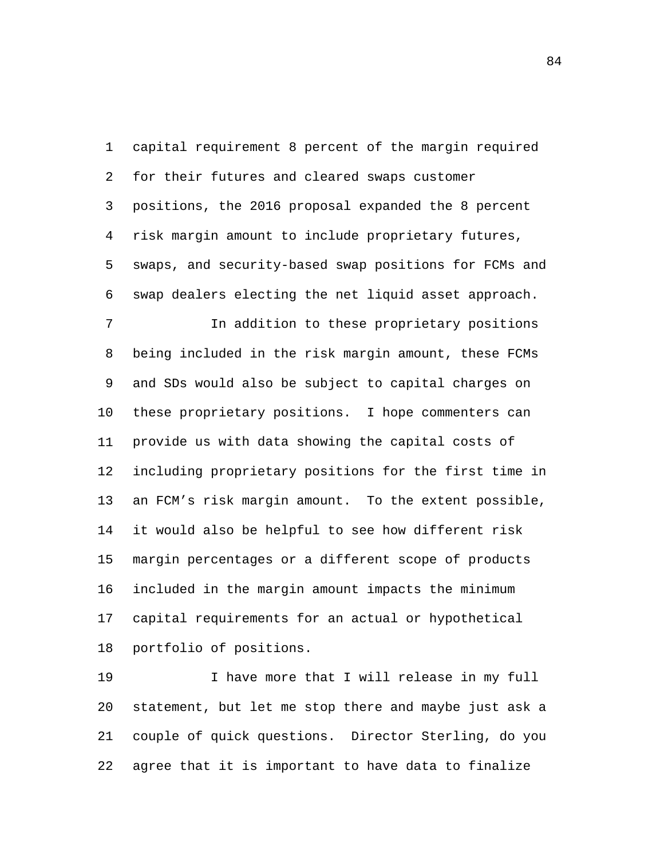capital requirement 8 percent of the margin required for their futures and cleared swaps customer positions, the 2016 proposal expanded the 8 percent risk margin amount to include proprietary futures, swaps, and security-based swap positions for FCMs and swap dealers electing the net liquid asset approach. 1 2 3 4 5 6

In addition to these proprietary positions being included in the risk margin amount, these FCMs and SDs would also be subject to capital charges on these proprietary positions. I hope commenters can provide us with data showing the capital costs of including proprietary positions for the first time in an FCM's risk margin amount. To the extent possible, it would also be helpful to see how different risk margin percentages or a different scope of products included in the margin amount impacts the minimum capital requirements for an actual or hypothetical portfolio of positions. 7 8 9 10 11 12 13 14 15 16 17 18

I have more that I will release in my full statement, but let me stop there and maybe just ask a couple of quick questions. Director Sterling, do you agree that it is important to have data to finalize 19 20 21 22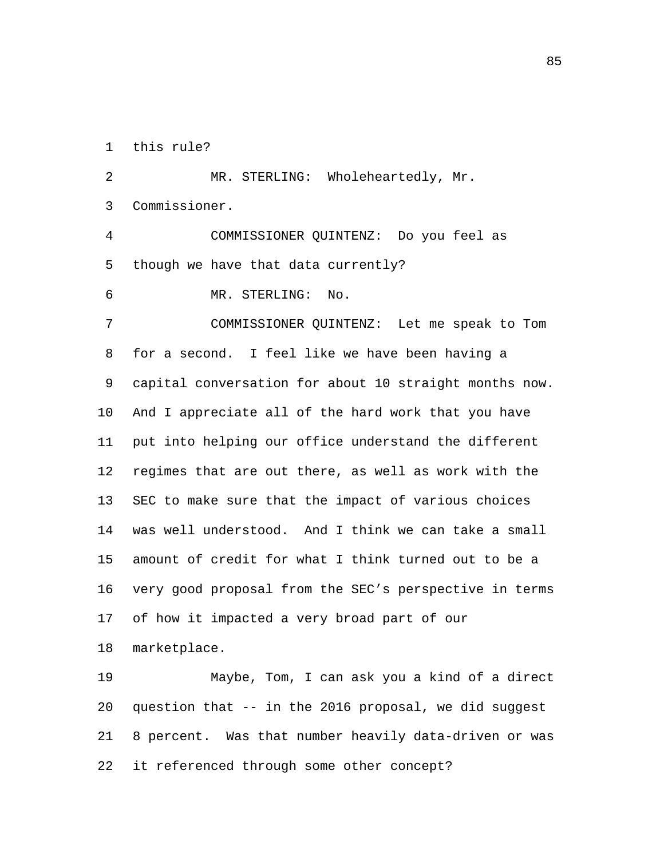1 this rule?

MR. STERLING: Wholeheartedly, Mr. Commissioner. 2 3 COMMISSIONER QUINTENZ: Do you feel as though we have that data currently? 4 5 6 MR. STERLING: No. COMMISSIONER QUINTENZ: Let me speak to Tom for a second. I feel like we have been having a capital conversation for about 10 straight months now. And I appreciate all of the hard work that you have put into helping our office understand the different regimes that are out there, as well as work with the SEC to make sure that the impact of various choices was well understood. And I think we can take a small amount of credit for what I think turned out to be a very good proposal from the SEC's perspective in terms of how it impacted a very broad part of our marketplace. 7 8 9 10 11 12 13 14 15 16 17 18

Maybe, Tom, I can ask you a kind of a direct question that -- in the 2016 proposal, we did suggest 8 percent. Was that number heavily data-driven or was it referenced through some other concept? 19 20 21 22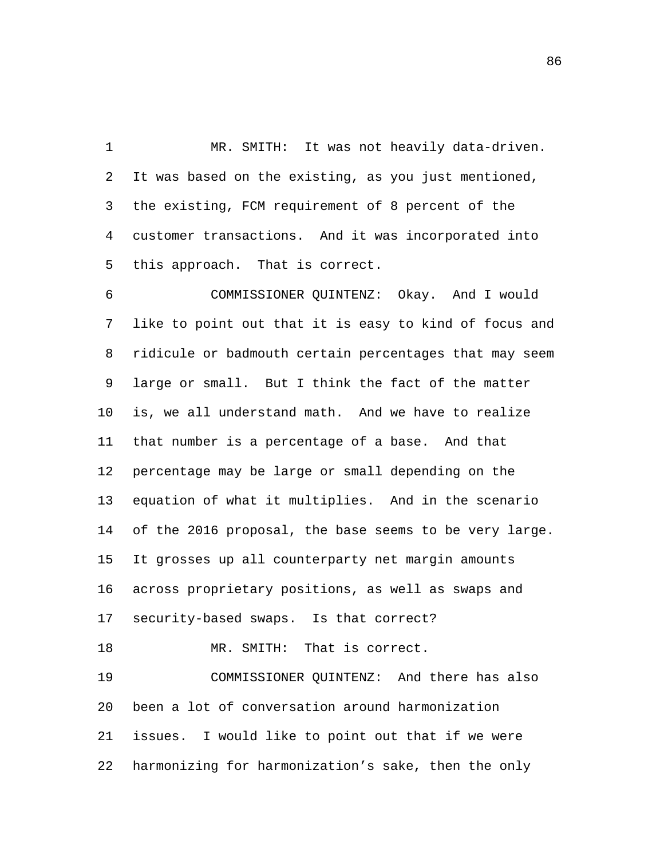MR. SMITH: It was not heavily data-driven. It was based on the existing, as you just mentioned, the existing, FCM requirement of 8 percent of the customer transactions. And it was incorporated into this approach. That is correct. 1 2 3 4 5

COMMISSIONER QUINTENZ: Okay. And I would like to point out that it is easy to kind of focus and ridicule or badmouth certain percentages that may seem large or small. But I think the fact of the matter is, we all understand math. And we have to realize that number is a percentage of a base. And that percentage may be large or small depending on the equation of what it multiplies. And in the scenario of the 2016 proposal, the base seems to be very large. It grosses up all counterparty net margin amounts across proprietary positions, as well as swaps and security-based swaps. Is that correct? 6 7 8 9 10 11 12 13 14 15 16 17 18 MR. SMITH: That is correct. COMMISSIONER QUINTENZ: And there has also been a lot of conversation around harmonization issues. I would like to point out that if we were 19 20 21

harmonizing for harmonization's sake, then the only 22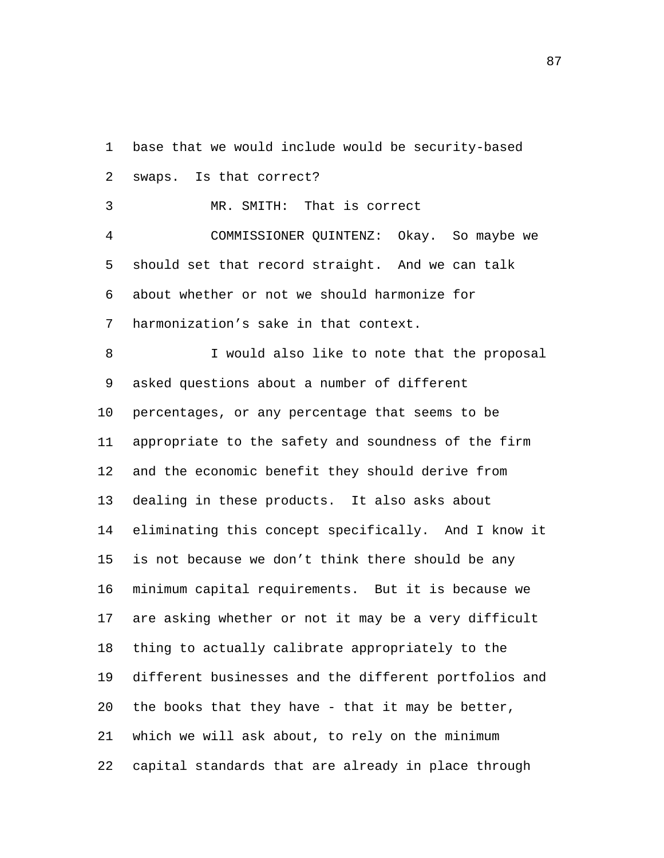base that we would include would be security-based swaps. Is that correct? 1 2 3 MR. SMITH: That is correct COMMISSIONER QUINTENZ: Okay. So maybe we should set that record straight. And we can talk about whether or not we should harmonize for harmonization's sake in that context. 4 5 6 7 I would also like to note that the proposal asked questions about a number of different percentages, or any percentage that seems to be appropriate to the safety and soundness of the firm and the economic benefit they should derive from dealing in these products. It also asks about eliminating this concept specifically. And I know it is not because we don't think there should be any minimum capital requirements. But it is because we are asking whether or not it may be a very difficult thing to actually calibrate appropriately to the different businesses and the different portfolios and the books that they have - that it may be better, which we will ask about, to rely on the minimum capital standards that are already in place through 8 9 10 11 12 13 14 15 16 17 18 19 20 21 22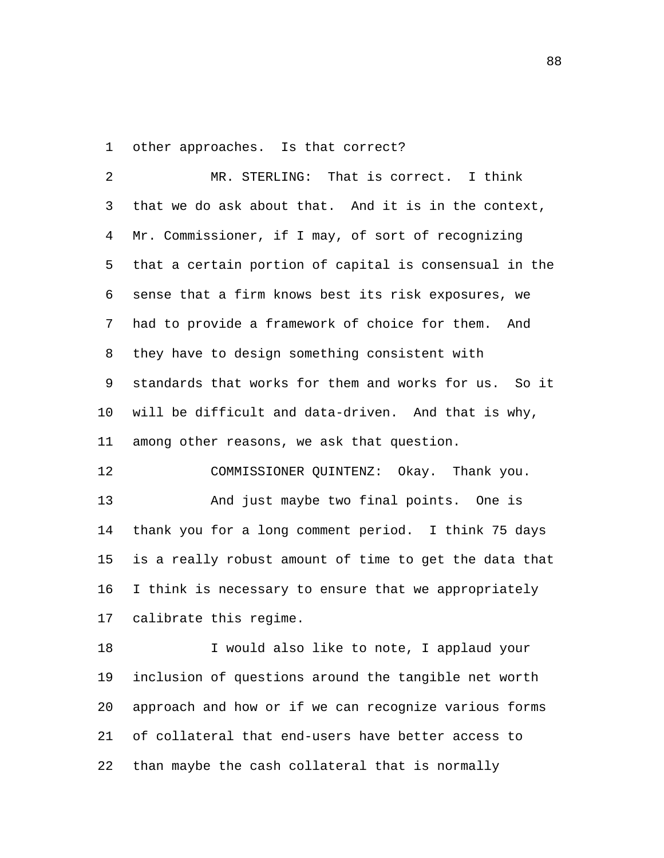1 other approaches. Is that correct?

MR. STERLING: That is correct. I think that we do ask about that. And it is in the context, Mr. Commissioner, if I may, of sort of recognizing that a certain portion of capital is consensual in the sense that a firm knows best its risk exposures, we had to provide a framework of choice for them. And they have to design something consistent with standards that works for them and works for us. So it will be difficult and data-driven. And that is why, among other reasons, we ask that question. 2 3 4 5 6 7 8 9 10 11 12 COMMISSIONER QUINTENZ: Okay. Thank you. And just maybe two final points. One is thank you for a long comment period. I think 75 days is a really robust amount of time to get the data that 13 14 15

I think is necessary to ensure that we appropriately calibrate this regime. 16 17

I would also like to note, I applaud your inclusion of questions around the tangible net worth approach and how or if we can recognize various forms of collateral that end-users have better access to than maybe the cash collateral that is normally 18 19 20 21 22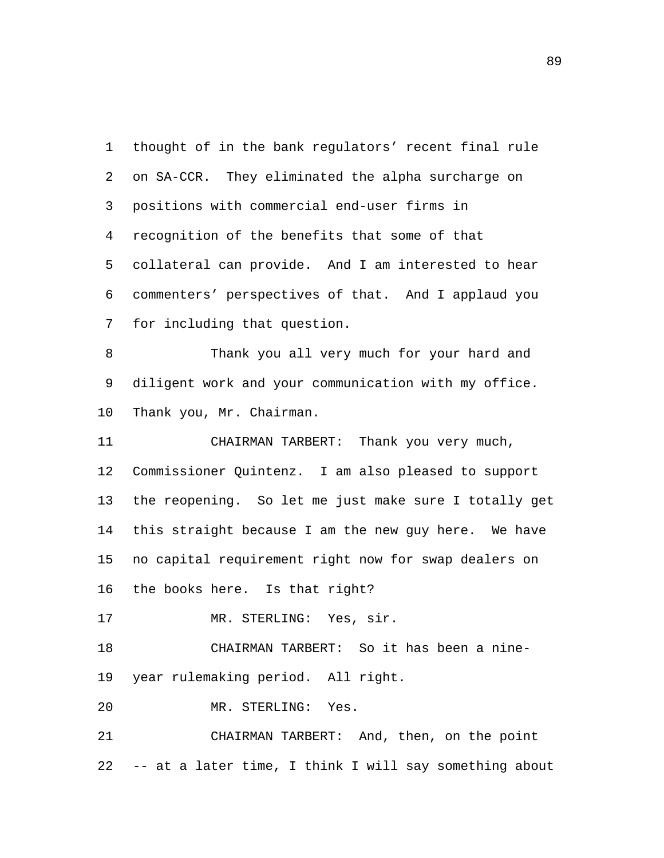thought of in the bank regulators' recent final rule on SA-CCR. They eliminated the alpha surcharge on positions with commercial end-user firms in recognition of the benefits that some of that collateral can provide. And I am interested to hear commenters' perspectives of that. And I applaud you for including that question. 1 2 3 4 5 6 7 Thank you all very much for your hard and diligent work and your communication with my office. Thank you, Mr. Chairman. 8 9 10 CHAIRMAN TARBERT: Thank you very much, Commissioner Quintenz. I am also pleased to support the reopening. So let me just make sure I totally get this straight because I am the new guy here. We have no capital requirement right now for swap dealers on the books here. Is that right? 11 12 13 14 15 16 17 MR. STERLING: Yes, sir. CHAIRMAN TARBERT: So it has been a nineyear rulemaking period. All right. 18 19 20 MR. STERLING: Yes. CHAIRMAN TARBERT: And, then, on the point -- at a later time, I think I will say something about 21 22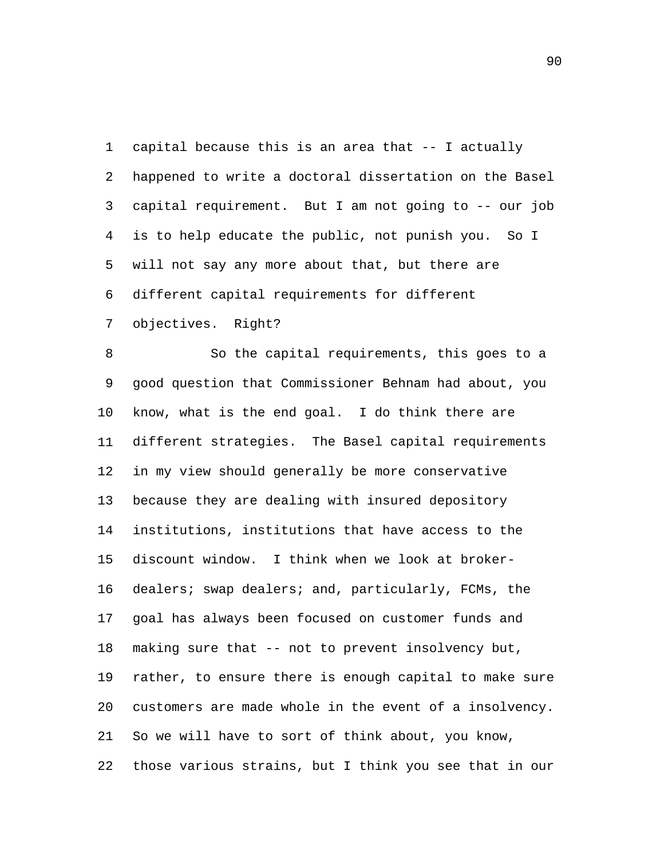capital because this is an area that -- I actually happened to write a doctoral dissertation on the Basel capital requirement. But I am not going to -- our job is to help educate the public, not punish you. So I will not say any more about that, but there are different capital requirements for different 1 2 3 4 5 6

objectives. Right? 7

So the capital requirements, this goes to a good question that Commissioner Behnam had about, you know, what is the end goal. I do think there are different strategies. The Basel capital requirements in my view should generally be more conservative because they are dealing with insured depository institutions, institutions that have access to the discount window. I think when we look at brokerdealers; swap dealers; and, particularly, FCMs, the goal has always been focused on customer funds and making sure that -- not to prevent insolvency but, rather, to ensure there is enough capital to make sure customers are made whole in the event of a insolvency. So we will have to sort of think about, you know, those various strains, but I think you see that in our 8 9 10 11 12 13 14 15 16 17 18 19 20 21 22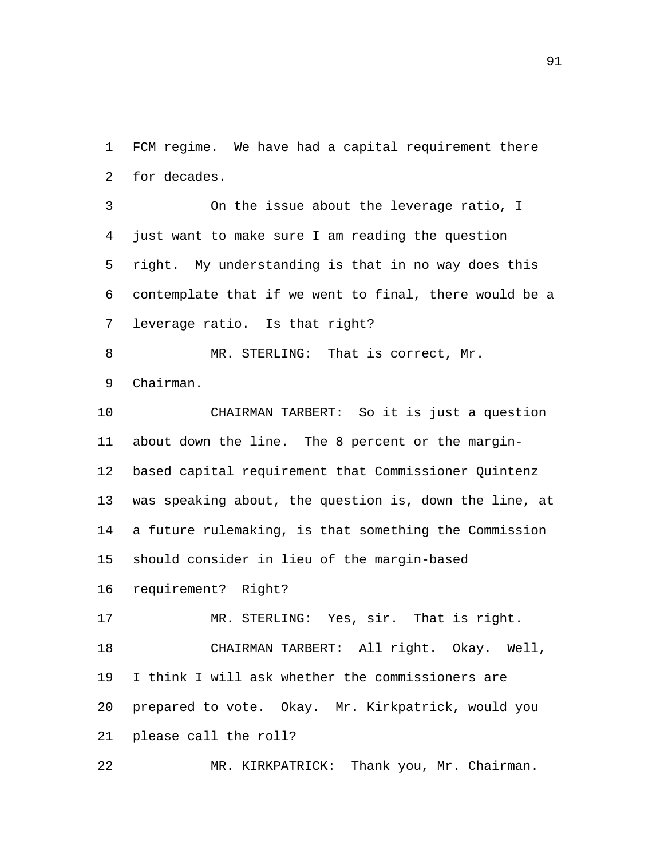FCM regime. We have had a capital requirement there for decades. 1 2

On the issue about the leverage ratio, I just want to make sure I am reading the question right. My understanding is that in no way does this contemplate that if we went to final, there would be a leverage ratio. Is that right? 3 4 5 6 7

MR. STERLING: That is correct, Mr. Chairman. 8 9

CHAIRMAN TARBERT: So it is just a question about down the line. The 8 percent or the marginbased capital requirement that Commissioner Quintenz was speaking about, the question is, down the line, at a future rulemaking, is that something the Commission should consider in lieu of the margin-based 10 11 12 13 14 15

requirement? Right? 16

17 MR. STERLING: Yes, sir. That is right. CHAIRMAN TARBERT: All right. Okay. Well, I think I will ask whether the commissioners are prepared to vote. Okay. Mr. Kirkpatrick, would you please call the roll? 18 19 20 21

22 MR. KIRKPATRICK: Thank you, Mr. Chairman.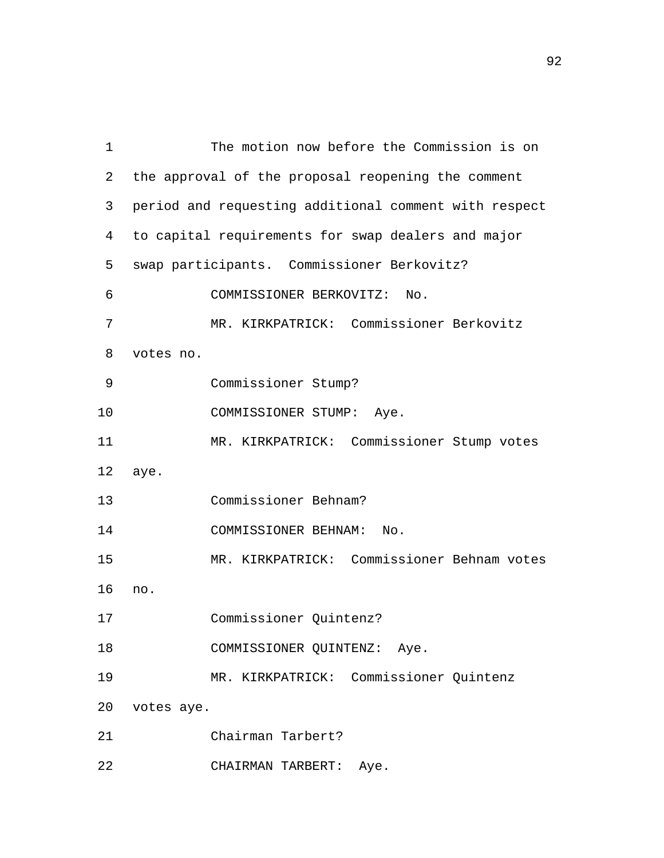The motion now before the Commission is on the approval of the proposal reopening the comment period and requesting additional comment with respect to capital requirements for swap dealers and major swap participants. Commissioner Berkovitz? 1 2 3 4 5 6 COMMISSIONER BERKOVITZ: No. MR. KIRKPATRICK: Commissioner Berkovitz votes no. 7 8 9 Commissioner Stump? 10 COMMISSIONER STUMP: Aye. MR. KIRKPATRICK: Commissioner Stump votes aye. 11 12 13 Commissioner Behnam? 14 COMMISSIONER BEHNAM: No. MR. KIRKPATRICK: Commissioner Behnam votes no. 15 16 17 Commissioner Quintenz? 18 COMMISSIONER QUINTENZ: Aye. MR. KIRKPATRICK: Commissioner Quintenz votes aye. 19 20 21 Chairman Tarbert? 22 CHAIRMAN TARBERT: Aye.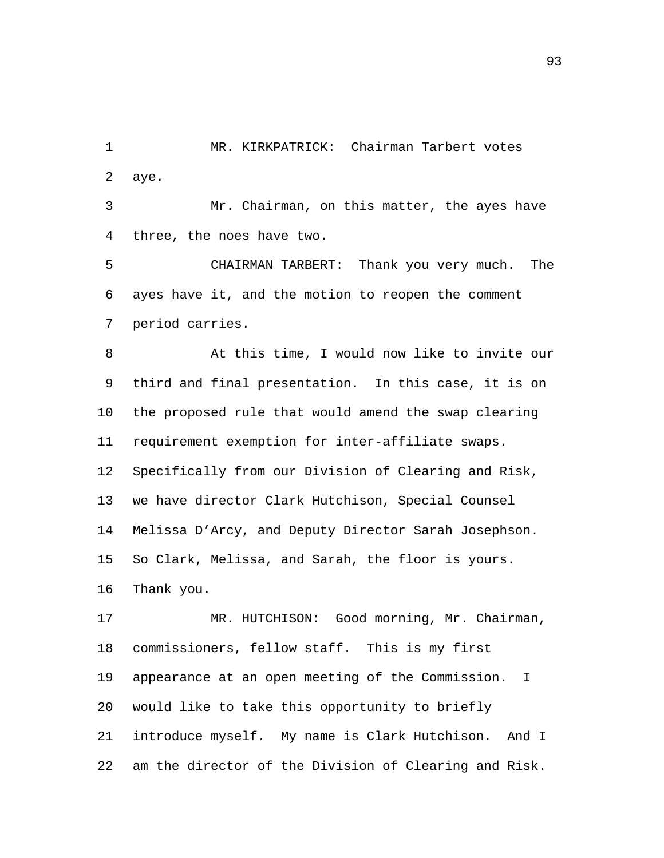MR. KIRKPATRICK: Chairman Tarbert votes aye. 1 2

Mr. Chairman, on this matter, the ayes have three, the noes have two. 3 4

CHAIRMAN TARBERT: Thank you very much. The ayes have it, and the motion to reopen the comment period carries. 5 6 7

At this time, I would now like to invite our third and final presentation. In this case, it is on the proposed rule that would amend the swap clearing requirement exemption for inter-affiliate swaps. Specifically from our Division of Clearing and Risk, we have director Clark Hutchison, Special Counsel Melissa D'Arcy, and Deputy Director Sarah Josephson. So Clark, Melissa, and Sarah, the floor is yours. Thank you. 8 9 10 11 12 13 14 15 16

MR. HUTCHISON: Good morning, Mr. Chairman, commissioners, fellow staff. This is my first appearance at an open meeting of the Commission. I would like to take this opportunity to briefly introduce myself. My name is Clark Hutchison. And I am the director of the Division of Clearing and Risk. 17 18 19 20 21 22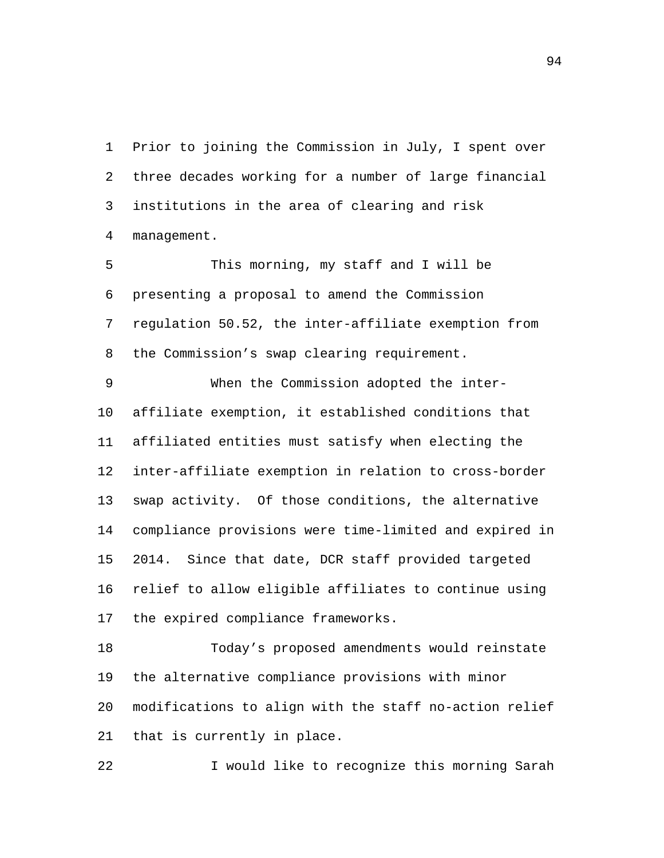Prior to joining the Commission in July, I spent over three decades working for a number of large financial institutions in the area of clearing and risk management. 1 2 3 4

This morning, my staff and I will be presenting a proposal to amend the Commission regulation 50.52, the inter-affiliate exemption from the Commission's swap clearing requirement. 5 6 7 8

When the Commission adopted the interaffiliate exemption, it established conditions that affiliated entities must satisfy when electing the inter-affiliate exemption in relation to cross-border swap activity. Of those conditions, the alternative compliance provisions were time-limited and expired in 2014. Since that date, DCR staff provided targeted relief to allow eligible affiliates to continue using the expired compliance frameworks. 9 10 11 12 13 14 15 16 17

Today's proposed amendments would reinstate the alternative compliance provisions with minor modifications to align with the staff no-action relief that is currently in place. 18 19 20 21

22 I would like to recognize this morning Sarah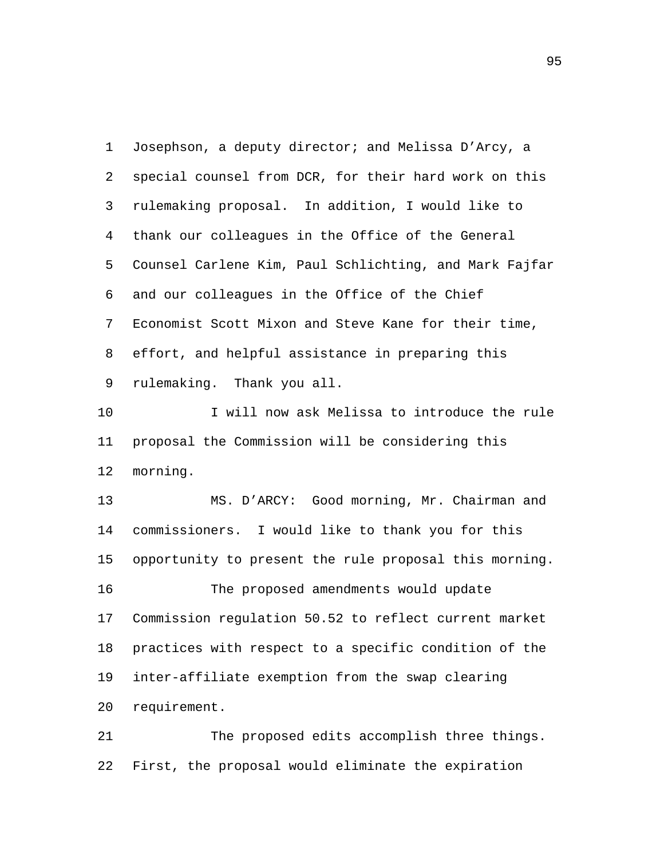Josephson, a deputy director; and Melissa D'Arcy, a special counsel from DCR, for their hard work on this rulemaking proposal. In addition, I would like to thank our colleagues in the Office of the General Counsel Carlene Kim, Paul Schlichting, and Mark Fajfar and our colleagues in the Office of the Chief Economist Scott Mixon and Steve Kane for their time, effort, and helpful assistance in preparing this rulemaking. Thank you all. 1 2 3 4 5 6 7 8 9

I will now ask Melissa to introduce the rule proposal the Commission will be considering this morning. 10 11 12

MS. D'ARCY: Good morning, Mr. Chairman and commissioners. I would like to thank you for this opportunity to present the rule proposal this morning. 13 14 15 The proposed amendments would update Commission regulation 50.52 to reflect current market practices with respect to a specific condition of the inter-affiliate exemption from the swap clearing requirement. 16 17 18 19 20

The proposed edits accomplish three things. First, the proposal would eliminate the expiration 21 22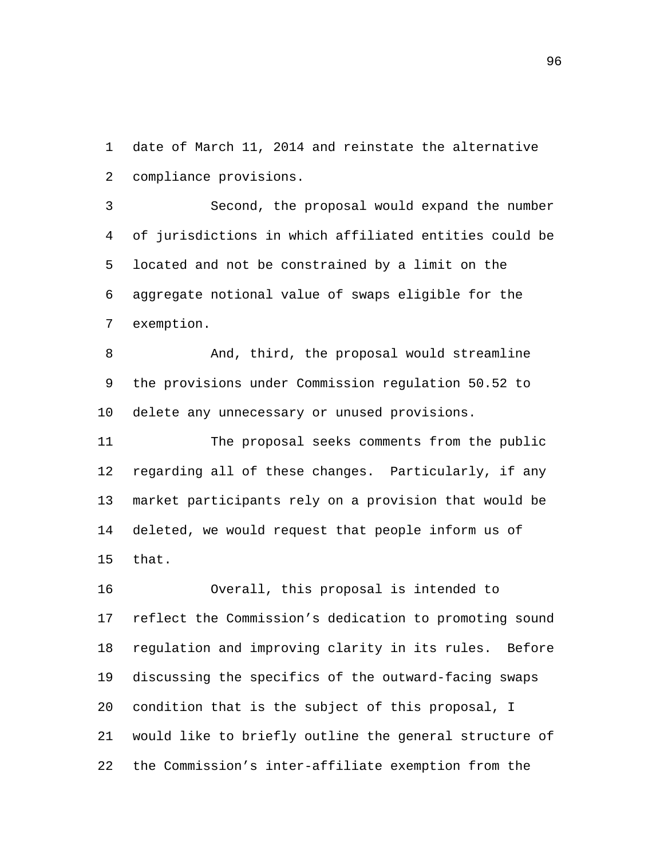date of March 11, 2014 and reinstate the alternative compliance provisions. 1 2

Second, the proposal would expand the number of jurisdictions in which affiliated entities could be located and not be constrained by a limit on the aggregate notional value of swaps eligible for the exemption. 3 4 5 6 7

And, third, the proposal would streamline the provisions under Commission regulation 50.52 to delete any unnecessary or unused provisions. 8 9 10

The proposal seeks comments from the public regarding all of these changes. Particularly, if any market participants rely on a provision that would be deleted, we would request that people inform us of that. 11 12 13 14 15

Overall, this proposal is intended to reflect the Commission's dedication to promoting sound regulation and improving clarity in its rules. Before discussing the specifics of the outward-facing swaps condition that is the subject of this proposal, I would like to briefly outline the general structure of the Commission's inter-affiliate exemption from the 16 17 18 19 20 21 22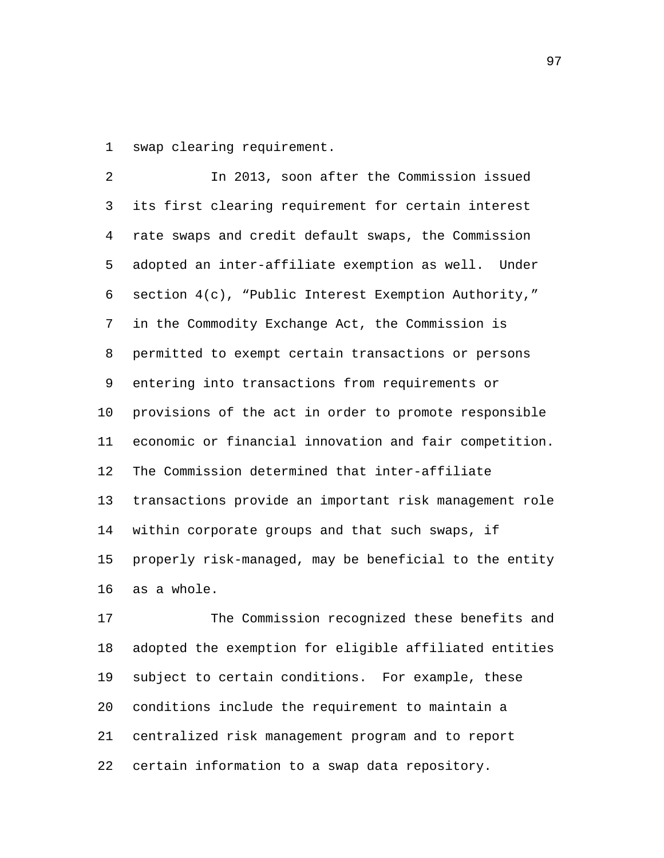1 swap clearing requirement.

In 2013, soon after the Commission issued its first clearing requirement for certain interest rate swaps and credit default swaps, the Commission adopted an inter-affiliate exemption as well. Under section 4(c), "Public Interest Exemption Authority," in the Commodity Exchange Act, the Commission is permitted to exempt certain transactions or persons entering into transactions from requirements or provisions of the act in order to promote responsible economic or financial innovation and fair competition. The Commission determined that inter-affiliate transactions provide an important risk management role within corporate groups and that such swaps, if properly risk-managed, may be beneficial to the entity as a whole. 2 3 4 5 6 7 8 9 10 11 12 13 14 15 16

The Commission recognized these benefits and adopted the exemption for eligible affiliated entities subject to certain conditions. For example, these conditions include the requirement to maintain a centralized risk management program and to report certain information to a swap data repository. 17 18 19 20 21 22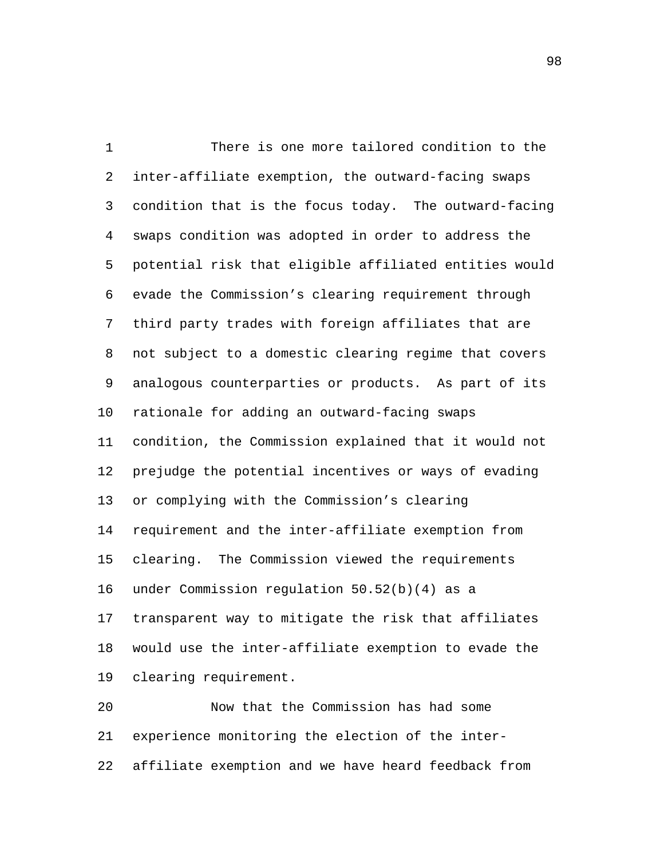There is one more tailored condition to the inter-affiliate exemption, the outward-facing swaps condition that is the focus today. The outward-facing swaps condition was adopted in order to address the potential risk that eligible affiliated entities would evade the Commission's clearing requirement through third party trades with foreign affiliates that are not subject to a domestic clearing regime that covers analogous counterparties or products. As part of its rationale for adding an outward-facing swaps condition, the Commission explained that it would not prejudge the potential incentives or ways of evading or complying with the Commission's clearing requirement and the inter-affiliate exemption from clearing. The Commission viewed the requirements under Commission regulation 50.52(b)(4) as a transparent way to mitigate the risk that affiliates would use the inter-affiliate exemption to evade the clearing requirement. 1 2 3 4 5 6 7 8 9 10 11 12 13 14 15 16 17 18 19

Now that the Commission has had some experience monitoring the election of the interaffiliate exemption and we have heard feedback from  $20$ 21 22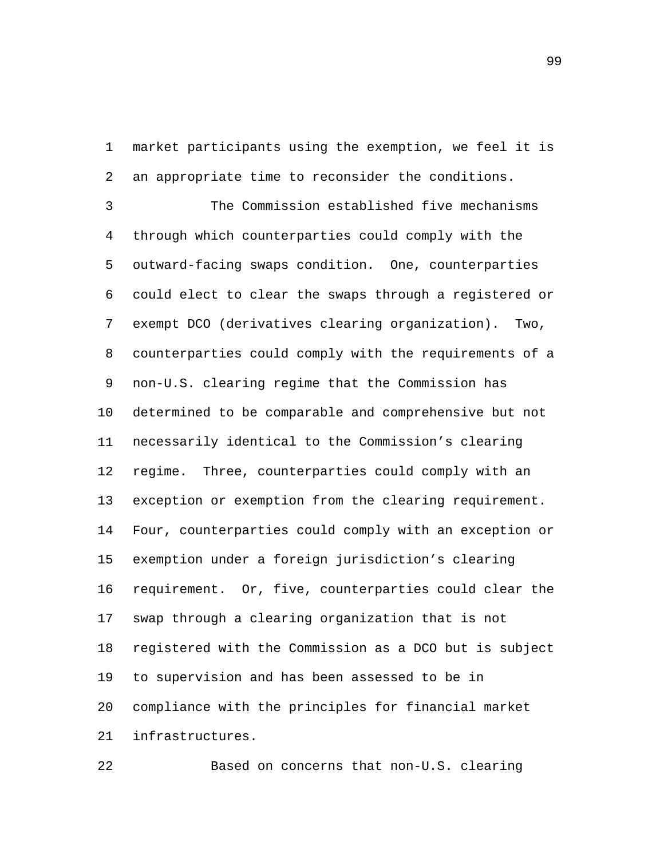market participants using the exemption, we feel it is an appropriate time to reconsider the conditions. 1 2

The Commission established five mechanisms through which counterparties could comply with the outward-facing swaps condition. One, counterparties could elect to clear the swaps through a registered or exempt DCO (derivatives clearing organization). Two, counterparties could comply with the requirements of a non-U.S. clearing regime that the Commission has determined to be comparable and comprehensive but not necessarily identical to the Commission's clearing regime. Three, counterparties could comply with an exception or exemption from the clearing requirement. Four, counterparties could comply with an exception or exemption under a foreign jurisdiction's clearing requirement. Or, five, counterparties could clear the swap through a clearing organization that is not registered with the Commission as a DCO but is subject to supervision and has been assessed to be in compliance with the principles for financial market infrastructures. 3 4 5 6 7 8 9 10 11 12 13 14 15 16 17 18 19 20 21

22 Based on concerns that non-U.S. clearing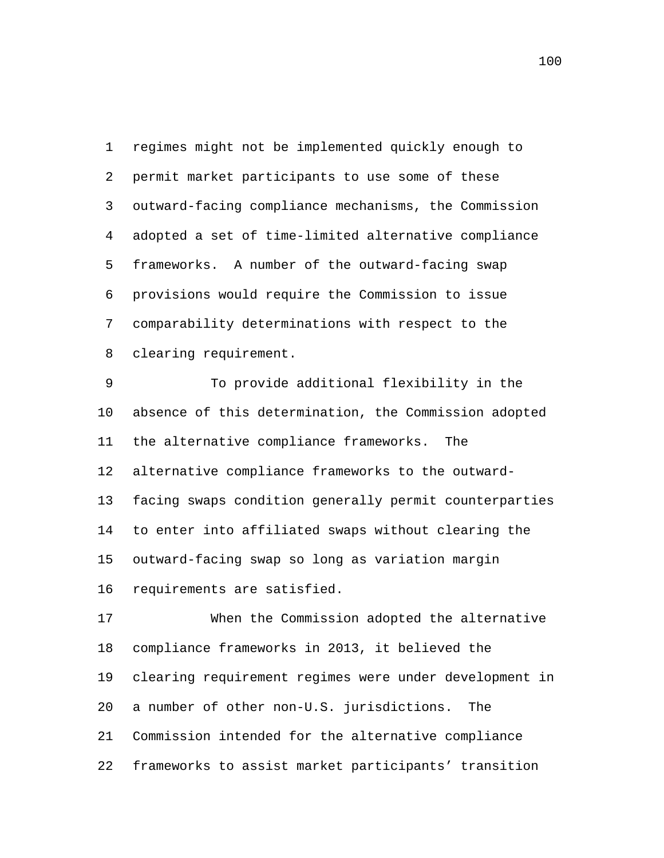regimes might not be implemented quickly enough to permit market participants to use some of these outward-facing compliance mechanisms, the Commission adopted a set of time-limited alternative compliance frameworks. A number of the outward-facing swap provisions would require the Commission to issue comparability determinations with respect to the clearing requirement. 1 2 3 4 5 6 7 8

To provide additional flexibility in the absence of this determination, the Commission adopted the alternative compliance frameworks. The alternative compliance frameworks to the outwardfacing swaps condition generally permit counterparties to enter into affiliated swaps without clearing the outward-facing swap so long as variation margin requirements are satisfied. 9 10 11 12 13 14 15 16

When the Commission adopted the alternative compliance frameworks in 2013, it believed the clearing requirement regimes were under development in a number of other non-U.S. jurisdictions. The Commission intended for the alternative compliance frameworks to assist market participants' transition 17 18 19 20 21 22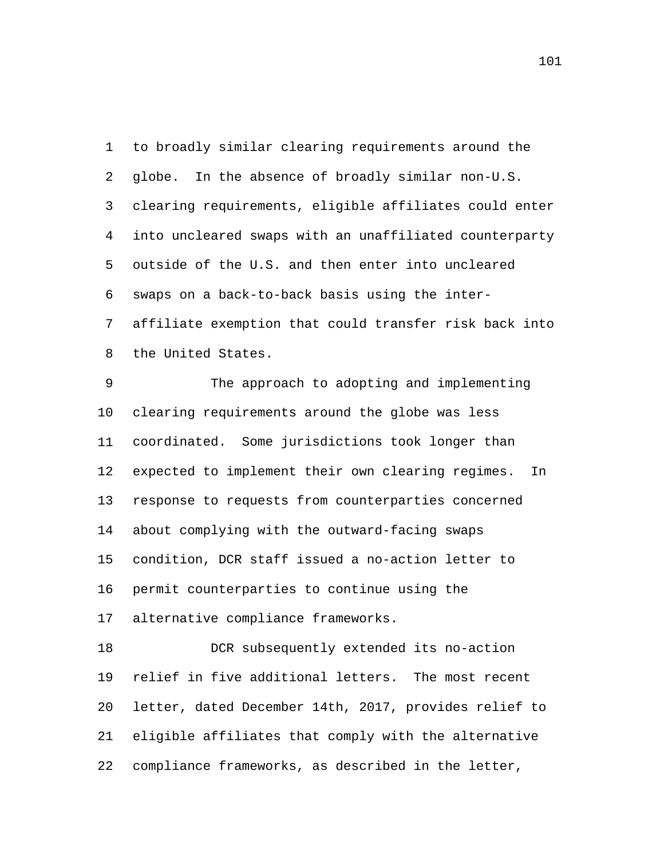to broadly similar clearing requirements around the globe. In the absence of broadly similar non-U.S. clearing requirements, eligible affiliates could enter into uncleared swaps with an unaffiliated counterparty outside of the U.S. and then enter into uncleared swaps on a back-to-back basis using the interaffiliate exemption that could transfer risk back into the United States. 1 2 3 4 5 6 7 8

The approach to adopting and implementing clearing requirements around the globe was less coordinated. Some jurisdictions took longer than expected to implement their own clearing regimes. In response to requests from counterparties concerned about complying with the outward-facing swaps condition, DCR staff issued a no-action letter to permit counterparties to continue using the alternative compliance frameworks. 9 10 11 12 13 14 15 16 17

DCR subsequently extended its no-action relief in five additional letters. The most recent letter, dated December 14th, 2017, provides relief to eligible affiliates that comply with the alternative compliance frameworks, as described in the letter, 18 19 20 21 22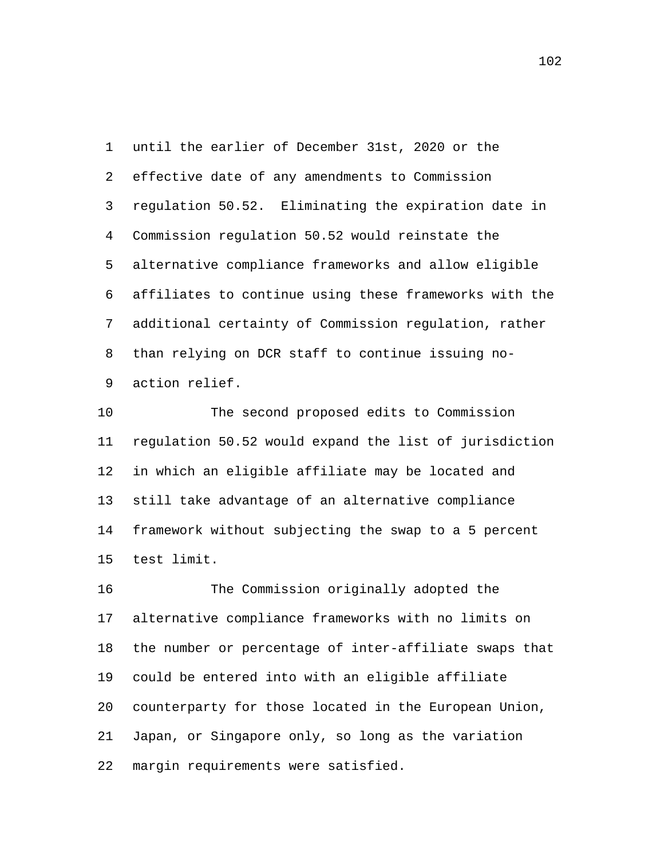until the earlier of December 31st, 2020 or the effective date of any amendments to Commission regulation 50.52. Eliminating the expiration date in Commission regulation 50.52 would reinstate the alternative compliance frameworks and allow eligible affiliates to continue using these frameworks with the additional certainty of Commission regulation, rather than relying on DCR staff to continue issuing noaction relief. 1 2 3 4 5 6 7 8 9

The second proposed edits to Commission regulation 50.52 would expand the list of jurisdiction in which an eligible affiliate may be located and still take advantage of an alternative compliance framework without subjecting the swap to a 5 percent test limit. 10 11 12 13 14 15

The Commission originally adopted the alternative compliance frameworks with no limits on the number or percentage of inter-affiliate swaps that could be entered into with an eligible affiliate counterparty for those located in the European Union, Japan, or Singapore only, so long as the variation margin requirements were satisfied. 16 17 18 19 20 21 22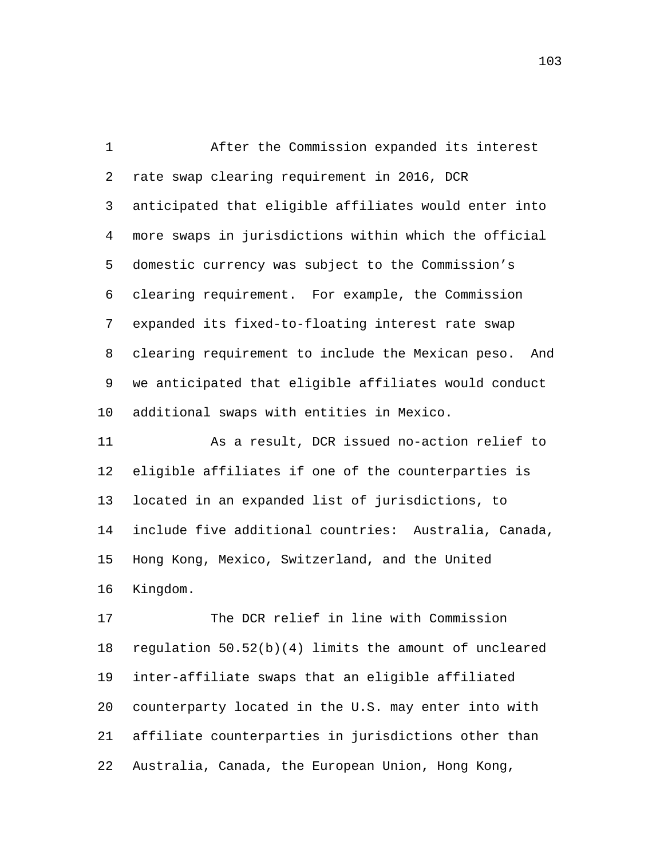After the Commission expanded its interest rate swap clearing requirement in 2016, DCR anticipated that eligible affiliates would enter into more swaps in jurisdictions within which the official domestic currency was subject to the Commission's clearing requirement. For example, the Commission expanded its fixed-to-floating interest rate swap clearing requirement to include the Mexican peso. And we anticipated that eligible affiliates would conduct additional swaps with entities in Mexico. 1 2 3 4 5 6 7 8 9 10

As a result, DCR issued no-action relief to eligible affiliates if one of the counterparties is located in an expanded list of jurisdictions, to include five additional countries: Australia, Canada, Hong Kong, Mexico, Switzerland, and the United Kingdom. 11 12 13 14 15 16

The DCR relief in line with Commission regulation  $50.52(b)(4)$  limits the amount of uncleared inter-affiliate swaps that an eligible affiliated counterparty located in the U.S. may enter into with affiliate counterparties in jurisdictions other than Australia, Canada, the European Union, Hong Kong, 17 18 19 20 21 22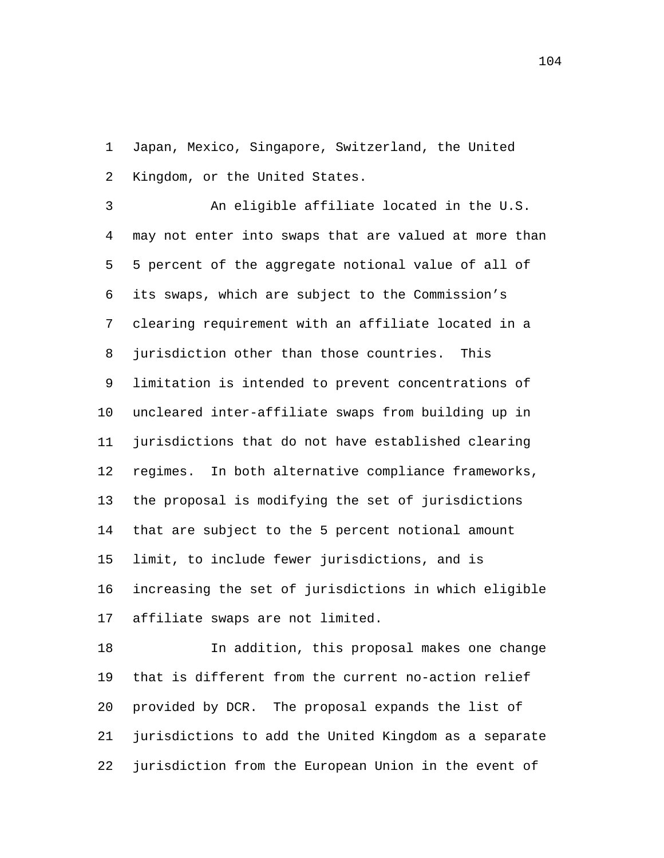Japan, Mexico, Singapore, Switzerland, the United Kingdom, or the United States. 1 2

An eligible affiliate located in the U.S. may not enter into swaps that are valued at more than 5 percent of the aggregate notional value of all of its swaps, which are subject to the Commission's clearing requirement with an affiliate located in a jurisdiction other than those countries. This limitation is intended to prevent concentrations of uncleared inter-affiliate swaps from building up in jurisdictions that do not have established clearing regimes. In both alternative compliance frameworks, the proposal is modifying the set of jurisdictions that are subject to the 5 percent notional amount limit, to include fewer jurisdictions, and is increasing the set of jurisdictions in which eligible affiliate swaps are not limited. 3 4 5 6 7 8 9 10 11 12 13 14 15 16 17

In addition, this proposal makes one change that is different from the current no-action relief provided by DCR. The proposal expands the list of jurisdictions to add the United Kingdom as a separate jurisdiction from the European Union in the event of 18 19 20 21 22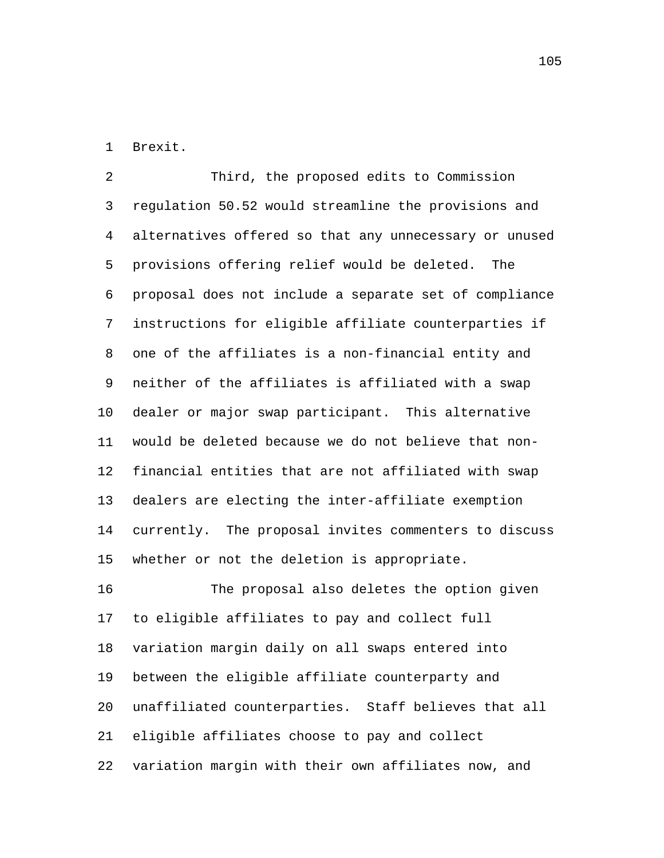1 Brexit.

Third, the proposed edits to Commission regulation 50.52 would streamline the provisions and alternatives offered so that any unnecessary or unused provisions offering relief would be deleted. The proposal does not include a separate set of compliance instructions for eligible affiliate counterparties if one of the affiliates is a non-financial entity and neither of the affiliates is affiliated with a swap dealer or major swap participant. This alternative would be deleted because we do not believe that nonfinancial entities that are not affiliated with swap dealers are electing the inter-affiliate exemption currently. The proposal invites commenters to discuss whether or not the deletion is appropriate. 2 3 4 5 6 7 8 9 10 11 12 13 14 15

The proposal also deletes the option given to eligible affiliates to pay and collect full variation margin daily on all swaps entered into between the eligible affiliate counterparty and unaffiliated counterparties. Staff believes that all eligible affiliates choose to pay and collect variation margin with their own affiliates now, and 16 17 18 19 20 21 22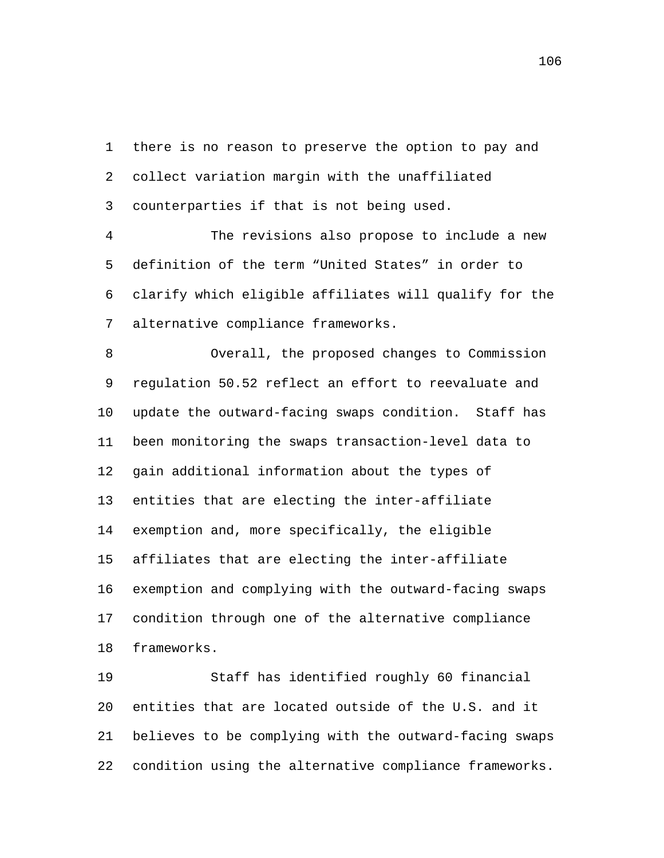there is no reason to preserve the option to pay and collect variation margin with the unaffiliated counterparties if that is not being used. 1 2 3

The revisions also propose to include a new definition of the term "United States" in order to clarify which eligible affiliates will qualify for the alternative compliance frameworks. 4 5 6 7

Overall, the proposed changes to Commission regulation 50.52 reflect an effort to reevaluate and update the outward-facing swaps condition. Staff has been monitoring the swaps transaction-level data to gain additional information about the types of entities that are electing the inter-affiliate exemption and, more specifically, the eligible affiliates that are electing the inter-affiliate exemption and complying with the outward-facing swaps condition through one of the alternative compliance frameworks. 8 9 10 11 12 13 14 15 16 17 18

Staff has identified roughly 60 financial entities that are located outside of the U.S. and it believes to be complying with the outward-facing swaps condition using the alternative compliance frameworks. 19 20 21 22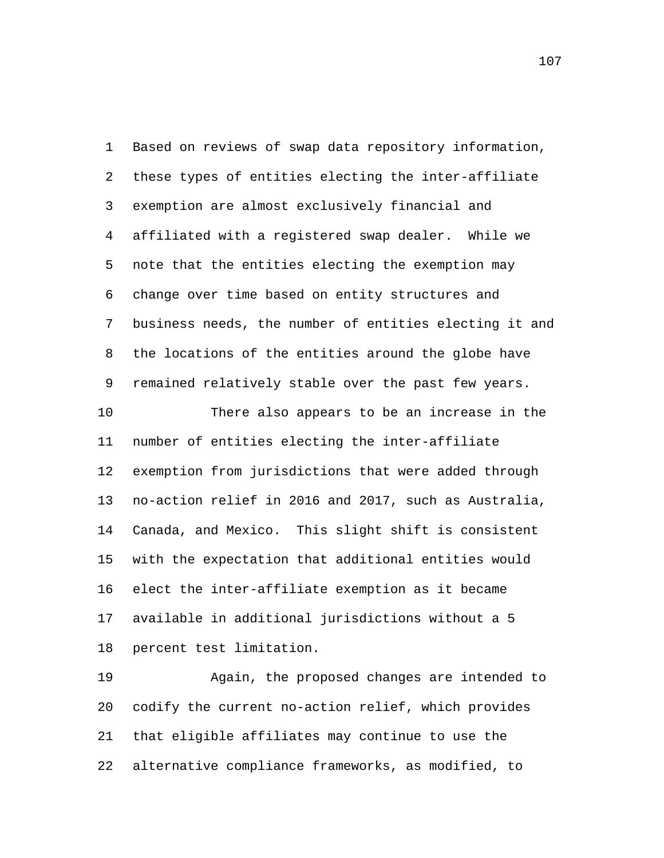Based on reviews of swap data repository information, these types of entities electing the inter-affiliate exemption are almost exclusively financial and affiliated with a registered swap dealer. While we note that the entities electing the exemption may change over time based on entity structures and business needs, the number of entities electing it and the locations of the entities around the globe have remained relatively stable over the past few years. 1 2 3 4 5 6 7 8 9 There also appears to be an increase in the number of entities electing the inter-affiliate exemption from jurisdictions that were added through no-action relief in 2016 and 2017, such as Australia, Canada, and Mexico. This slight shift is consistent with the expectation that additional entities would elect the inter-affiliate exemption as it became available in additional jurisdictions without a 5 percent test limitation. 10 11 12 13 14 15 16 17 18

Again, the proposed changes are intended to codify the current no-action relief, which provides that eligible affiliates may continue to use the alternative compliance frameworks, as modified, to 19 20 21 22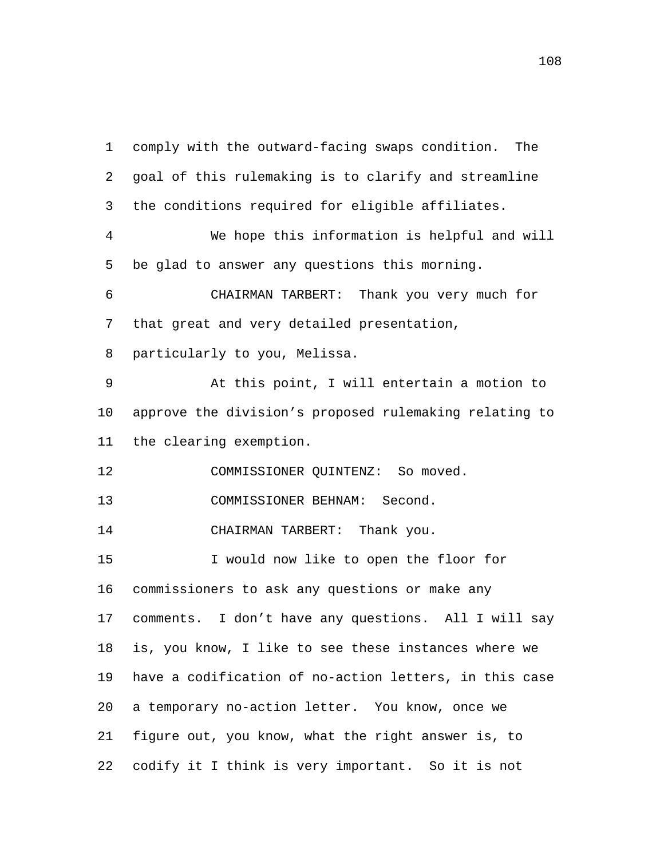comply with the outward-facing swaps condition. The goal of this rulemaking is to clarify and streamline the conditions required for eligible affiliates. 1 2 3 We hope this information is helpful and will be glad to answer any questions this morning. 4 5 CHAIRMAN TARBERT: Thank you very much for that great and very detailed presentation, particularly to you, Melissa. 6 7 8 At this point, I will entertain a motion to approve the division's proposed rulemaking relating to the clearing exemption. 9 10 11 12 COMMISSIONER QUINTENZ: So moved. 13 COMMISSIONER BEHNAM: Second. 14 CHAIRMAN TARBERT: Thank you. I would now like to open the floor for commissioners to ask any questions or make any comments. I don't have any questions. All I will say is, you know, I like to see these instances where we have a codification of no-action letters, in this case a temporary no-action letter. You know, once we figure out, you know, what the right answer is, to codify it I think is very important. So it is not 15 16 17 18 19 20 21 22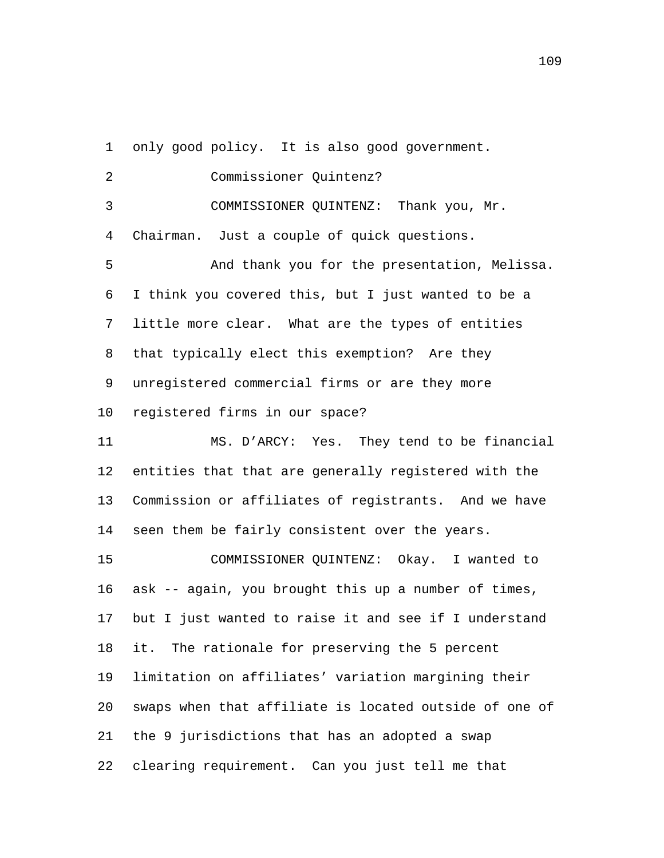1 only good policy. It is also good government.

| 2       | Commissioner Quintenz?                                 |
|---------|--------------------------------------------------------|
| 3       | COMMISSIONER QUINTENZ: Thank you, Mr.                  |
| 4       | Chairman. Just a couple of quick questions.            |
| 5       | And thank you for the presentation, Melissa.           |
| 6       | I think you covered this, but I just wanted to be a    |
| 7       | little more clear. What are the types of entities      |
| 8       | that typically elect this exemption? Are they          |
| 9       | unregistered commercial firms or are they more         |
| $10 \,$ | registered firms in our space?                         |
| 11      | MS. D'ARCY: Yes. They tend to be financial             |
| 12      | entities that that are generally registered with the   |
| 13      | Commission or affiliates of registrants. And we have   |
| 14      | seen them be fairly consistent over the years.         |
| 15      | COMMISSIONER QUINTENZ: Okay. I wanted to               |
| 16      | ask -- again, you brought this up a number of times,   |
| 17      | but I just wanted to raise it and see if I understand  |
| 18      | it. The rationale for preserving the 5 percent         |
| 19      | limitation on affiliates' variation margining their    |
| 20      | swaps when that affiliate is located outside of one of |
| 21      | the 9 jurisdictions that has an adopted a swap         |
| 22      | clearing requirement. Can you just tell me that        |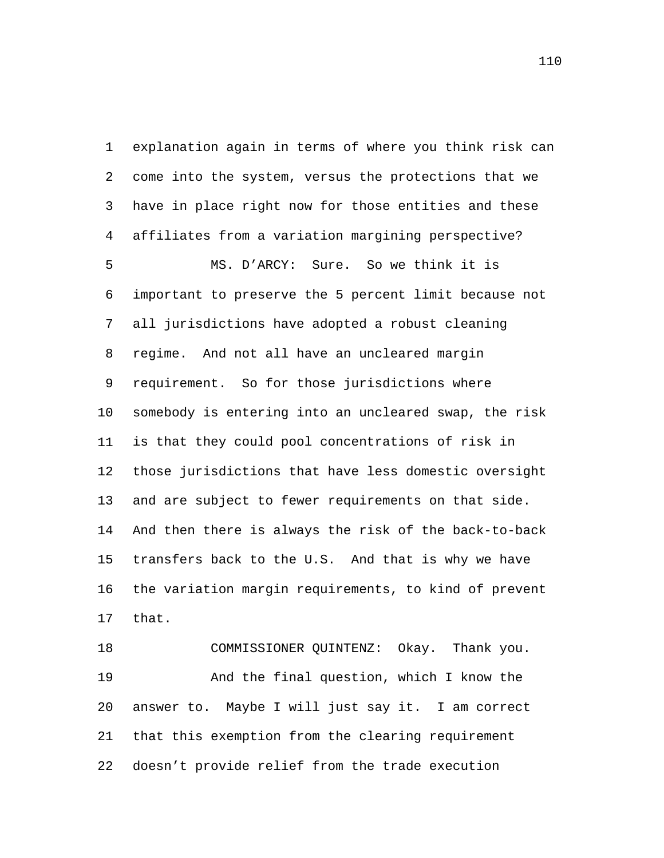explanation again in terms of where you think risk can come into the system, versus the protections that we have in place right now for those entities and these affiliates from a variation margining perspective? 1 2 3 4 MS. D'ARCY: Sure. So we think it is important to preserve the 5 percent limit because not all jurisdictions have adopted a robust cleaning regime. And not all have an uncleared margin requirement. So for those jurisdictions where somebody is entering into an uncleared swap, the risk is that they could pool concentrations of risk in those jurisdictions that have less domestic oversight and are subject to fewer requirements on that side. And then there is always the risk of the back-to-back transfers back to the U.S. And that is why we have the variation margin requirements, to kind of prevent that. 5 6 7 8 9 10 11 12 13 14 15 16 17

18 COMMISSIONER QUINTENZ: Okay. Thank you. And the final question, which I know the answer to. Maybe I will just say it. I am correct that this exemption from the clearing requirement doesn't provide relief from the trade execution 19 20 21 22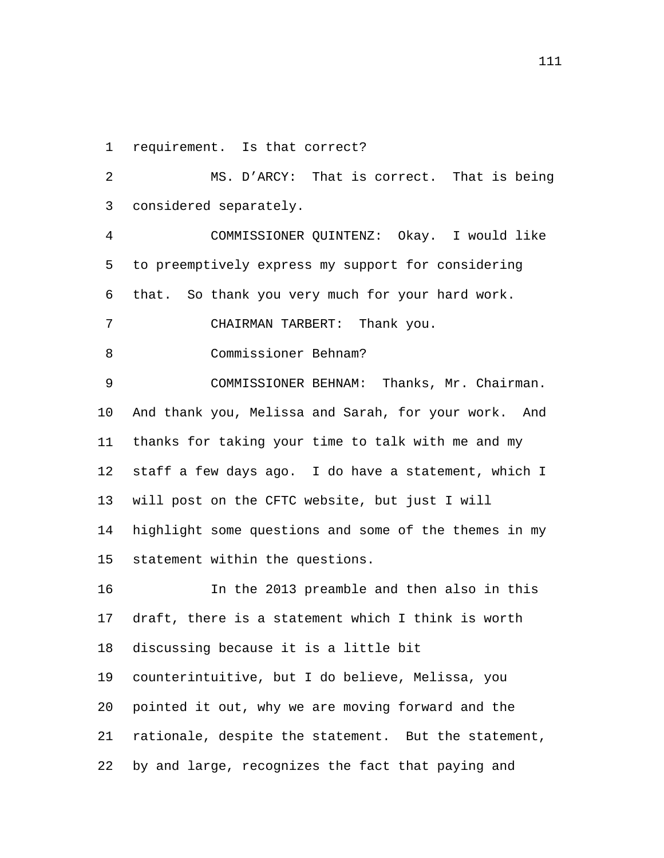1 requirement. Is that correct?

MS. D'ARCY: That is correct. That is being considered separately. 2 3

COMMISSIONER QUINTENZ: Okay. I would like to preemptively express my support for considering that. So thank you very much for your hard work. 4 5 6 7 CHAIRMAN TARBERT: Thank you.

8 Commissioner Behnam?

COMMISSIONER BEHNAM: Thanks, Mr. Chairman. And thank you, Melissa and Sarah, for your work. And thanks for taking your time to talk with me and my staff a few days ago. I do have a statement, which I will post on the CFTC website, but just I will highlight some questions and some of the themes in my statement within the questions. 9 10 11 12 13 14 15

In the 2013 preamble and then also in this draft, there is a statement which I think is worth discussing because it is a little bit counterintuitive, but I do believe, Melissa, you pointed it out, why we are moving forward and the rationale, despite the statement. But the statement, by and large, recognizes the fact that paying and 16 17 18 19 20 21 22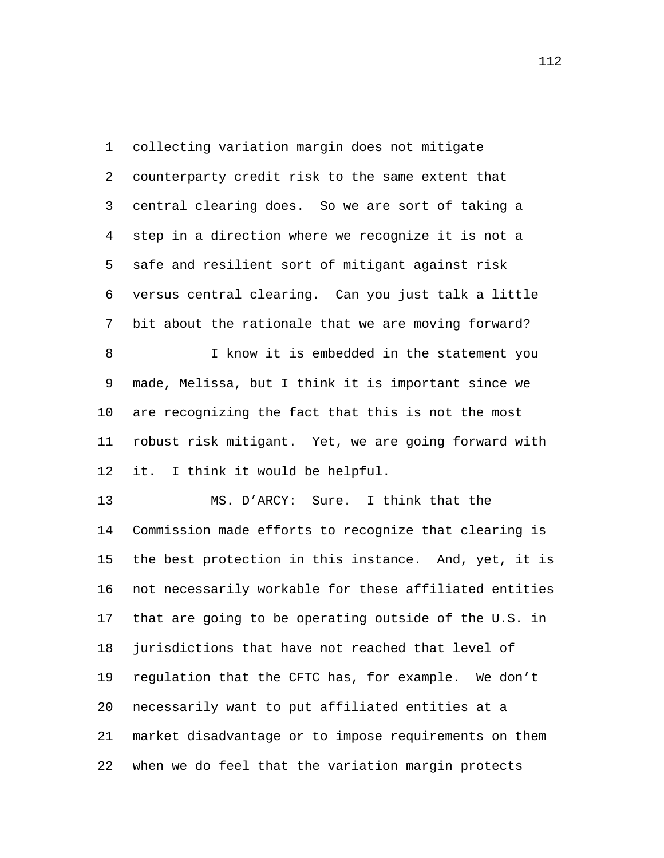collecting variation margin does not mitigate counterparty credit risk to the same extent that central clearing does. So we are sort of taking a step in a direction where we recognize it is not a safe and resilient sort of mitigant against risk versus central clearing. Can you just talk a little bit about the rationale that we are moving forward? 1 2 3 4 5 6 7 I know it is embedded in the statement you made, Melissa, but I think it is important since we 8 9

are recognizing the fact that this is not the most robust risk mitigant. Yet, we are going forward with it. I think it would be helpful. 10 11 12

MS. D'ARCY: Sure. I think that the Commission made efforts to recognize that clearing is the best protection in this instance. And, yet, it is not necessarily workable for these affiliated entities that are going to be operating outside of the U.S. in jurisdictions that have not reached that level of regulation that the CFTC has, for example. We don't necessarily want to put affiliated entities at a market disadvantage or to impose requirements on them when we do feel that the variation margin protects 13 14 15 16 17 18 19 20 21 22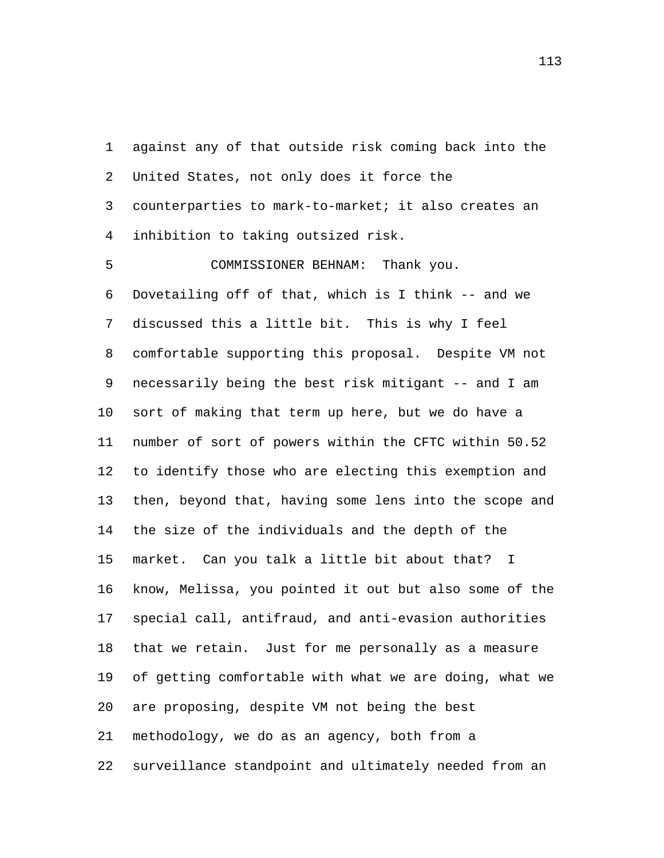against any of that outside risk coming back into the United States, not only does it force the counterparties to mark-to-market; it also creates an inhibition to taking outsized risk. 1 2 3 4

5 COMMISSIONER BEHNAM: Thank you. Dovetailing off of that, which is I think -- and we discussed this a little bit. This is why I feel comfortable supporting this proposal. Despite VM not necessarily being the best risk mitigant -- and I am sort of making that term up here, but we do have a number of sort of powers within the CFTC within 50.52 to identify those who are electing this exemption and then, beyond that, having some lens into the scope and the size of the individuals and the depth of the market. Can you talk a little bit about that? I know, Melissa, you pointed it out but also some of the special call, antifraud, and anti-evasion authorities that we retain. Just for me personally as a measure of getting comfortable with what we are doing, what we are proposing, despite VM not being the best methodology, we do as an agency, both from a surveillance standpoint and ultimately needed from an 6 7 8 9 10 11 12 13 14 15 16 17 18 19 20 21 22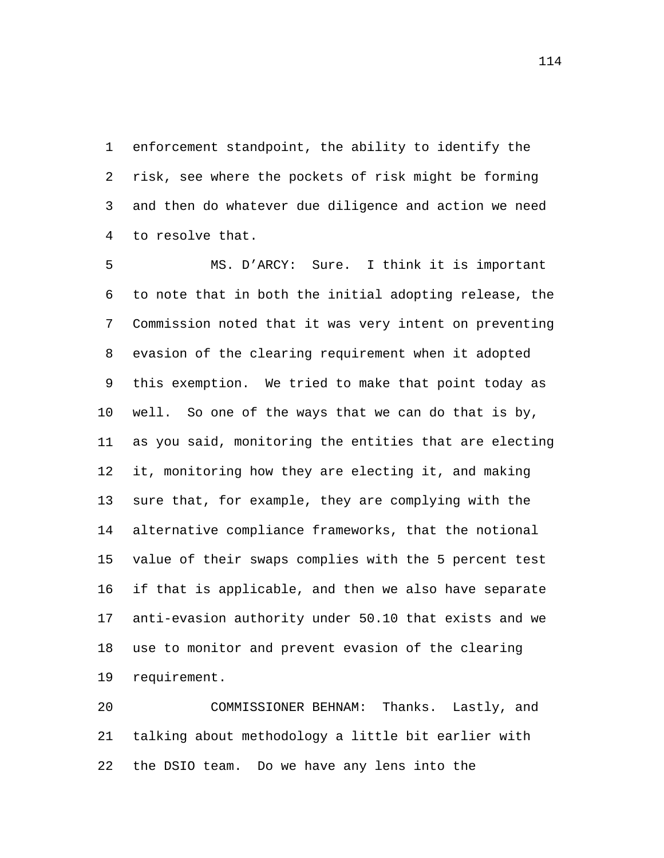enforcement standpoint, the ability to identify the risk, see where the pockets of risk might be forming and then do whatever due diligence and action we need to resolve that. 1 2 3 4

MS. D'ARCY: Sure. I think it is important to note that in both the initial adopting release, the Commission noted that it was very intent on preventing evasion of the clearing requirement when it adopted this exemption. We tried to make that point today as well. So one of the ways that we can do that is by, as you said, monitoring the entities that are electing it, monitoring how they are electing it, and making sure that, for example, they are complying with the alternative compliance frameworks, that the notional value of their swaps complies with the 5 percent test if that is applicable, and then we also have separate anti-evasion authority under 50.10 that exists and we use to monitor and prevent evasion of the clearing requirement. 5 6 7 8 9 10 11 12 13 14 15 16 17 18 19

COMMISSIONER BEHNAM: Thanks. Lastly, and talking about methodology a little bit earlier with the DSIO team. Do we have any lens into the 20 21 22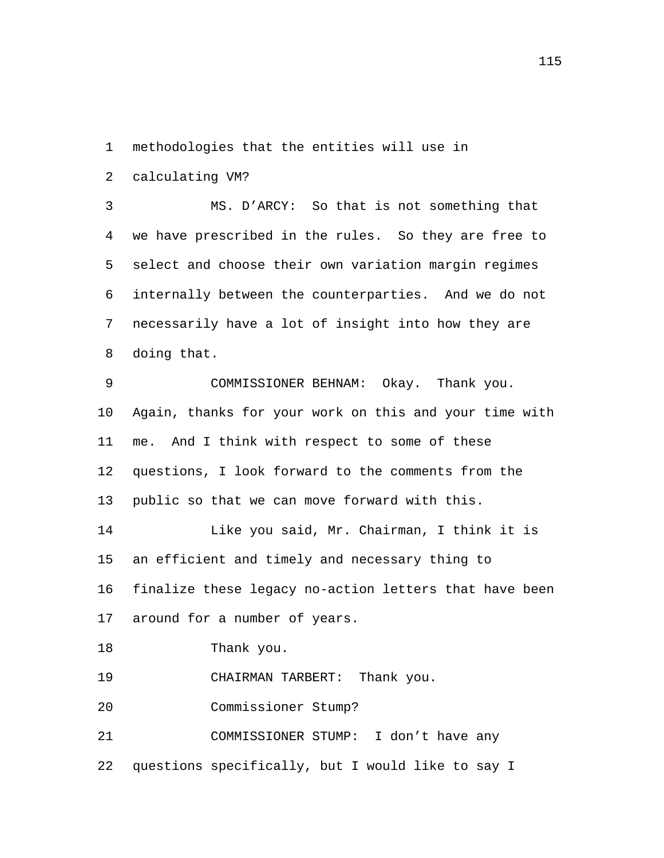methodologies that the entities will use in 1

calculating VM? 2

MS. D'ARCY: So that is not something that we have prescribed in the rules. So they are free to select and choose their own variation margin regimes internally between the counterparties. And we do not necessarily have a lot of insight into how they are doing that. 3 4 5 6 7 8

COMMISSIONER BEHNAM: Okay. Thank you. Again, thanks for your work on this and your time with me. And I think with respect to some of these questions, I look forward to the comments from the public so that we can move forward with this. 9 10 11 12 13

Like you said, Mr. Chairman, I think it is an efficient and timely and necessary thing to finalize these legacy no-action letters that have been around for a number of years. 14 15 16 17

18 Thank you.

19 CHAIRMAN TARBERT: Thank you.

20 Commissioner Stump?

COMMISSIONER STUMP: I don't have any questions specifically, but I would like to say I 21 22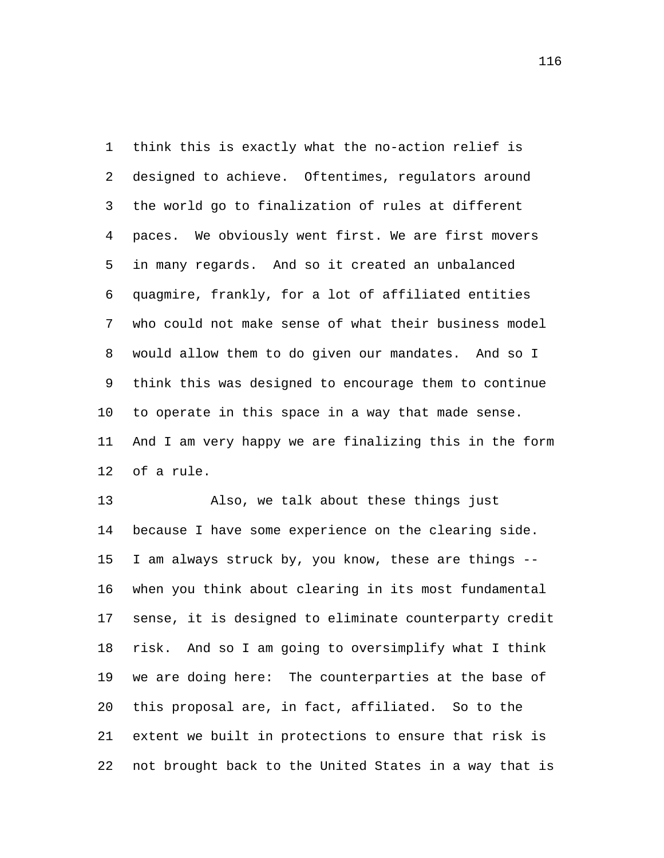think this is exactly what the no-action relief is designed to achieve. Oftentimes, regulators around the world go to finalization of rules at different paces. We obviously went first. We are first movers in many regards. And so it created an unbalanced quagmire, frankly, for a lot of affiliated entities who could not make sense of what their business model would allow them to do given our mandates. And so I think this was designed to encourage them to continue to operate in this space in a way that made sense. And I am very happy we are finalizing this in the form of a rule. 1 2 3 4 5 6 7 8 9 10 11 12

Also, we talk about these things just because I have some experience on the clearing side. I am always struck by, you know, these are things - when you think about clearing in its most fundamental sense, it is designed to eliminate counterparty credit risk. And so I am going to oversimplify what I think we are doing here: The counterparties at the base of this proposal are, in fact, affiliated. So to the extent we built in protections to ensure that risk is not brought back to the United States in a way that is 13 14 15 16 17 18 19 20 21 22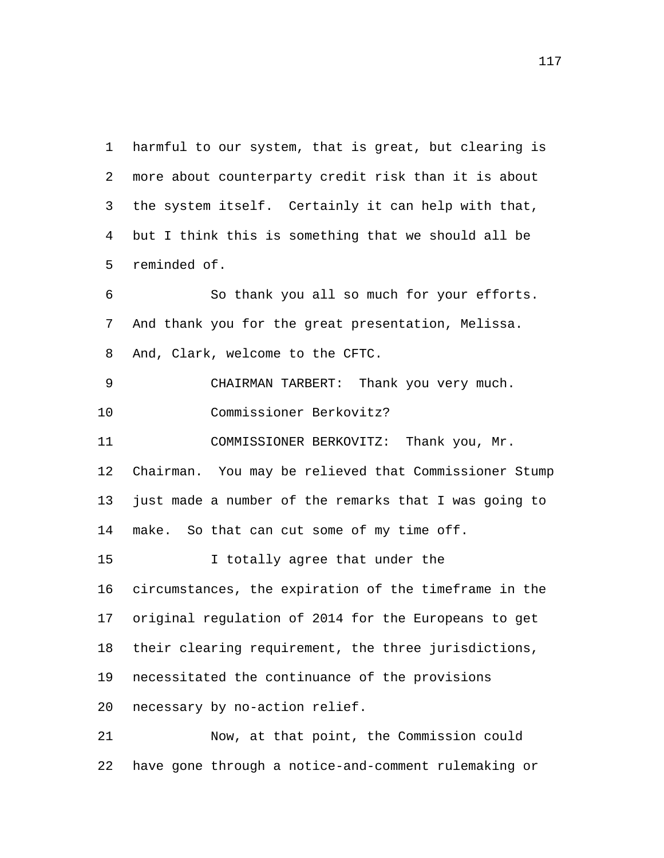harmful to our system, that is great, but clearing is more about counterparty credit risk than it is about the system itself. Certainly it can help with that, but I think this is something that we should all be reminded of. 1 2 3 4 5

So thank you all so much for your efforts. And thank you for the great presentation, Melissa. And, Clark, welcome to the CFTC. 6 7 8

9 CHAIRMAN TARBERT: Thank you very much. 10 Commissioner Berkovitz?

COMMISSIONER BERKOVITZ: Thank you, Mr. Chairman. You may be relieved that Commissioner Stump just made a number of the remarks that I was going to make. So that can cut some of my time off. 11 12 13 14

I totally agree that under the circumstances, the expiration of the timeframe in the original regulation of 2014 for the Europeans to get their clearing requirement, the three jurisdictions, necessitated the continuance of the provisions necessary by no-action relief. 15 16 17 18 19 20

Now, at that point, the Commission could have gone through a notice-and-comment rulemaking or 21 22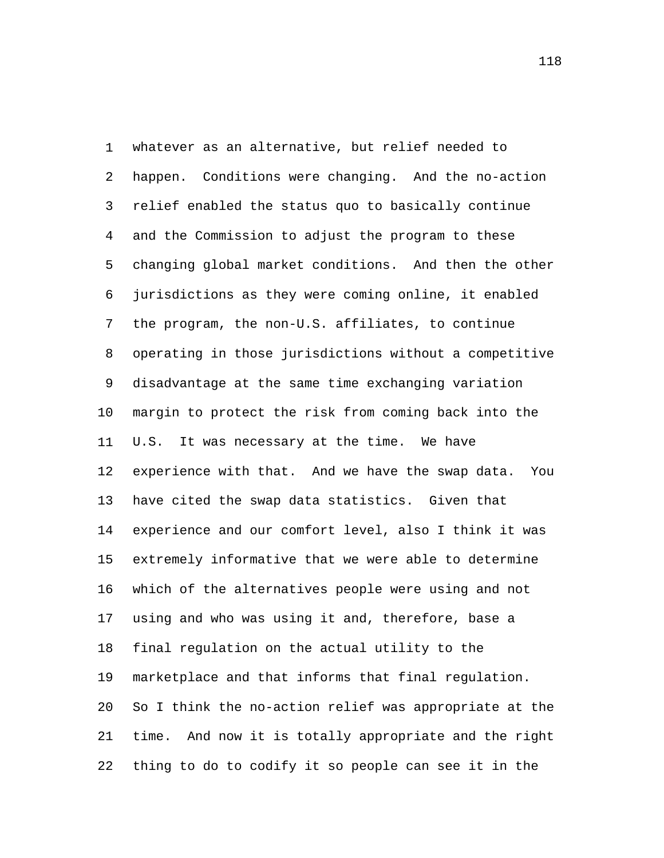whatever as an alternative, but relief needed to happen. Conditions were changing. And the no-action relief enabled the status quo to basically continue and the Commission to adjust the program to these changing global market conditions. And then the other jurisdictions as they were coming online, it enabled the program, the non-U.S. affiliates, to continue operating in those jurisdictions without a competitive disadvantage at the same time exchanging variation margin to protect the risk from coming back into the U.S. It was necessary at the time. We have experience with that. And we have the swap data. You have cited the swap data statistics. Given that experience and our comfort level, also I think it was extremely informative that we were able to determine which of the alternatives people were using and not using and who was using it and, therefore, base a final regulation on the actual utility to the marketplace and that informs that final regulation. So I think the no-action relief was appropriate at the time. And now it is totally appropriate and the right thing to do to codify it so people can see it in the 1 2 3 4 5 6 7 8 9 10 11 12 13 14 15 16 17 18 19 20 21 22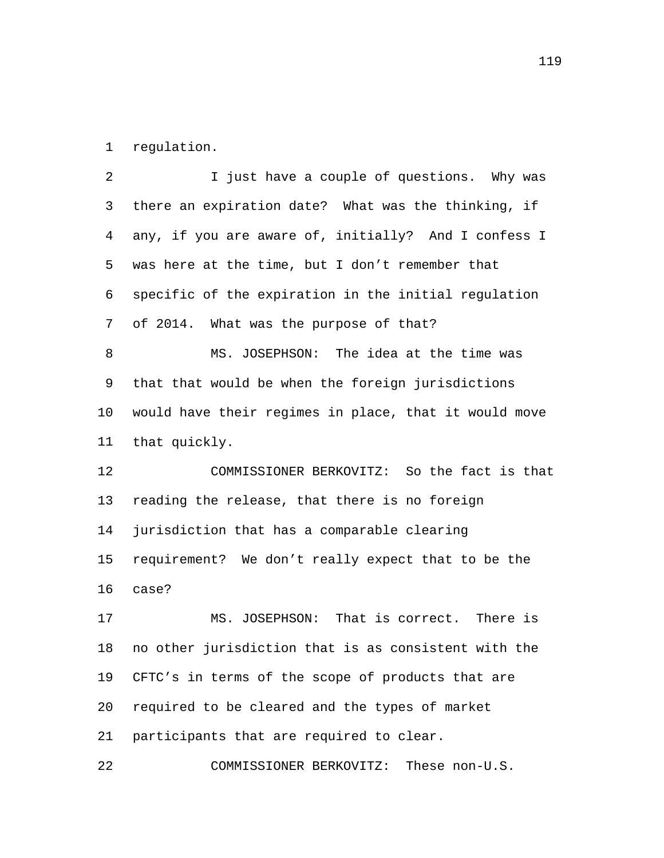1 regulation.

2 3 4 5 6 7 8 9 10 11 12 13 14 15 16 17 18 19 20 21 22 I just have a couple of questions. Why was there an expiration date? What was the thinking, if any, if you are aware of, initially? And I confess I was here at the time, but I don't remember that specific of the expiration in the initial regulation of 2014. What was the purpose of that? MS. JOSEPHSON: The idea at the time was that that would be when the foreign jurisdictions would have their regimes in place, that it would move that quickly. COMMISSIONER BERKOVITZ: So the fact is that reading the release, that there is no foreign jurisdiction that has a comparable clearing requirement? We don't really expect that to be the case? MS. JOSEPHSON: That is correct. There is no other jurisdiction that is as consistent with the CFTC's in terms of the scope of products that are required to be cleared and the types of market participants that are required to clear. COMMISSIONER BERKOVITZ: These non-U.S.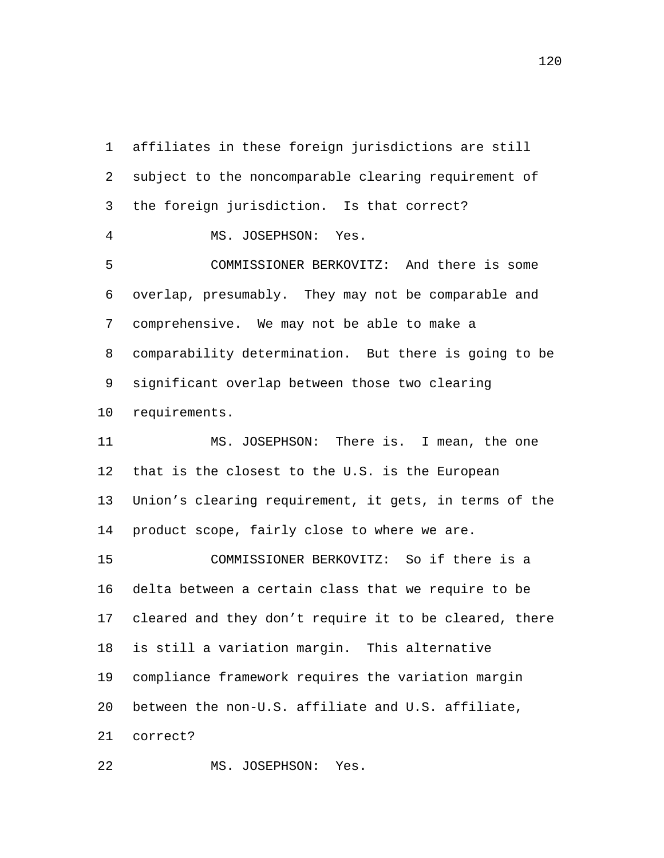affiliates in these foreign jurisdictions are still subject to the noncomparable clearing requirement of the foreign jurisdiction. Is that correct? 1 2 3 4 MS. JOSEPHSON: Yes. COMMISSIONER BERKOVITZ: And there is some overlap, presumably. They may not be comparable and comprehensive. We may not be able to make a comparability determination. But there is going to be significant overlap between those two clearing requirements. 5 6 7 8 9 10 MS. JOSEPHSON: There is. I mean, the one that is the closest to the U.S. is the European Union's clearing requirement, it gets, in terms of the product scope, fairly close to where we are. 11 12 13 14 COMMISSIONER BERKOVITZ: So if there is a delta between a certain class that we require to be cleared and they don't require it to be cleared, there is still a variation margin. This alternative compliance framework requires the variation margin between the non-U.S. affiliate and U.S. affiliate, correct? 15 16 17 18 19 20 21

22 MS. JOSEPHSON: Yes.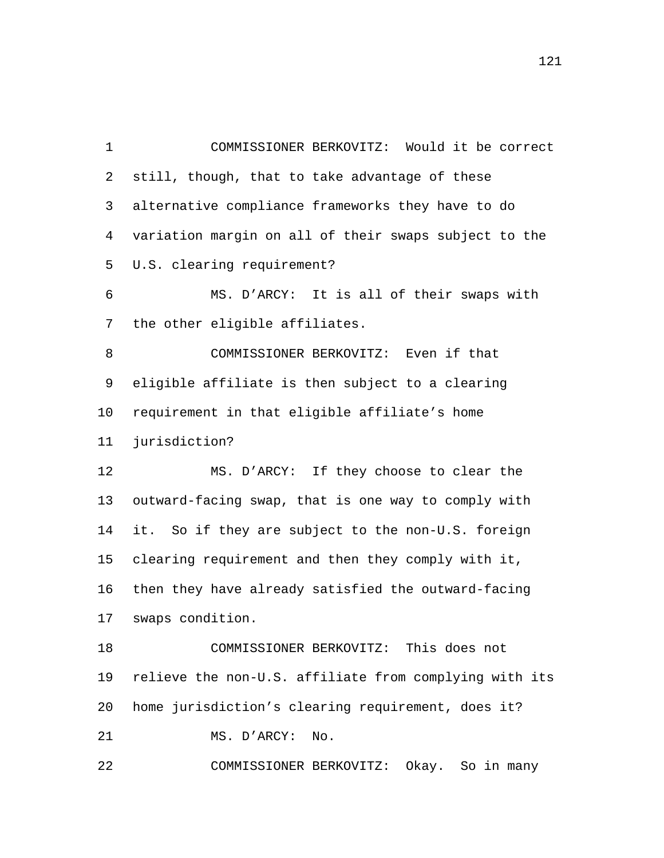COMMISSIONER BERKOVITZ: Would it be correct still, though, that to take advantage of these alternative compliance frameworks they have to do variation margin on all of their swaps subject to the U.S. clearing requirement? 1 2 3 4 5 MS. D'ARCY: It is all of their swaps with the other eligible affiliates. 6 7 COMMISSIONER BERKOVITZ: Even if that eligible affiliate is then subject to a clearing requirement in that eligible affiliate's home jurisdiction? 8 9 10 11 MS. D'ARCY: If they choose to clear the outward-facing swap, that is one way to comply with it. So if they are subject to the non-U.S. foreign clearing requirement and then they comply with it, then they have already satisfied the outward-facing swaps condition. 12 13 14 15 16 17

COMMISSIONER BERKOVITZ: This does not relieve the non-U.S. affiliate from complying with its home jurisdiction's clearing requirement, does it? 18 19 20 21 MS. D'ARCY: No.

22 COMMISSIONER BERKOVITZ: Okay. So in many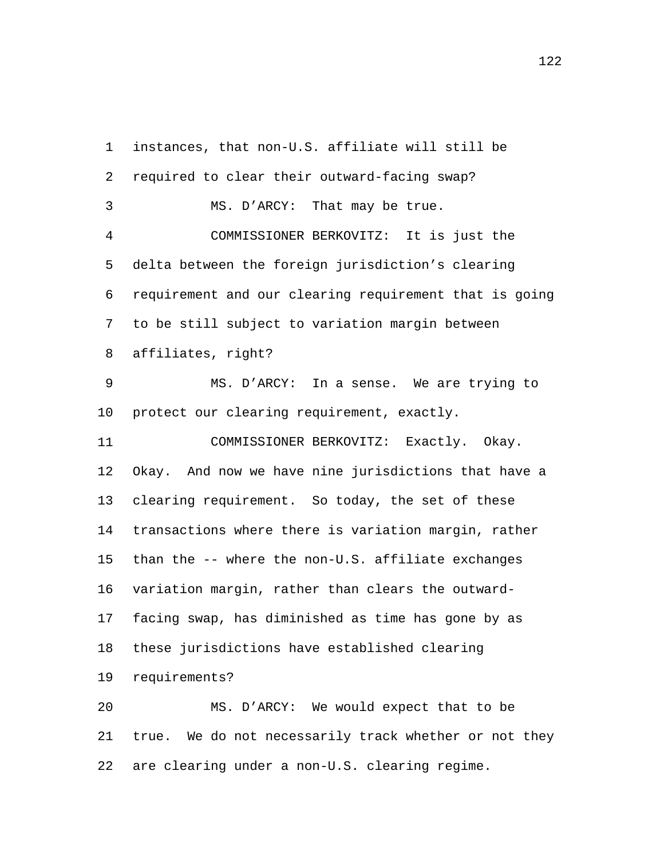instances, that non-U.S. affiliate will still be required to clear their outward-facing swap? 1 2 3 MS. D'ARCY: That may be true. COMMISSIONER BERKOVITZ: It is just the delta between the foreign jurisdiction's clearing requirement and our clearing requirement that is going to be still subject to variation margin between affiliates, right? 4 5 6 7 8 MS. D'ARCY: In a sense. We are trying to protect our clearing requirement, exactly. 9 10 COMMISSIONER BERKOVITZ: Exactly. Okay. Okay. And now we have nine jurisdictions that have a clearing requirement. So today, the set of these transactions where there is variation margin, rather than the -- where the non-U.S. affiliate exchanges variation margin, rather than clears the outwardfacing swap, has diminished as time has gone by as these jurisdictions have established clearing requirements? 11 12 13 14 15 16 17 18 19 MS. D'ARCY: We would expect that to be true. We do not necessarily track whether or not they 20 21

are clearing under a non-U.S. clearing regime. 22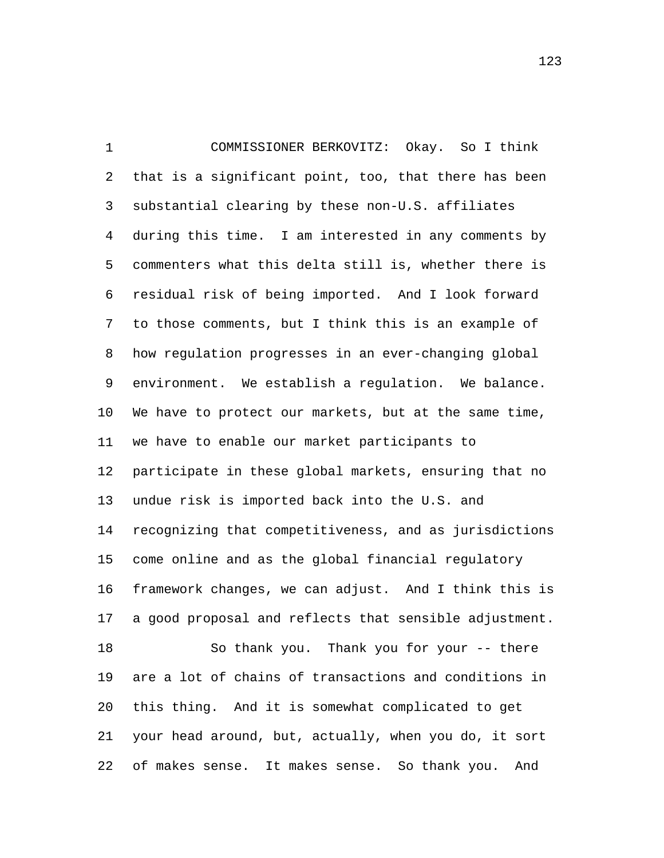COMMISSIONER BERKOVITZ: Okay. So I think that is a significant point, too, that there has been substantial clearing by these non-U.S. affiliates during this time. I am interested in any comments by commenters what this delta still is, whether there is residual risk of being imported. And I look forward to those comments, but I think this is an example of how regulation progresses in an ever-changing global environment. We establish a regulation. We balance. We have to protect our markets, but at the same time, we have to enable our market participants to participate in these global markets, ensuring that no undue risk is imported back into the U.S. and recognizing that competitiveness, and as jurisdictions come online and as the global financial regulatory framework changes, we can adjust. And I think this is a good proposal and reflects that sensible adjustment. 1 2 3 4 5 6 7 8 9 10 11 12 13 14 15 16 17 So thank you. Thank you for your -- there are a lot of chains of transactions and conditions in this thing. And it is somewhat complicated to get your head around, but, actually, when you do, it sort of makes sense. It makes sense. So thank you. And 18 19 20 21 22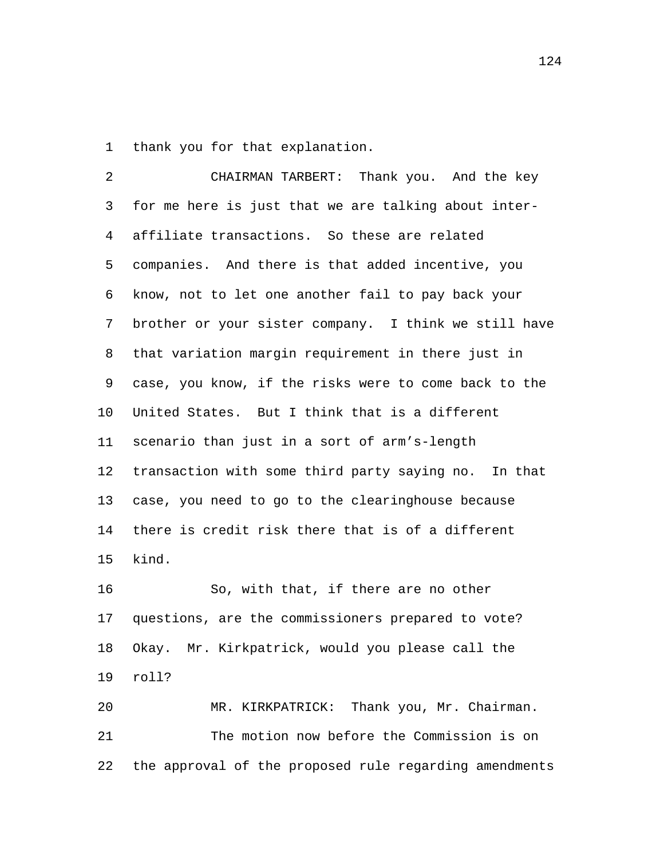1 thank you for that explanation.

CHAIRMAN TARBERT: Thank you. And the key for me here is just that we are talking about interaffiliate transactions. So these are related companies. And there is that added incentive, you know, not to let one another fail to pay back your brother or your sister company. I think we still have that variation margin requirement in there just in case, you know, if the risks were to come back to the United States. But I think that is a different scenario than just in a sort of arm's-length transaction with some third party saying no. In that case, you need to go to the clearinghouse because there is credit risk there that is of a different kind. 2 3 4 5 6 7 8 9 10 11 12 13 14 15

So, with that, if there are no other questions, are the commissioners prepared to vote? Okay. Mr. Kirkpatrick, would you please call the roll? 16 17 18 19

20 MR. KIRKPATRICK: Thank you, Mr. Chairman. The motion now before the Commission is on the approval of the proposed rule regarding amendments 21 22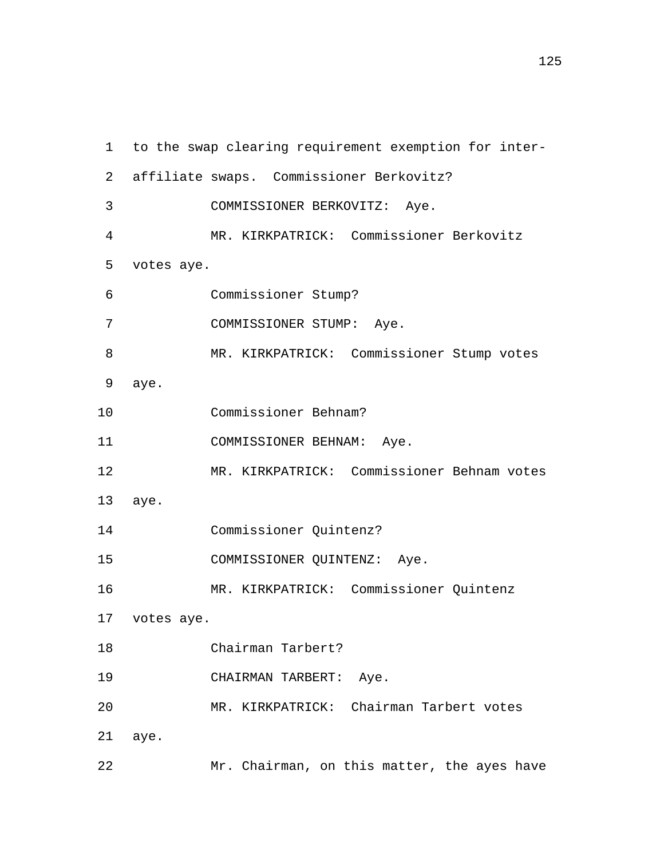to the swap clearing requirement exemption for interaffiliate swaps. Commissioner Berkovitz? 1 2 3 COMMISSIONER BERKOVITZ: Aye. MR. KIRKPATRICK: Commissioner Berkovitz votes aye. 4 5 6 Commissioner Stump? 7 COMMISSIONER STUMP: Aye. MR. KIRKPATRICK: Commissioner Stump votes aye. 8 9 10 Commissioner Behnam? 11 COMMISSIONER BEHNAM: Aye. MR. KIRKPATRICK: Commissioner Behnam votes aye. 13 12 14 Commissioner Quintenz? 15 COMMISSIONER QUINTENZ: Aye. MR. KIRKPATRICK: Commissioner Quintenz votes aye. 17 16 18 Chairman Tarbert? 19 CHAIRMAN TARBERT: Aye. MR. KIRKPATRICK: Chairman Tarbert votes aye. 20 21 22 Mr. Chairman, on this matter, the ayes have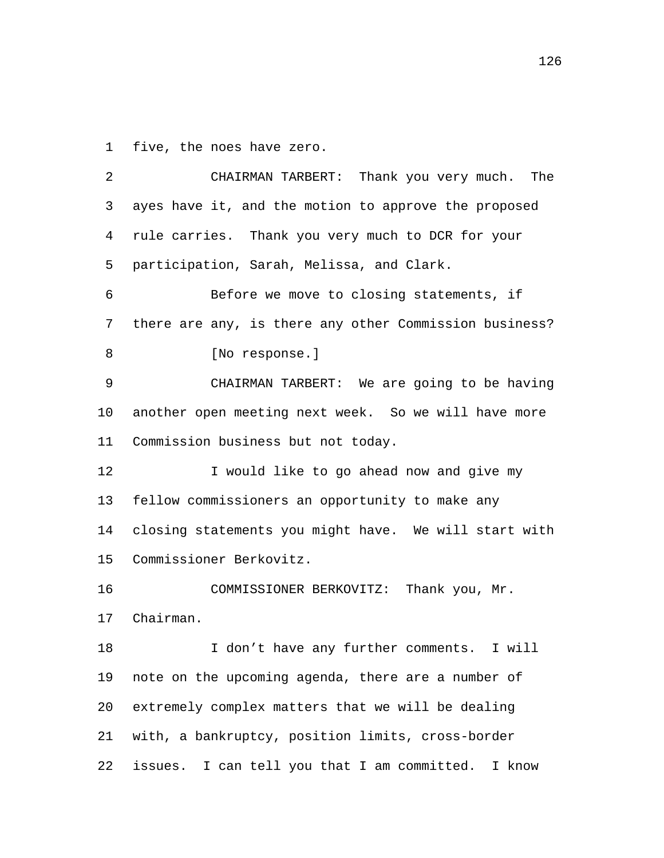1 five, the noes have zero.

CHAIRMAN TARBERT: Thank you very much. The ayes have it, and the motion to approve the proposed rule carries. Thank you very much to DCR for your participation, Sarah, Melissa, and Clark. 2 3 4 5 Before we move to closing statements, if there are any, is there any other Commission business? 6 7 8 [No response.] CHAIRMAN TARBERT: We are going to be having another open meeting next week. So we will have more Commission business but not today. 9 10 11 I would like to go ahead now and give my fellow commissioners an opportunity to make any closing statements you might have. We will start with Commissioner Berkovitz. 12 13 14 15 COMMISSIONER BERKOVITZ: Thank you, Mr. Chairman. 16 17 I don't have any further comments. I will note on the upcoming agenda, there are a number of extremely complex matters that we will be dealing with, a bankruptcy, position limits, cross-border issues. I can tell you that I am committed. I know 18 19 20 21 22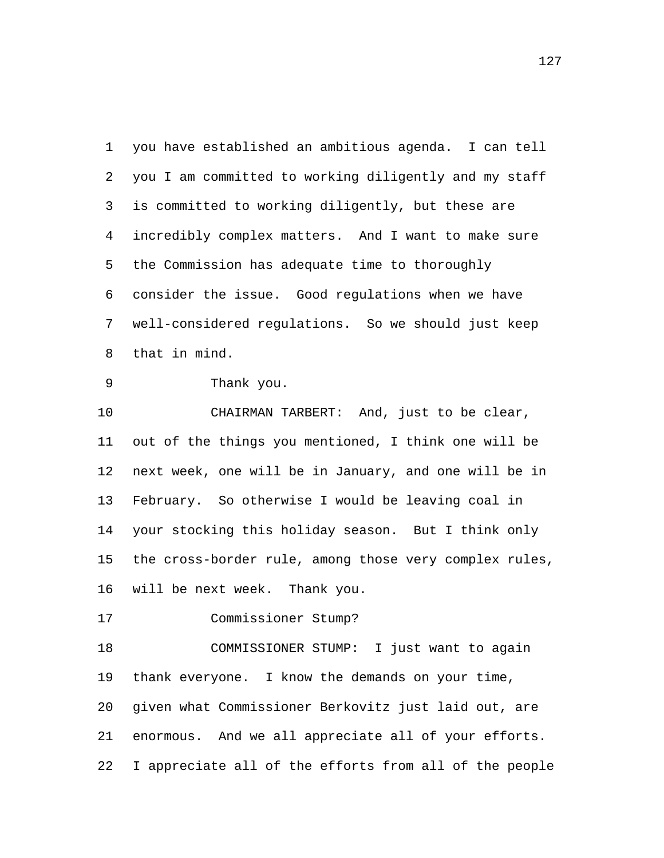you have established an ambitious agenda. I can tell you I am committed to working diligently and my staff is committed to working diligently, but these are incredibly complex matters. And I want to make sure the Commission has adequate time to thoroughly consider the issue. Good regulations when we have well-considered regulations. So we should just keep that in mind. 1 2 3 4 5 6 7 8

9 Thank you.

CHAIRMAN TARBERT: And, just to be clear, out of the things you mentioned, I think one will be next week, one will be in January, and one will be in February. So otherwise I would be leaving coal in your stocking this holiday season. But I think only the cross-border rule, among those very complex rules, will be next week. Thank you. 10 11 12 13 14 15 16

17 Commissioner Stump?

COMMISSIONER STUMP: I just want to again thank everyone. I know the demands on your time, given what Commissioner Berkovitz just laid out, are enormous. And we all appreciate all of your efforts. I appreciate all of the efforts from all of the people 18 19 20 21 22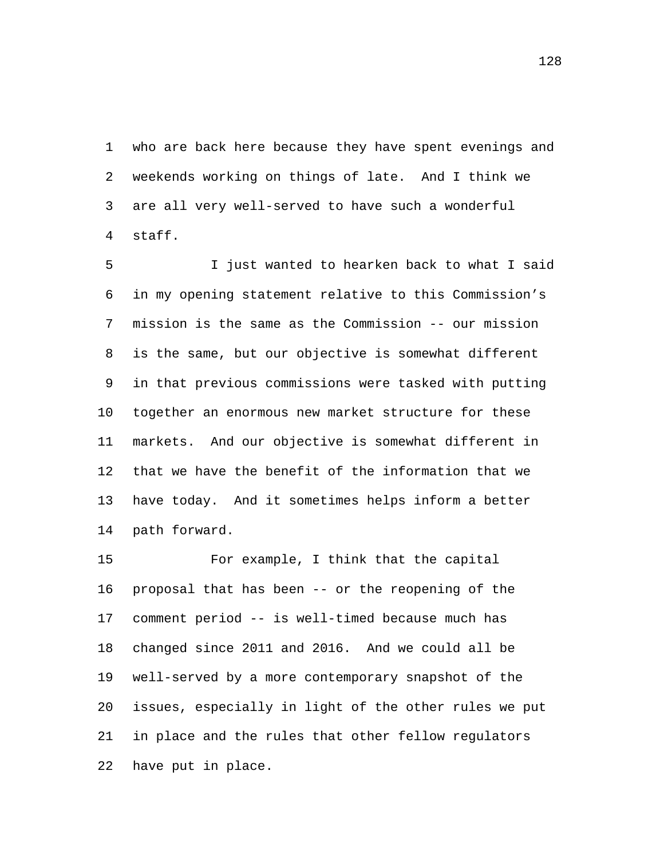who are back here because they have spent evenings and weekends working on things of late. And I think we are all very well-served to have such a wonderful staff. 1 2 3 4

I just wanted to hearken back to what I said in my opening statement relative to this Commission's mission is the same as the Commission -- our mission is the same, but our objective is somewhat different in that previous commissions were tasked with putting together an enormous new market structure for these markets. And our objective is somewhat different in that we have the benefit of the information that we have today. And it sometimes helps inform a better path forward. 5 6 7 8 9 10 11 12 13 14

For example, I think that the capital proposal that has been -- or the reopening of the comment period -- is well-timed because much has changed since 2011 and 2016. And we could all be well-served by a more contemporary snapshot of the issues, especially in light of the other rules we put in place and the rules that other fellow regulators have put in place. 15 16 17 18 19 20 21 22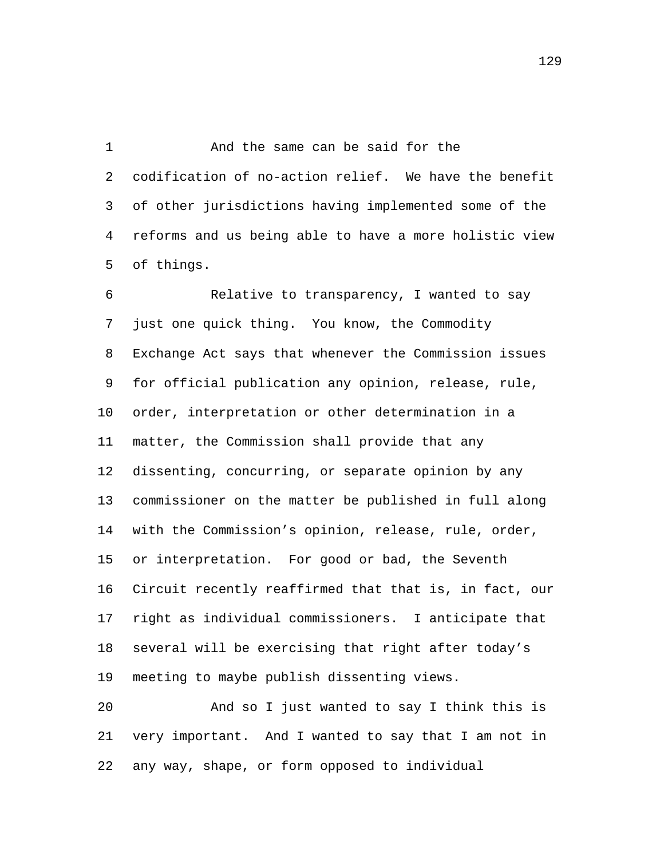And the same can be said for the codification of no-action relief. We have the benefit of other jurisdictions having implemented some of the reforms and us being able to have a more holistic view of things. 1 2 3 4 5

Relative to transparency, I wanted to say just one quick thing. You know, the Commodity Exchange Act says that whenever the Commission issues for official publication any opinion, release, rule, order, interpretation or other determination in a matter, the Commission shall provide that any dissenting, concurring, or separate opinion by any commissioner on the matter be published in full along with the Commission's opinion, release, rule, order, or interpretation. For good or bad, the Seventh Circuit recently reaffirmed that that is, in fact, our right as individual commissioners. I anticipate that several will be exercising that right after today's meeting to maybe publish dissenting views. 6 7 8 9 10 11 12 13 14 15 16 17 18 19

And so I just wanted to say I think this is very important. And I wanted to say that I am not in any way, shape, or form opposed to individual 20 21 22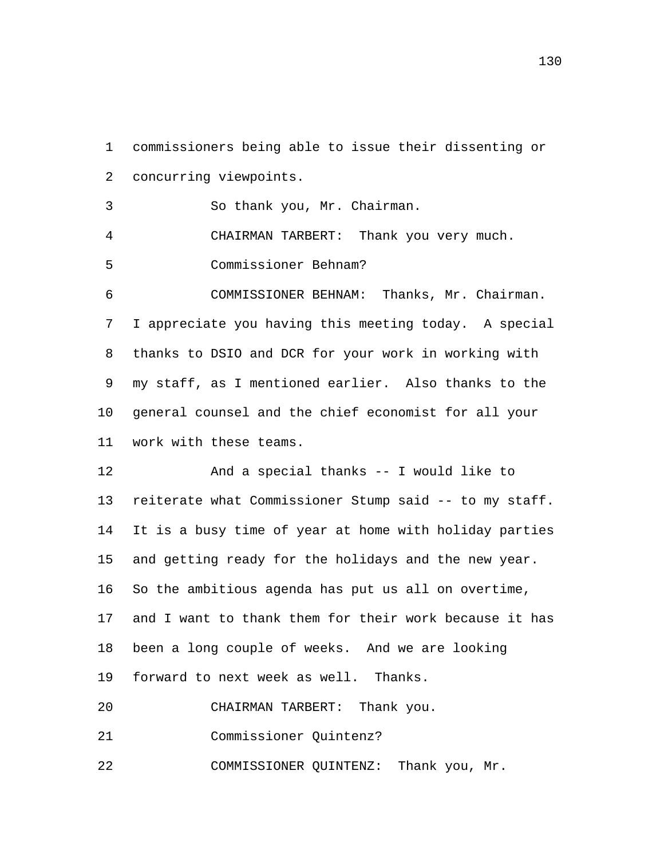commissioners being able to issue their dissenting or concurring viewpoints. 1 2 3 So thank you, Mr. Chairman. 4 CHAIRMAN TARBERT: Thank you very much. 5 Commissioner Behnam? COMMISSIONER BEHNAM: Thanks, Mr. Chairman. I appreciate you having this meeting today. A special thanks to DSIO and DCR for your work in working with my staff, as I mentioned earlier. Also thanks to the general counsel and the chief economist for all your work with these teams. 6 7 8 9 10 11 And a special thanks -- I would like to reiterate what Commissioner Stump said -- to my staff. It is a busy time of year at home with holiday parties and getting ready for the holidays and the new year. So the ambitious agenda has put us all on overtime, and I want to thank them for their work because it has been a long couple of weeks. And we are looking forward to next week as well. Thanks. 12 13 14 15 16 17 18 19 20 CHAIRMAN TARBERT: Thank you. 21 Commissioner Quintenz? 22 COMMISSIONER QUINTENZ: Thank you, Mr.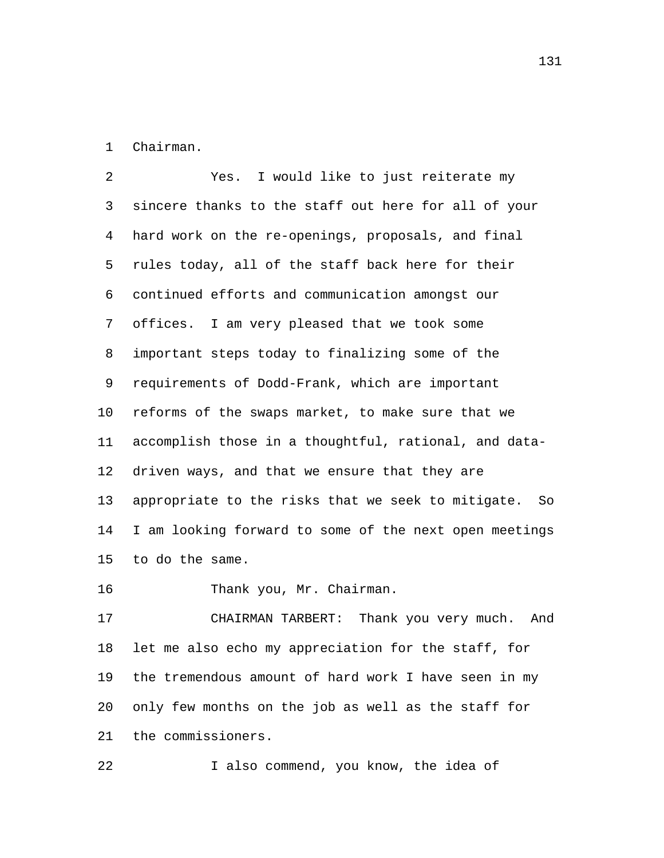1 Chairman.

Yes. I would like to just reiterate my sincere thanks to the staff out here for all of your hard work on the re-openings, proposals, and final rules today, all of the staff back here for their continued efforts and communication amongst our offices. I am very pleased that we took some important steps today to finalizing some of the requirements of Dodd-Frank, which are important reforms of the swaps market, to make sure that we accomplish those in a thoughtful, rational, and datadriven ways, and that we ensure that they are appropriate to the risks that we seek to mitigate. So I am looking forward to some of the next open meetings to do the same. 2 3 4 5 6 7 8 9 10 11 12 13 14 15

16 Thank you, Mr. Chairman.

CHAIRMAN TARBERT: Thank you very much. And let me also echo my appreciation for the staff, for the tremendous amount of hard work I have seen in my only few months on the job as well as the staff for the commissioners. 17 18 19 20 21

22 I also commend, you know, the idea of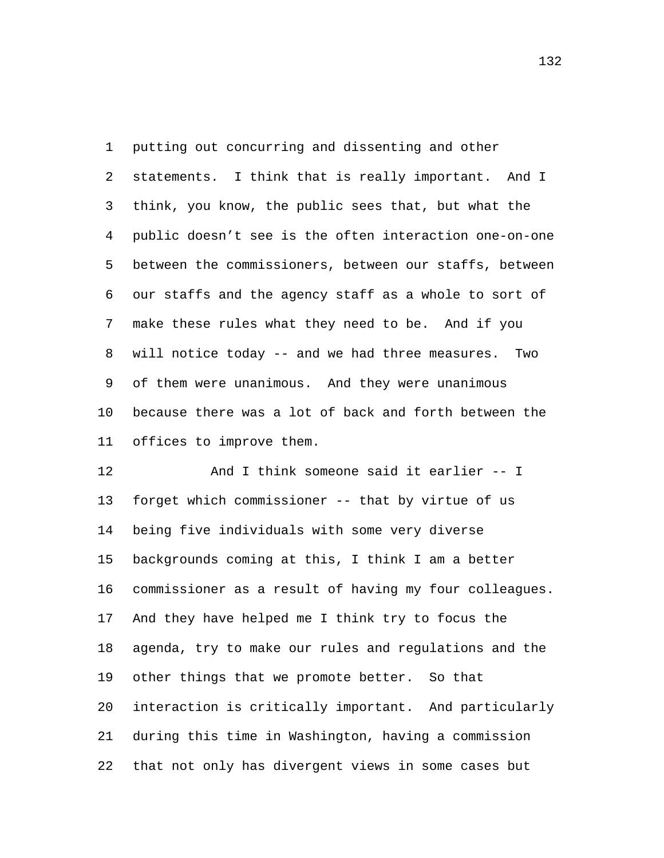putting out concurring and dissenting and other statements. I think that is really important. And I think, you know, the public sees that, but what the public doesn't see is the often interaction one-on-one between the commissioners, between our staffs, between our staffs and the agency staff as a whole to sort of make these rules what they need to be. And if you will notice today -- and we had three measures. Two of them were unanimous. And they were unanimous because there was a lot of back and forth between the offices to improve them. 1 2 3 4 5 6 7 8 9 10 11

And I think someone said it earlier -- I forget which commissioner -- that by virtue of us being five individuals with some very diverse backgrounds coming at this, I think I am a better commissioner as a result of having my four colleagues. And they have helped me I think try to focus the agenda, try to make our rules and regulations and the other things that we promote better. So that interaction is critically important. And particularly during this time in Washington, having a commission that not only has divergent views in some cases but 12 13 14 15 16 17 18 19 20 21 22